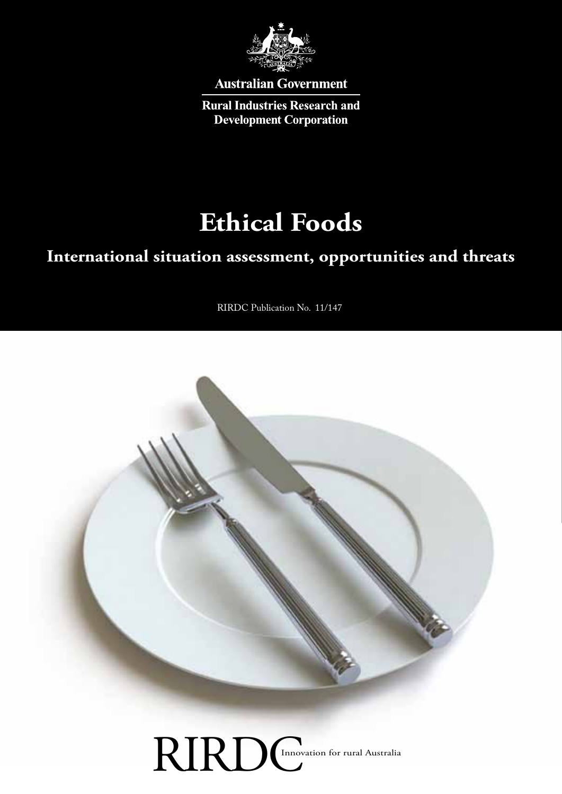

**Australian Government** 

**Rural Industries Research and Development Corporation** 

# **Ethical Foods**

# **International situation assessment, opportunities and threats**

RIRDC Publication No. 11/147



RIRDCInnovation for rural Australia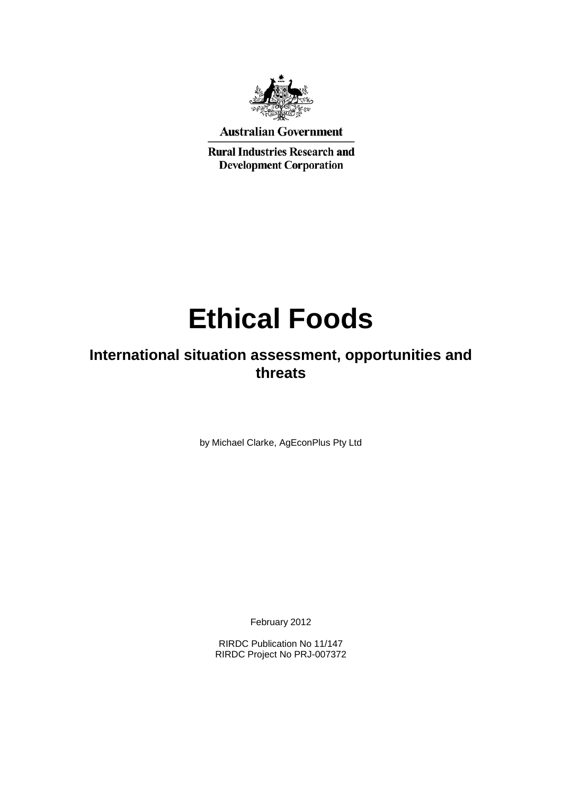

**Australian Government** 

**Rural Industries Research and Development Corporation** 

# **Ethical Foods**

# **International situation assessment, opportunities and threats**

by Michael Clarke, AgEconPlus Pty Ltd

February 2012

RIRDC Publication No 11/147 RIRDC Project No PRJ-007372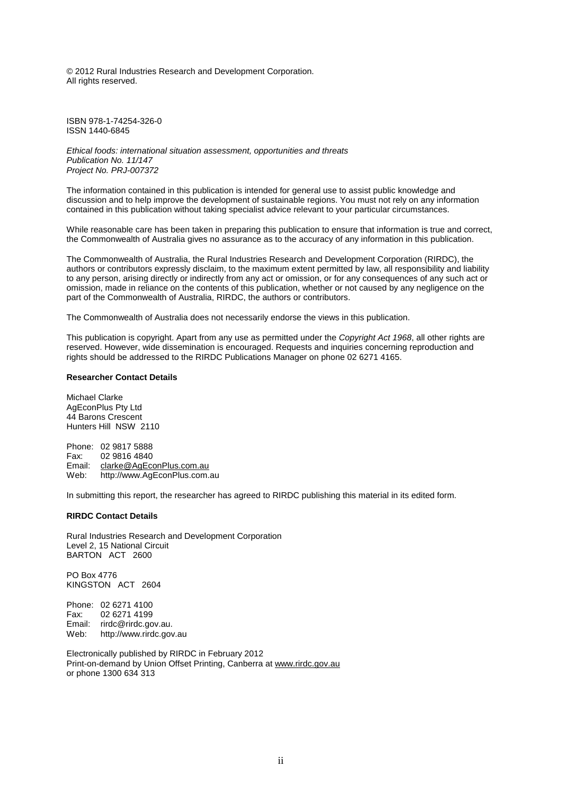© 2012 Rural Industries Research and Development Corporation. All rights reserved.

ISBN 978-1-74254-326-0 ISSN 1440-6845

*Ethical foods: international situation assessment, opportunities and threats Publication No. 11/147 Project No. PRJ-007372*

The information contained in this publication is intended for general use to assist public knowledge and discussion and to help improve the development of sustainable regions. You must not rely on any information contained in this publication without taking specialist advice relevant to your particular circumstances.

While reasonable care has been taken in preparing this publication to ensure that information is true and correct, the Commonwealth of Australia gives no assurance as to the accuracy of any information in this publication.

The Commonwealth of Australia, the Rural Industries Research and Development Corporation (RIRDC), the authors or contributors expressly disclaim, to the maximum extent permitted by law, all responsibility and liability to any person, arising directly or indirectly from any act or omission, or for any consequences of any such act or omission, made in reliance on the contents of this publication, whether or not caused by any negligence on the part of the Commonwealth of Australia, RIRDC, the authors or contributors.

The Commonwealth of Australia does not necessarily endorse the views in this publication.

This publication is copyright. Apart from any use as permitted under the *Copyright Act 1968*, all other rights are reserved. However, wide dissemination is encouraged. Requests and inquiries concerning reproduction and rights should be addressed to the RIRDC Publications Manager on phone 02 6271 4165.

#### **Researcher Contact Details**

Michael Clarke AgEconPlus Pty Ltd 44 Barons Crescent Hunters Hill NSW 2110

Phone: 02 9817 5888<br>Fax: 02 9816 4840 Fax: 02 9816 4840<br>Email: clarke@AqEco [clarke@AgEconPlus.com.au](mailto:clarke@AgEconPlus.com.au) Web: http://www.AgEconPlus.com.au

In submitting this report, the researcher has agreed to RIRDC publishing this material in its edited form.

#### **RIRDC Contact Details**

Rural Industries Research and Development Corporation Level 2, 15 National Circuit BARTON ACT 2600

PO Box 4776 KINGSTON ACT 2604

Phone: 02 6271 4100<br>Fax: 02 6271 4199 02 6271 4199 Email: rirdc@rirdc.gov.au.<br>Web: http://www.rirdc.gov http://www.rirdc.gov.au

Electronically published by RIRDC in February 2012 Print-on-demand by Union Offset Printing, Canberra at [www.rirdc.gov.au](http://www.rirdc.gov.au/) or phone 1300 634 313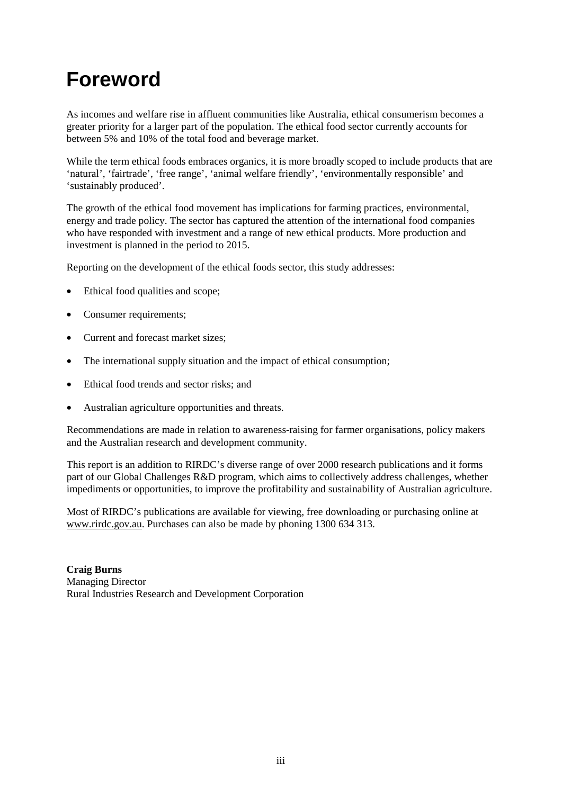# <span id="page-4-0"></span>**Foreword**

As incomes and welfare rise in affluent communities like Australia, ethical consumerism becomes a greater priority for a larger part of the population. The ethical food sector currently accounts for between 5% and 10% of the total food and beverage market.

While the term ethical foods embraces organics, it is more broadly scoped to include products that are 'natural', 'fairtrade', 'free range', 'animal welfare friendly', 'environmentally responsible' and 'sustainably produced'.

The growth of the ethical food movement has implications for farming practices, environmental, energy and trade policy. The sector has captured the attention of the international food companies who have responded with investment and a range of new ethical products. More production and investment is planned in the period to 2015.

Reporting on the development of the ethical foods sector, this study addresses:

- Ethical food qualities and scope;
- Consumer requirements;
- Current and forecast market sizes:
- The international supply situation and the impact of ethical consumption;
- Ethical food trends and sector risks; and
- Australian agriculture opportunities and threats.

Recommendations are made in relation to awareness-raising for farmer organisations, policy makers and the Australian research and development community.

This report is an addition to RIRDC's diverse range of over 2000 research publications and it forms part of our Global Challenges R&D program, which aims to collectively address challenges, whether impediments or opportunities, to improve the profitability and sustainability of Australian agriculture.

Most of RIRDC's publications are available for viewing, free downloading or purchasing online at [www.rirdc.gov.au.](http://www.rirdc.gov.au/) Purchases can also be made by phoning 1300 634 313.

**Craig Burns** Managing Director Rural Industries Research and Development Corporation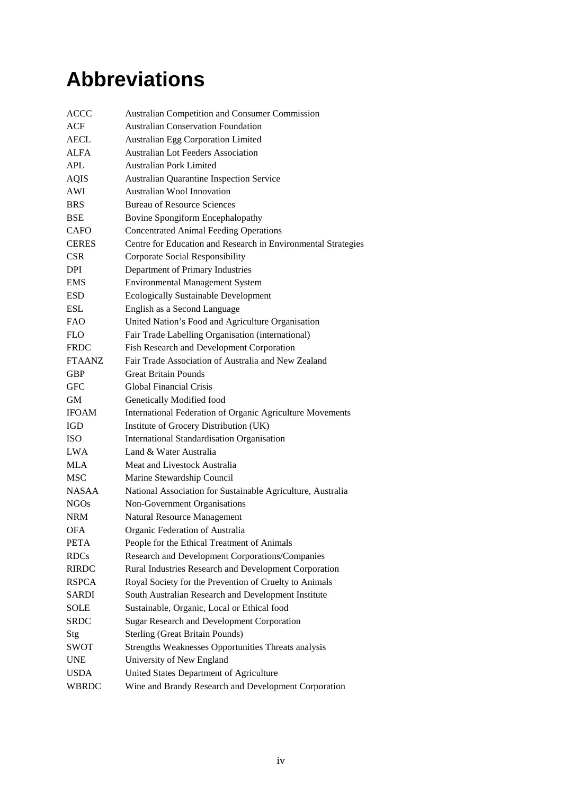# <span id="page-5-0"></span>**Abbreviations**

| <b>ACCC</b>   | Australian Competition and Consumer Commission                |
|---------------|---------------------------------------------------------------|
| ACF           | <b>Australian Conservation Foundation</b>                     |
| <b>AECL</b>   | <b>Australian Egg Corporation Limited</b>                     |
| <b>ALFA</b>   | <b>Australian Lot Feeders Association</b>                     |
| APL           | <b>Australian Pork Limited</b>                                |
| <b>AQIS</b>   | <b>Australian Quarantine Inspection Service</b>               |
| AWI           | Australian Wool Innovation                                    |
| <b>BRS</b>    | <b>Bureau of Resource Sciences</b>                            |
| BSE           | Bovine Spongiform Encephalopathy                              |
| <b>CAFO</b>   | <b>Concentrated Animal Feeding Operations</b>                 |
| <b>CERES</b>  | Centre for Education and Research in Environmental Strategies |
| <b>CSR</b>    | Corporate Social Responsibility                               |
| <b>DPI</b>    | Department of Primary Industries                              |
| <b>EMS</b>    | <b>Environmental Management System</b>                        |
| ESD           | <b>Ecologically Sustainable Development</b>                   |
| <b>ESL</b>    | English as a Second Language                                  |
| <b>FAO</b>    | United Nation's Food and Agriculture Organisation             |
| <b>FLO</b>    | Fair Trade Labelling Organisation (international)             |
| <b>FRDC</b>   | Fish Research and Development Corporation                     |
| <b>FTAANZ</b> | Fair Trade Association of Australia and New Zealand           |
| <b>GBP</b>    | Great Britain Pounds                                          |
| GFC           | <b>Global Financial Crisis</b>                                |
| GM.           | Genetically Modified food                                     |
| <b>IFOAM</b>  | International Federation of Organic Agriculture Movements     |
| IGD           | Institute of Grocery Distribution (UK)                        |
| ISO           | <b>International Standardisation Organisation</b>             |
| <b>LWA</b>    | Land & Water Australia                                        |
| <b>MLA</b>    | Meat and Livestock Australia                                  |
| <b>MSC</b>    | Marine Stewardship Council                                    |
| <b>NASAA</b>  | National Association for Sustainable Agriculture, Australia   |
| <b>NGOs</b>   | Non-Government Organisations                                  |
| NRM           | <b>Natural Resource Management</b>                            |
| OFA           | Organic Federation of Australia                               |
| <b>PETA</b>   | People for the Ethical Treatment of Animals                   |
| <b>RDCs</b>   | Research and Development Corporations/Companies               |
| <b>RIRDC</b>  | Rural Industries Research and Development Corporation         |
| <b>RSPCA</b>  | Royal Society for the Prevention of Cruelty to Animals        |
| <b>SARDI</b>  | South Australian Research and Development Institute           |
| <b>SOLE</b>   | Sustainable, Organic, Local or Ethical food                   |
| <b>SRDC</b>   | <b>Sugar Research and Development Corporation</b>             |
| Stg           | <b>Sterling (Great Britain Pounds)</b>                        |
| <b>SWOT</b>   | Strengths Weaknesses Opportunities Threats analysis           |
| <b>UNE</b>    | University of New England                                     |
| <b>USDA</b>   | United States Department of Agriculture                       |
| WBRDC         | Wine and Brandy Research and Development Corporation          |
|               |                                                               |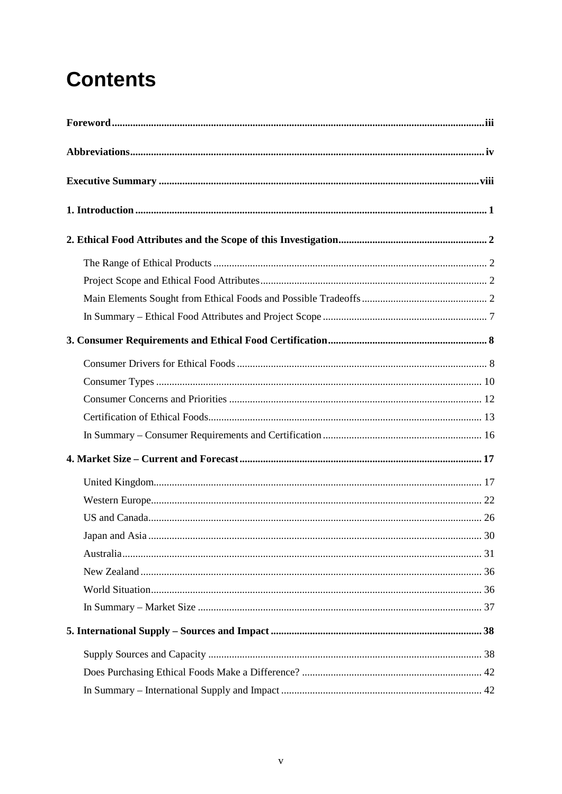# **Contents**

| 30 |
|----|
|    |
|    |
|    |
|    |
|    |
|    |
|    |
|    |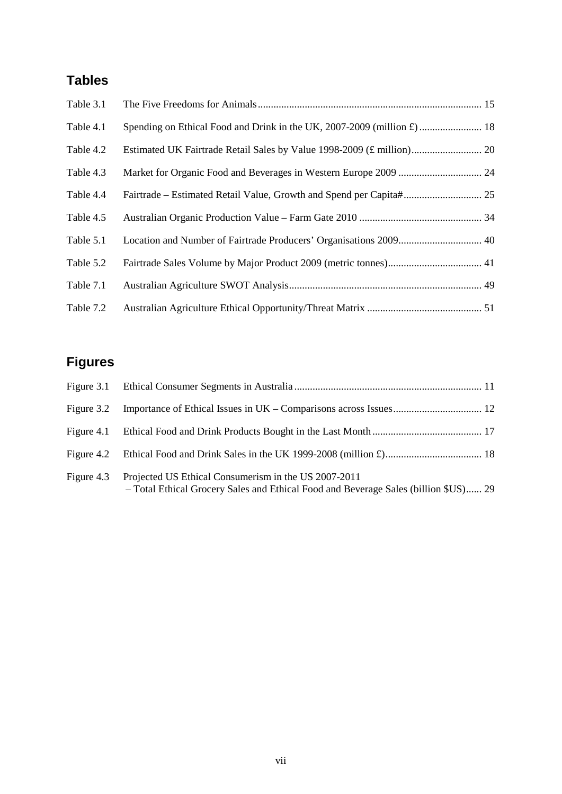# **Tables**

| Table 3.1 |  |
|-----------|--|
| Table 4.1 |  |
| Table 4.2 |  |
| Table 4.3 |  |
| Table 4.4 |  |
| Table 4.5 |  |
| Table 5.1 |  |
| Table 5.2 |  |
| Table 7.1 |  |
| Table 7.2 |  |

# **Figures**

| Figure 3.2 |                                                                                                                                             |  |
|------------|---------------------------------------------------------------------------------------------------------------------------------------------|--|
|            |                                                                                                                                             |  |
|            |                                                                                                                                             |  |
| Figure 4.3 | Projected US Ethical Consumerism in the US 2007-2011<br>- Total Ethical Grocery Sales and Ethical Food and Beverage Sales (billion \$US) 29 |  |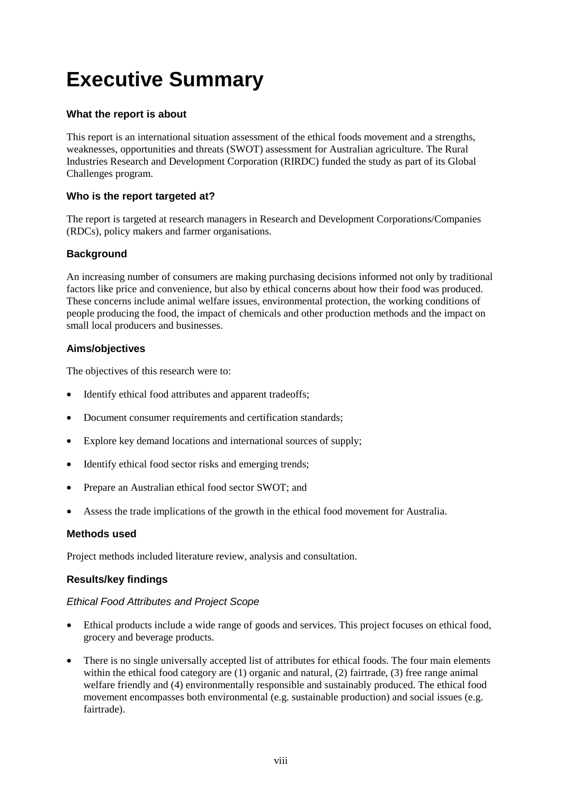# <span id="page-9-0"></span>**Executive Summary**

#### **What the report is about**

This report is an international situation assessment of the ethical foods movement and a strengths, weaknesses, opportunities and threats (SWOT) assessment for Australian agriculture. The Rural Industries Research and Development Corporation (RIRDC) funded the study as part of its Global Challenges program.

#### **Who is the report targeted at?**

The report is targeted at research managers in Research and Development Corporations/Companies (RDCs), policy makers and farmer organisations.

#### **Background**

An increasing number of consumers are making purchasing decisions informed not only by traditional factors like price and convenience, but also by ethical concerns about how their food was produced. These concerns include animal welfare issues, environmental protection, the working conditions of people producing the food, the impact of chemicals and other production methods and the impact on small local producers and businesses.

#### **Aims/objectives**

The objectives of this research were to:

- Identify ethical food attributes and apparent tradeoffs;
- Document consumer requirements and certification standards;
- Explore key demand locations and international sources of supply;
- Identify ethical food sector risks and emerging trends;
- Prepare an Australian ethical food sector SWOT; and
- Assess the trade implications of the growth in the ethical food movement for Australia.

#### **Methods used**

Project methods included literature review, analysis and consultation.

#### **Results/key findings**

#### *Ethical Food Attributes and Project Scope*

- Ethical products include a wide range of goods and services. This project focuses on ethical food, grocery and beverage products.
- There is no single universally accepted list of attributes for ethical foods. The four main elements within the ethical food category are (1) organic and natural, (2) fairtrade, (3) free range animal welfare friendly and (4) environmentally responsible and sustainably produced. The ethical food movement encompasses both environmental (e.g. sustainable production) and social issues (e.g. fairtrade).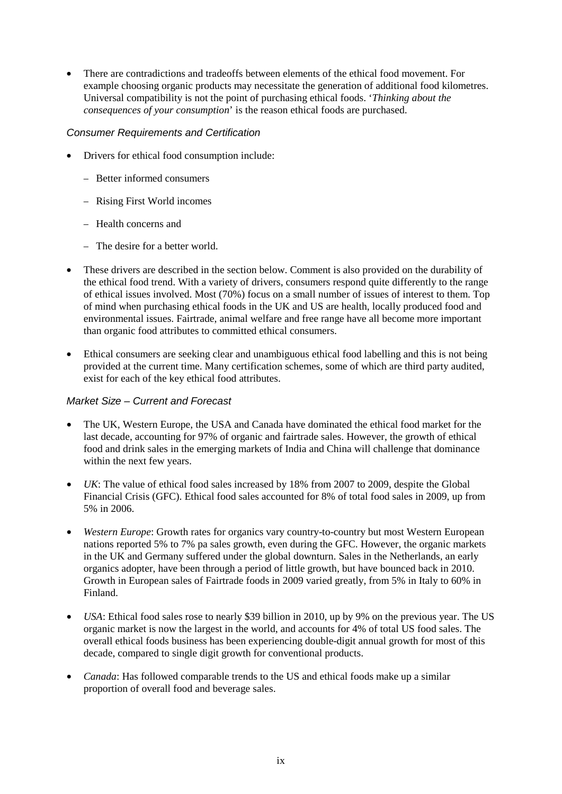• There are contradictions and tradeoffs between elements of the ethical food movement. For example choosing organic products may necessitate the generation of additional food kilometres. Universal compatibility is not the point of purchasing ethical foods. '*Thinking about the consequences of your consumption*' is the reason ethical foods are purchased.

#### *Consumer Requirements and Certification*

- Drivers for ethical food consumption include:
	- − Better informed consumers
	- − Rising First World incomes
	- − Health concerns and
	- − The desire for a better world.
- These drivers are described in the section below. Comment is also provided on the durability of the ethical food trend. With a variety of drivers, consumers respond quite differently to the range of ethical issues involved. Most (70%) focus on a small number of issues of interest to them. Top of mind when purchasing ethical foods in the UK and US are health, locally produced food and environmental issues. Fairtrade, animal welfare and free range have all become more important than organic food attributes to committed ethical consumers.
- Ethical consumers are seeking clear and unambiguous ethical food labelling and this is not being provided at the current time. Many certification schemes, some of which are third party audited, exist for each of the key ethical food attributes.

#### *Market Size – Current and Forecast*

- The UK, Western Europe, the USA and Canada have dominated the ethical food market for the last decade, accounting for 97% of organic and fairtrade sales. However, the growth of ethical food and drink sales in the emerging markets of India and China will challenge that dominance within the next few years.
- *UK*: The value of ethical food sales increased by 18% from 2007 to 2009, despite the Global Financial Crisis (GFC). Ethical food sales accounted for 8% of total food sales in 2009, up from 5% in 2006.
- *Western Europe*: Growth rates for organics vary country-to-country but most Western European nations reported 5% to 7% pa sales growth, even during the GFC. However, the organic markets in the UK and Germany suffered under the global downturn. Sales in the Netherlands, an early organics adopter, have been through a period of little growth, but have bounced back in 2010. Growth in European sales of Fairtrade foods in 2009 varied greatly, from 5% in Italy to 60% in Finland.
- *USA*: Ethical food sales rose to nearly \$39 billion in 2010, up by 9% on the previous year. The US organic market is now the largest in the world, and accounts for 4% of total US food sales. The overall ethical foods business has been experiencing double-digit annual growth for most of this decade, compared to single digit growth for conventional products.
- *Canada*: Has followed comparable trends to the US and ethical foods make up a similar proportion of overall food and beverage sales.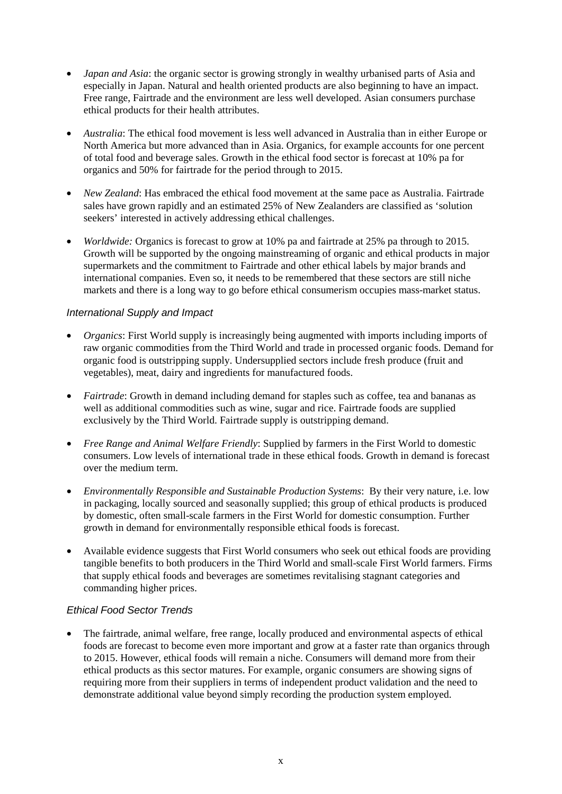- *Japan and Asia*: the organic sector is growing strongly in wealthy urbanised parts of Asia and especially in Japan. Natural and health oriented products are also beginning to have an impact. Free range, Fairtrade and the environment are less well developed. Asian consumers purchase ethical products for their health attributes.
- *Australia*: The ethical food movement is less well advanced in Australia than in either Europe or North America but more advanced than in Asia. Organics, for example accounts for one percent of total food and beverage sales. Growth in the ethical food sector is forecast at 10% pa for organics and 50% for fairtrade for the period through to 2015.
- *New Zealand*: Has embraced the ethical food movement at the same pace as Australia. Fairtrade sales have grown rapidly and an estimated 25% of New Zealanders are classified as 'solution seekers' interested in actively addressing ethical challenges.
- *Worldwide:* Organics is forecast to grow at 10% pa and fairtrade at 25% pa through to 2015. Growth will be supported by the ongoing mainstreaming of organic and ethical products in major supermarkets and the commitment to Fairtrade and other ethical labels by major brands and international companies. Even so, it needs to be remembered that these sectors are still niche markets and there is a long way to go before ethical consumerism occupies mass-market status.

#### *International Supply and Impact*

- *Organics*: First World supply is increasingly being augmented with imports including imports of raw organic commodities from the Third World and trade in processed organic foods. Demand for organic food is outstripping supply. Undersupplied sectors include fresh produce (fruit and vegetables), meat, dairy and ingredients for manufactured foods.
- *Fairtrade*: Growth in demand including demand for staples such as coffee, tea and bananas as well as additional commodities such as wine, sugar and rice. Fairtrade foods are supplied exclusively by the Third World. Fairtrade supply is outstripping demand.
- *Free Range and Animal Welfare Friendly*: Supplied by farmers in the First World to domestic consumers. Low levels of international trade in these ethical foods. Growth in demand is forecast over the medium term.
- *Environmentally Responsible and Sustainable Production Systems*: By their very nature, i.e. low in packaging, locally sourced and seasonally supplied; this group of ethical products is produced by domestic, often small-scale farmers in the First World for domestic consumption. Further growth in demand for environmentally responsible ethical foods is forecast.
- Available evidence suggests that First World consumers who seek out ethical foods are providing tangible benefits to both producers in the Third World and small-scale First World farmers. Firms that supply ethical foods and beverages are sometimes revitalising stagnant categories and commanding higher prices.

#### *Ethical Food Sector Trends*

The fairtrade, animal welfare, free range, locally produced and environmental aspects of ethical foods are forecast to become even more important and grow at a faster rate than organics through to 2015. However, ethical foods will remain a niche. Consumers will demand more from their ethical products as this sector matures. For example, organic consumers are showing signs of requiring more from their suppliers in terms of independent product validation and the need to demonstrate additional value beyond simply recording the production system employed.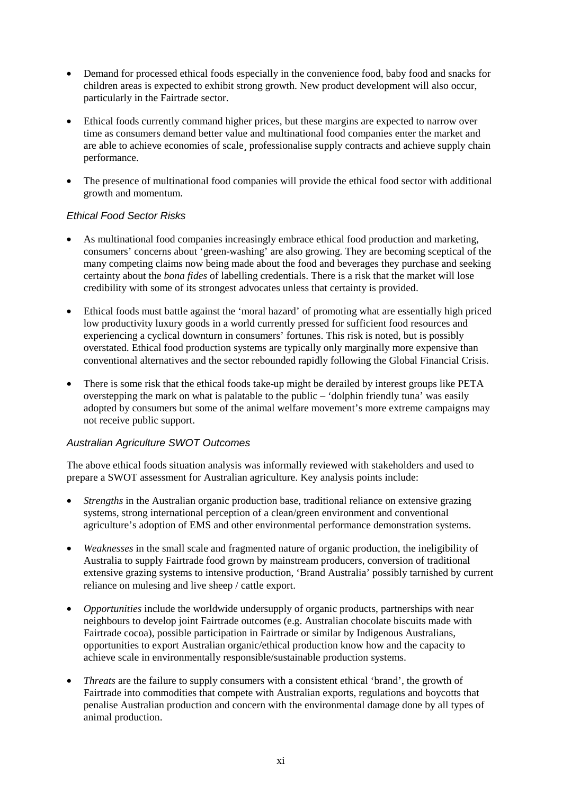- Demand for processed ethical foods especially in the convenience food, baby food and snacks for children areas is expected to exhibit strong growth. New product development will also occur, particularly in the Fairtrade sector.
- Ethical foods currently command higher prices, but these margins are expected to narrow over time as consumers demand better value and multinational food companies enter the market and are able to achieve economies of scale¸ professionalise supply contracts and achieve supply chain performance.
- The presence of multinational food companies will provide the ethical food sector with additional growth and momentum.

#### *Ethical Food Sector Risks*

- As multinational food companies increasingly embrace ethical food production and marketing, consumers' concerns about 'green-washing' are also growing. They are becoming sceptical of the many competing claims now being made about the food and beverages they purchase and seeking certainty about the *bona fides* of labelling credentials. There is a risk that the market will lose credibility with some of its strongest advocates unless that certainty is provided.
- Ethical foods must battle against the 'moral hazard' of promoting what are essentially high priced low productivity luxury goods in a world currently pressed for sufficient food resources and experiencing a cyclical downturn in consumers' fortunes. This risk is noted, but is possibly overstated. Ethical food production systems are typically only marginally more expensive than conventional alternatives and the sector rebounded rapidly following the Global Financial Crisis.
- There is some risk that the ethical foods take-up might be derailed by interest groups like PETA overstepping the mark on what is palatable to the public – 'dolphin friendly tuna' was easily adopted by consumers but some of the animal welfare movement's more extreme campaigns may not receive public support.

#### *Australian Agriculture SWOT Outcomes*

The above ethical foods situation analysis was informally reviewed with stakeholders and used to prepare a SWOT assessment for Australian agriculture. Key analysis points include:

- *Strengths* in the Australian organic production base, traditional reliance on extensive grazing systems, strong international perception of a clean/green environment and conventional agriculture's adoption of EMS and other environmental performance demonstration systems.
- *Weaknesses* in the small scale and fragmented nature of organic production, the ineligibility of Australia to supply Fairtrade food grown by mainstream producers, conversion of traditional extensive grazing systems to intensive production, 'Brand Australia' possibly tarnished by current reliance on mulesing and live sheep / cattle export.
- *Opportunities* include the worldwide undersupply of organic products, partnerships with near neighbours to develop joint Fairtrade outcomes (e.g. Australian chocolate biscuits made with Fairtrade cocoa), possible participation in Fairtrade or similar by Indigenous Australians, opportunities to export Australian organic/ethical production know how and the capacity to achieve scale in environmentally responsible/sustainable production systems.
- *Threats* are the failure to supply consumers with a consistent ethical 'brand', the growth of Fairtrade into commodities that compete with Australian exports, regulations and boycotts that penalise Australian production and concern with the environmental damage done by all types of animal production.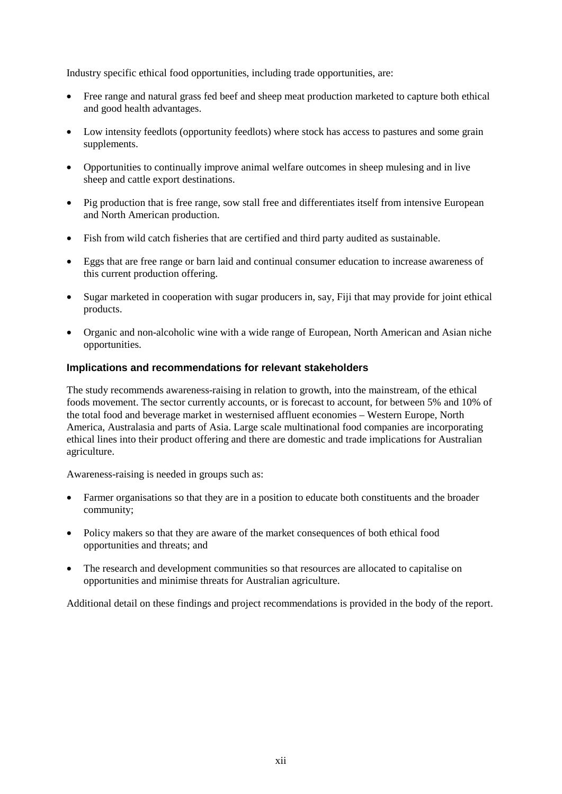Industry specific ethical food opportunities, including trade opportunities, are:

- Free range and natural grass fed beef and sheep meat production marketed to capture both ethical and good health advantages.
- Low intensity feedlots (opportunity feedlots) where stock has access to pastures and some grain supplements.
- Opportunities to continually improve animal welfare outcomes in sheep mulesing and in live sheep and cattle export destinations.
- Pig production that is free range, sow stall free and differentiates itself from intensive European and North American production.
- Fish from wild catch fisheries that are certified and third party audited as sustainable.
- Eggs that are free range or barn laid and continual consumer education to increase awareness of this current production offering.
- Sugar marketed in cooperation with sugar producers in, say, Fiji that may provide for joint ethical products.
- Organic and non-alcoholic wine with a wide range of European, North American and Asian niche opportunities.

#### **Implications and recommendations for relevant stakeholders**

The study recommends awareness-raising in relation to growth, into the mainstream, of the ethical foods movement. The sector currently accounts, or is forecast to account, for between 5% and 10% of the total food and beverage market in westernised affluent economies – Western Europe, North America, Australasia and parts of Asia. Large scale multinational food companies are incorporating ethical lines into their product offering and there are domestic and trade implications for Australian agriculture.

Awareness-raising is needed in groups such as:

- Farmer organisations so that they are in a position to educate both constituents and the broader community;
- Policy makers so that they are aware of the market consequences of both ethical food opportunities and threats; and
- The research and development communities so that resources are allocated to capitalise on opportunities and minimise threats for Australian agriculture.

Additional detail on these findings and project recommendations is provided in the body of the report.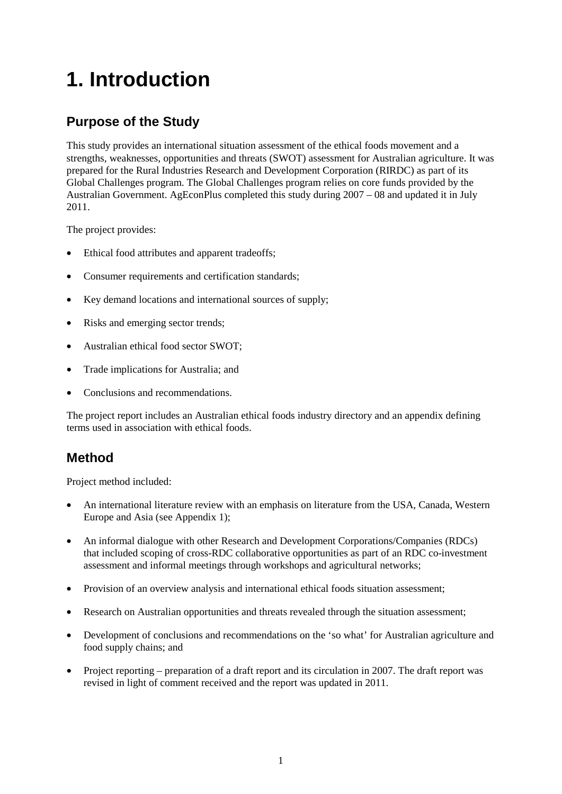# <span id="page-14-0"></span>**1. Introduction**

## **Purpose of the Study**

This study provides an international situation assessment of the ethical foods movement and a strengths, weaknesses, opportunities and threats (SWOT) assessment for Australian agriculture. It was prepared for the Rural Industries Research and Development Corporation (RIRDC) as part of its Global Challenges program. The Global Challenges program relies on core funds provided by the Australian Government. AgEconPlus completed this study during 2007 – 08 and updated it in July 2011.

The project provides:

- Ethical food attributes and apparent tradeoffs;
- Consumer requirements and certification standards;
- Key demand locations and international sources of supply;
- Risks and emerging sector trends;
- Australian ethical food sector SWOT;
- Trade implications for Australia; and
- Conclusions and recommendations.

The project report includes an Australian ethical foods industry directory and an appendix defining terms used in association with ethical foods.

### **Method**

Project method included:

- An international literature review with an emphasis on literature from the USA, Canada, Western Europe and Asia (see Appendix 1);
- An informal dialogue with other Research and Development Corporations/Companies (RDCs) that included scoping of cross-RDC collaborative opportunities as part of an RDC co-investment assessment and informal meetings through workshops and agricultural networks;
- Provision of an overview analysis and international ethical foods situation assessment;
- Research on Australian opportunities and threats revealed through the situation assessment;
- Development of conclusions and recommendations on the 'so what' for Australian agriculture and food supply chains; and
- Project reporting preparation of a draft report and its circulation in 2007. The draft report was revised in light of comment received and the report was updated in 2011.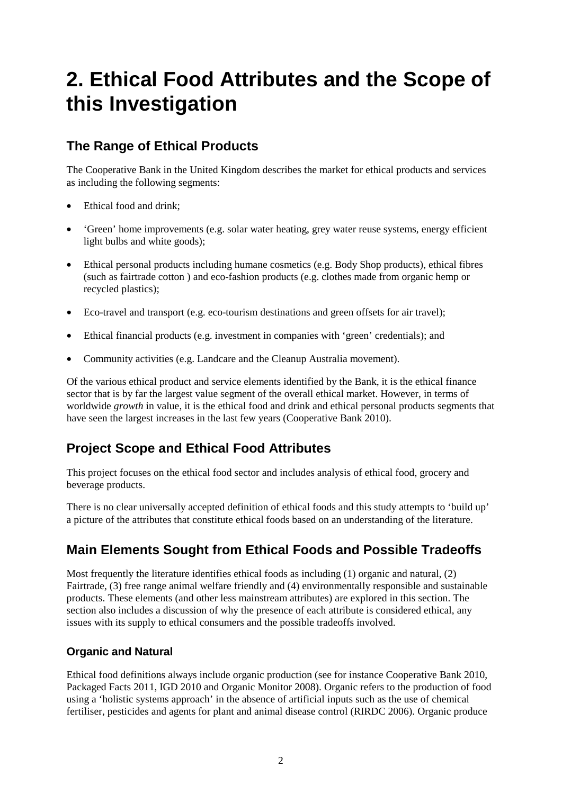# <span id="page-15-0"></span>**2. Ethical Food Attributes and the Scope of this Investigation**

## <span id="page-15-1"></span>**The Range of Ethical Products**

The Cooperative Bank in the United Kingdom describes the market for ethical products and services as including the following segments:

- Ethical food and drink;
- 'Green' home improvements (e.g. solar water heating, grey water reuse systems, energy efficient light bulbs and white goods);
- Ethical personal products including humane cosmetics (e.g. Body Shop products), ethical fibres (such as fairtrade cotton ) and eco-fashion products (e.g. clothes made from organic hemp or recycled plastics);
- Eco-travel and transport (e.g. eco-tourism destinations and green offsets for air travel);
- Ethical financial products (e.g. investment in companies with 'green' credentials); and
- Community activities (e.g. Landcare and the Cleanup Australia movement).

Of the various ethical product and service elements identified by the Bank, it is the ethical finance sector that is by far the largest value segment of the overall ethical market. However, in terms of worldwide *growth* in value, it is the ethical food and drink and ethical personal products segments that have seen the largest increases in the last few years (Cooperative Bank 2010).

# <span id="page-15-2"></span>**Project Scope and Ethical Food Attributes**

This project focuses on the ethical food sector and includes analysis of ethical food, grocery and beverage products.

There is no clear universally accepted definition of ethical foods and this study attempts to 'build up' a picture of the attributes that constitute ethical foods based on an understanding of the literature.

# <span id="page-15-3"></span>**Main Elements Sought from Ethical Foods and Possible Tradeoffs**

Most frequently the literature identifies ethical foods as including (1) organic and natural, (2) Fairtrade, (3) free range animal welfare friendly and (4) environmentally responsible and sustainable products. These elements (and other less mainstream attributes) are explored in this section. The section also includes a discussion of why the presence of each attribute is considered ethical, any issues with its supply to ethical consumers and the possible tradeoffs involved.

### **Organic and Natural**

Ethical food definitions always include organic production (see for instance Cooperative Bank 2010, Packaged Facts 2011, IGD 2010 and Organic Monitor 2008). Organic refers to the production of food using a 'holistic systems approach' in the absence of artificial inputs such as the use of chemical fertiliser, pesticides and agents for plant and animal disease control (RIRDC 2006). Organic produce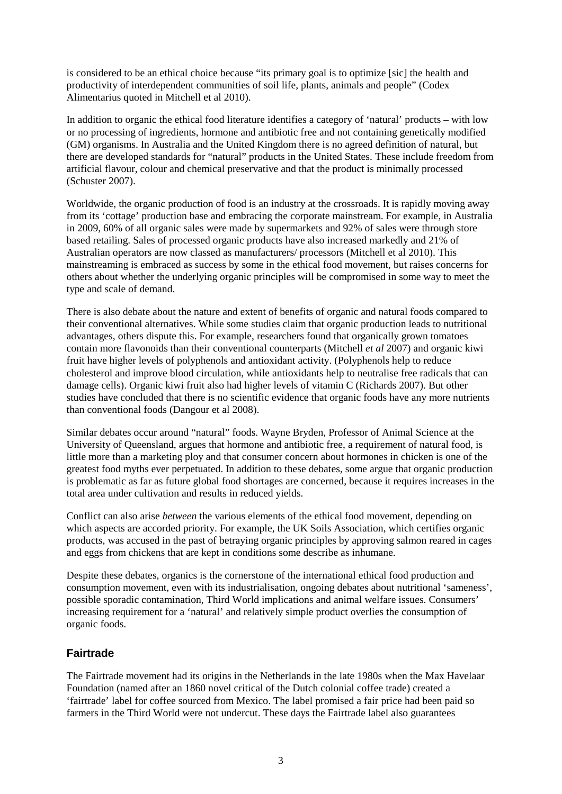is considered to be an ethical choice because "its primary goal is to optimize [sic] the health and productivity of interdependent communities of soil life, plants, animals and people" (Codex Alimentarius quoted in Mitchell et al 2010).

In addition to organic the ethical food literature identifies a category of 'natural' products – with low or no processing of ingredients, hormone and antibiotic free and not containing genetically modified (GM) organisms. In Australia and the United Kingdom there is no agreed definition of natural, but there are developed standards for "natural" products in the United States. These include freedom from artificial flavour, colour and chemical preservative and that the product is minimally processed (Schuster 2007).

Worldwide, the organic production of food is an industry at the crossroads. It is rapidly moving away from its 'cottage' production base and embracing the corporate mainstream. For example, in Australia in 2009, 60% of all organic sales were made by supermarkets and 92% of sales were through store based retailing. Sales of processed organic products have also increased markedly and 21% of Australian operators are now classed as manufacturers/ processors (Mitchell et al 2010). This mainstreaming is embraced as success by some in the ethical food movement, but raises concerns for others about whether the underlying organic principles will be compromised in some way to meet the type and scale of demand.

There is also debate about the nature and extent of benefits of organic and natural foods compared to their conventional alternatives. While some studies claim that organic production leads to nutritional advantages, others dispute this. For example, researchers found that organically grown tomatoes contain more flavonoids than their conventional counterparts (Mitchell *et al* 2007) and organic kiwi fruit have higher levels of polyphenols and antioxidant activity. (Polyphenols help to reduce cholesterol and improve blood circulation, while antioxidants help to neutralise free radicals that can damage cells). Organic kiwi fruit also had higher levels of vitamin C (Richards 2007). But other studies have concluded that there is no scientific evidence that organic foods have any more nutrients than conventional foods (Dangour et al 2008).

Similar debates occur around "natural" foods. Wayne Bryden, Professor of Animal Science at the University of Queensland, argues that hormone and antibiotic free, a requirement of natural food, is little more than a marketing ploy and that consumer concern about hormones in chicken is one of the greatest food myths ever perpetuated. In addition to these debates, some argue that organic production is problematic as far as future global food shortages are concerned, because it requires increases in the total area under cultivation and results in reduced yields.

Conflict can also arise *between* the various elements of the ethical food movement, depending on which aspects are accorded priority. For example, the UK Soils Association, which certifies organic products, was accused in the past of betraying organic principles by approving salmon reared in cages and eggs from chickens that are kept in conditions some describe as inhumane.

Despite these debates, organics is the cornerstone of the international ethical food production and consumption movement, even with its industrialisation, ongoing debates about nutritional 'sameness', possible sporadic contamination, Third World implications and animal welfare issues. Consumers' increasing requirement for a 'natural' and relatively simple product overlies the consumption of organic foods.

#### **Fairtrade**

The Fairtrade movement had its origins in the Netherlands in the late 1980s when the Max Havelaar Foundation (named after an 1860 novel critical of the Dutch colonial coffee trade) created a 'fairtrade' label for coffee sourced from Mexico. The label promised a fair price had been paid so farmers in the Third World were not undercut. These days the Fairtrade label also guarantees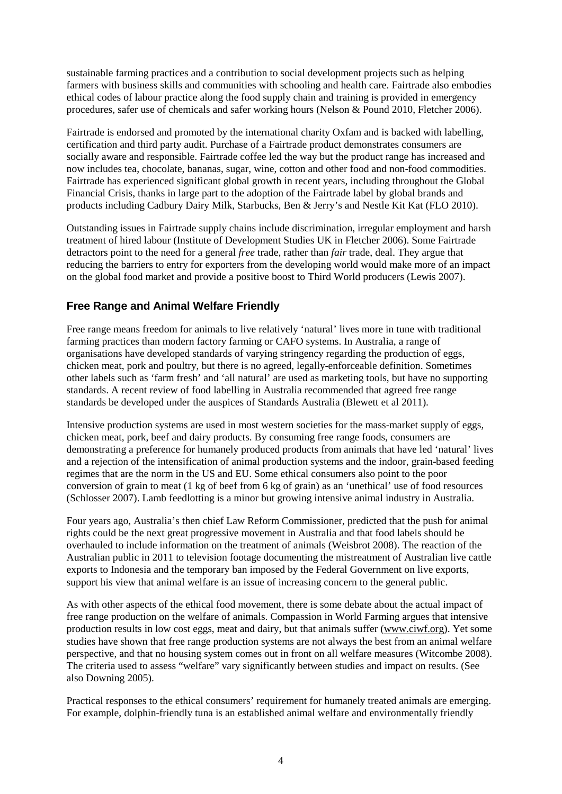sustainable farming practices and a contribution to social development projects such as helping farmers with business skills and communities with schooling and health care. Fairtrade also embodies ethical codes of labour practice along the food supply chain and training is provided in emergency procedures, safer use of chemicals and safer working hours (Nelson & Pound 2010, Fletcher 2006).

Fairtrade is endorsed and promoted by the international charity Oxfam and is backed with labelling, certification and third party audit. Purchase of a Fairtrade product demonstrates consumers are socially aware and responsible. Fairtrade coffee led the way but the product range has increased and now includes tea, chocolate, bananas, sugar, wine, cotton and other food and non-food commodities. Fairtrade has experienced significant global growth in recent years, including throughout the Global Financial Crisis, thanks in large part to the adoption of the Fairtrade label by global brands and products including Cadbury Dairy Milk, Starbucks, Ben & Jerry's and Nestle Kit Kat (FLO 2010).

Outstanding issues in Fairtrade supply chains include discrimination, irregular employment and harsh treatment of hired labour (Institute of Development Studies UK in Fletcher 2006). Some Fairtrade detractors point to the need for a general *free* trade, rather than *fair* trade, deal. They argue that reducing the barriers to entry for exporters from the developing world would make more of an impact on the global food market and provide a positive boost to Third World producers (Lewis 2007).

#### **Free Range and Animal Welfare Friendly**

Free range means freedom for animals to live relatively 'natural' lives more in tune with traditional farming practices than modern factory farming or CAFO systems. In Australia, a range of organisations have developed standards of varying stringency regarding the production of eggs, chicken meat, pork and poultry, but there is no agreed, legally-enforceable definition. Sometimes other labels such as 'farm fresh' and 'all natural' are used as marketing tools, but have no supporting standards. A recent review of food labelling in Australia recommended that agreed free range standards be developed under the auspices of Standards Australia (Blewett et al 2011).

Intensive production systems are used in most western societies for the mass-market supply of eggs, chicken meat, pork, beef and dairy products. By consuming free range foods, consumers are demonstrating a preference for humanely produced products from animals that have led 'natural' lives and a rejection of the intensification of animal production systems and the indoor, grain-based feeding regimes that are the norm in the US and EU. Some ethical consumers also point to the poor conversion of grain to meat (1 kg of beef from 6 kg of grain) as an 'unethical' use of food resources (Schlosser 2007). Lamb feedlotting is a minor but growing intensive animal industry in Australia.

Four years ago, Australia's then chief Law Reform Commissioner, predicted that the push for animal rights could be the next great progressive movement in Australia and that food labels should be overhauled to include information on the treatment of animals (Weisbrot 2008). The reaction of the Australian public in 2011 to television footage documenting the mistreatment of Australian live cattle exports to Indonesia and the temporary ban imposed by the Federal Government on live exports, support his view that animal welfare is an issue of increasing concern to the general public.

As with other aspects of the ethical food movement, there is some debate about the actual impact of free range production on the welfare of animals. Compassion in World Farming argues that intensive production results in low cost eggs, meat and dairy, but that animals suffer [\(www.ciwf.org\)](http://www.ciwf.org/). Yet some studies have shown that free range production systems are not always the best from an animal welfare perspective, and that no housing system comes out in front on all welfare measures (Witcombe 2008). The criteria used to assess "welfare" vary significantly between studies and impact on results. (See also Downing 2005).

Practical responses to the ethical consumers' requirement for humanely treated animals are emerging. For example, dolphin-friendly tuna is an established animal welfare and environmentally friendly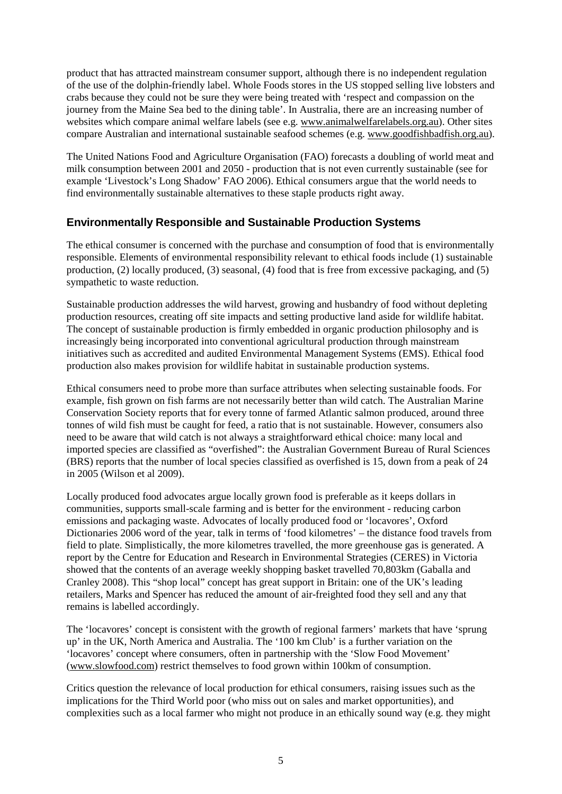product that has attracted mainstream consumer support, although there is no independent regulation of the use of the dolphin-friendly label. Whole Foods stores in the US stopped selling live lobsters and crabs because they could not be sure they were being treated with 'respect and compassion on the journey from the Maine Sea bed to the dining table'. In Australia, there are an increasing number of websites which compare animal welfare labels (see e.g. [www.animalwelfarelabels.org.au\)](http://www.animalwelfarelabels.org.au/). Other sites compare Australian and international sustainable seafood schemes (e.g. [www.goodfishbadfish.org.au\)](http://www.goodfishbadfish.org.au/).

The United Nations Food and Agriculture Organisation (FAO) forecasts a doubling of world meat and milk consumption between 2001 and 2050 - production that is not even currently sustainable (see for example 'Livestock's Long Shadow' FAO 2006). Ethical consumers argue that the world needs to find environmentally sustainable alternatives to these staple products right away.

#### **Environmentally Responsible and Sustainable Production Systems**

The ethical consumer is concerned with the purchase and consumption of food that is environmentally responsible. Elements of environmental responsibility relevant to ethical foods include (1) sustainable production, (2) locally produced, (3) seasonal, (4) food that is free from excessive packaging, and (5) sympathetic to waste reduction.

Sustainable production addresses the wild harvest, growing and husbandry of food without depleting production resources, creating off site impacts and setting productive land aside for wildlife habitat. The concept of sustainable production is firmly embedded in organic production philosophy and is increasingly being incorporated into conventional agricultural production through mainstream initiatives such as accredited and audited Environmental Management Systems (EMS). Ethical food production also makes provision for wildlife habitat in sustainable production systems.

Ethical consumers need to probe more than surface attributes when selecting sustainable foods. For example, fish grown on fish farms are not necessarily better than wild catch. The Australian Marine Conservation Society reports that for every tonne of farmed Atlantic salmon produced, around three tonnes of wild fish must be caught for feed, a ratio that is not sustainable. However, consumers also need to be aware that wild catch is not always a straightforward ethical choice: many local and imported species are classified as "overfished": the Australian Government Bureau of Rural Sciences (BRS) reports that the number of local species classified as overfished is 15, down from a peak of 24 in 2005 (Wilson et al 2009).

Locally produced food advocates argue locally grown food is preferable as it keeps dollars in communities, supports small-scale farming and is better for the environment - reducing carbon emissions and packaging waste. Advocates of locally produced food or 'locavores', Oxford Dictionaries 2006 word of the year, talk in terms of 'food kilometres' – the distance food travels from field to plate. Simplistically, the more kilometres travelled, the more greenhouse gas is generated. A report by the Centre for Education and Research in Environmental Strategies (CERES) in Victoria showed that the contents of an average weekly shopping basket travelled 70,803km (Gaballa and Cranley 2008). This "shop local" concept has great support in Britain: one of the UK's leading retailers, Marks and Spencer has reduced the amount of air-freighted food they sell and any that remains is labelled accordingly.

The 'locavores' concept is consistent with the growth of regional farmers' markets that have 'sprung up' in the UK, North America and Australia. The '100 km Club' is a further variation on the 'locavores' concept where consumers, often in partnership with the 'Slow Food Movement' [\(www.slowfood.com\)](http://www.slowfood.com/) restrict themselves to food grown within 100km of consumption.

Critics question the relevance of local production for ethical consumers, raising issues such as the implications for the Third World poor (who miss out on sales and market opportunities), and complexities such as a local farmer who might not produce in an ethically sound way (e.g. they might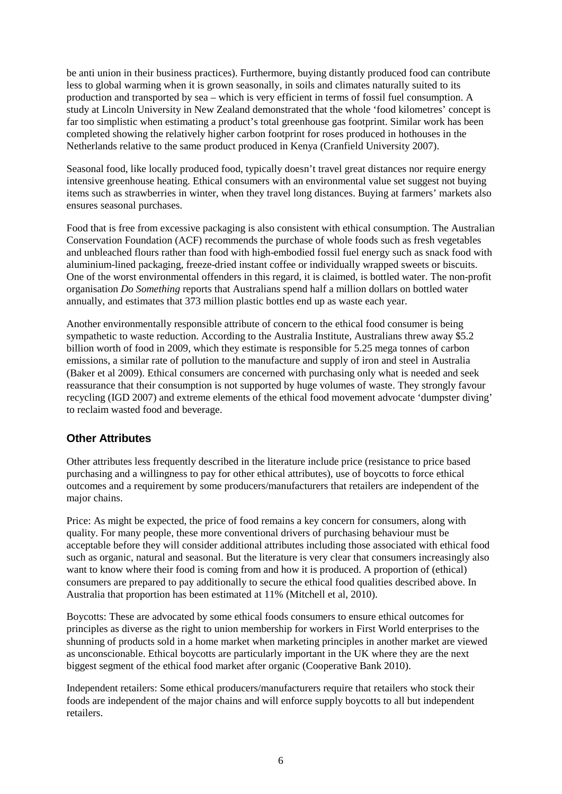be anti union in their business practices). Furthermore, buying distantly produced food can contribute less to global warming when it is grown seasonally, in soils and climates naturally suited to its production and transported by sea – which is very efficient in terms of fossil fuel consumption. A study at Lincoln University in New Zealand demonstrated that the whole 'food kilometres' concept is far too simplistic when estimating a product's total greenhouse gas footprint. Similar work has been completed showing the relatively higher carbon footprint for roses produced in hothouses in the Netherlands relative to the same product produced in Kenya (Cranfield University 2007).

Seasonal food, like locally produced food, typically doesn't travel great distances nor require energy intensive greenhouse heating. Ethical consumers with an environmental value set suggest not buying items such as strawberries in winter, when they travel long distances. Buying at farmers' markets also ensures seasonal purchases.

Food that is free from excessive packaging is also consistent with ethical consumption. The Australian Conservation Foundation (ACF) recommends the purchase of whole foods such as fresh vegetables and unbleached flours rather than food with high-embodied fossil fuel energy such as snack food with aluminium-lined packaging, freeze-dried instant coffee or individually wrapped sweets or biscuits. One of the worst environmental offenders in this regard, it is claimed, is bottled water. The non-profit organisation *Do Something* reports that Australians spend half a million dollars on bottled water annually, and estimates that 373 million plastic bottles end up as waste each year.

Another environmentally responsible attribute of concern to the ethical food consumer is being sympathetic to waste reduction. According to the Australia Institute, Australians threw away \$5.2 billion worth of food in 2009, which they estimate is responsible for 5.25 mega tonnes of carbon emissions, a similar rate of pollution to the manufacture and supply of iron and steel in Australia (Baker et al 2009). Ethical consumers are concerned with purchasing only what is needed and seek reassurance that their consumption is not supported by huge volumes of waste. They strongly favour recycling (IGD 2007) and extreme elements of the ethical food movement advocate 'dumpster diving' to reclaim wasted food and beverage.

#### **Other Attributes**

Other attributes less frequently described in the literature include price (resistance to price based purchasing and a willingness to pay for other ethical attributes), use of boycotts to force ethical outcomes and a requirement by some producers/manufacturers that retailers are independent of the major chains.

Price: As might be expected, the price of food remains a key concern for consumers, along with quality. For many people, these more conventional drivers of purchasing behaviour must be acceptable before they will consider additional attributes including those associated with ethical food such as organic, natural and seasonal. But the literature is very clear that consumers increasingly also want to know where their food is coming from and how it is produced. A proportion of (ethical) consumers are prepared to pay additionally to secure the ethical food qualities described above. In Australia that proportion has been estimated at 11% (Mitchell et al, 2010).

Boycotts: These are advocated by some ethical foods consumers to ensure ethical outcomes for principles as diverse as the right to union membership for workers in First World enterprises to the shunning of products sold in a home market when marketing principles in another market are viewed as unconscionable. Ethical boycotts are particularly important in the UK where they are the next biggest segment of the ethical food market after organic (Cooperative Bank 2010).

Independent retailers: Some ethical producers/manufacturers require that retailers who stock their foods are independent of the major chains and will enforce supply boycotts to all but independent retailers.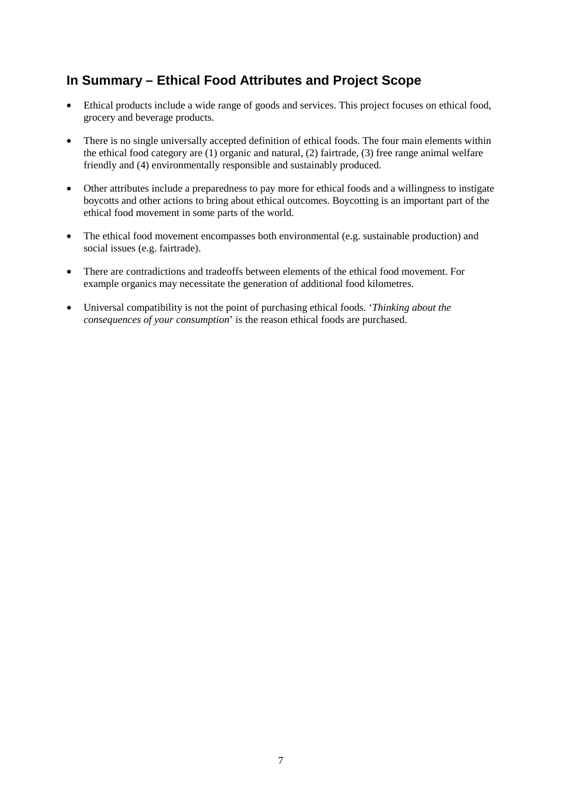## <span id="page-20-0"></span>**In Summary – Ethical Food Attributes and Project Scope**

- Ethical products include a wide range of goods and services. This project focuses on ethical food, grocery and beverage products.
- There is no single universally accepted definition of ethical foods. The four main elements within the ethical food category are (1) organic and natural, (2) fairtrade, (3) free range animal welfare friendly and (4) environmentally responsible and sustainably produced.
- Other attributes include a preparedness to pay more for ethical foods and a willingness to instigate boycotts and other actions to bring about ethical outcomes. Boycotting is an important part of the ethical food movement in some parts of the world.
- The ethical food movement encompasses both environmental (e.g. sustainable production) and social issues (e.g. fairtrade).
- There are contradictions and tradeoffs between elements of the ethical food movement. For example organics may necessitate the generation of additional food kilometres.
- Universal compatibility is not the point of purchasing ethical foods. '*Thinking about the consequences of your consumption*' is the reason ethical foods are purchased.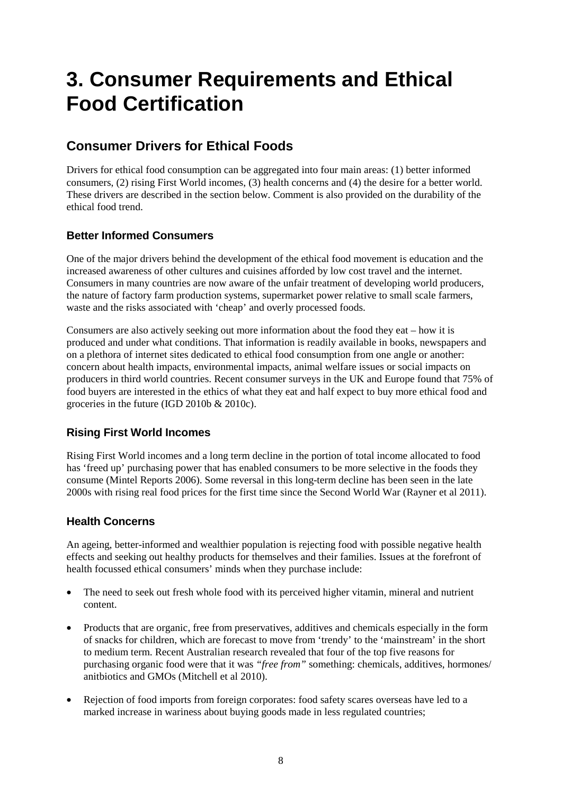# <span id="page-21-0"></span>**3. Consumer Requirements and Ethical Food Certification**

## <span id="page-21-1"></span>**Consumer Drivers for Ethical Foods**

Drivers for ethical food consumption can be aggregated into four main areas: (1) better informed consumers, (2) rising First World incomes, (3) health concerns and (4) the desire for a better world. These drivers are described in the section below. Comment is also provided on the durability of the ethical food trend.

### **Better Informed Consumers**

One of the major drivers behind the development of the ethical food movement is education and the increased awareness of other cultures and cuisines afforded by low cost travel and the internet. Consumers in many countries are now aware of the unfair treatment of developing world producers, the nature of factory farm production systems, supermarket power relative to small scale farmers, waste and the risks associated with 'cheap' and overly processed foods.

Consumers are also actively seeking out more information about the food they eat – how it is produced and under what conditions. That information is readily available in books, newspapers and on a plethora of internet sites dedicated to ethical food consumption from one angle or another: concern about health impacts, environmental impacts, animal welfare issues or social impacts on producers in third world countries. Recent consumer surveys in the UK and Europe found that 75% of food buyers are interested in the ethics of what they eat and half expect to buy more ethical food and groceries in the future (IGD 2010b & 2010c).

### **Rising First World Incomes**

Rising First World incomes and a long term decline in the portion of total income allocated to food has 'freed up' purchasing power that has enabled consumers to be more selective in the foods they consume (Mintel Reports 2006). Some reversal in this long-term decline has been seen in the late 2000s with rising real food prices for the first time since the Second World War (Rayner et al 2011).

#### **Health Concerns**

An ageing, better-informed and wealthier population is rejecting food with possible negative health effects and seeking out healthy products for themselves and their families. Issues at the forefront of health focussed ethical consumers' minds when they purchase include:

- The need to seek out fresh whole food with its perceived higher vitamin, mineral and nutrient content.
- Products that are organic, free from preservatives, additives and chemicals especially in the form of snacks for children, which are forecast to move from 'trendy' to the 'mainstream' in the short to medium term. Recent Australian research revealed that four of the top five reasons for purchasing organic food were that it was *"free from"* something: chemicals, additives, hormones/ anitbiotics and GMOs (Mitchell et al 2010).
- Rejection of food imports from foreign corporates: food safety scares overseas have led to a marked increase in wariness about buying goods made in less regulated countries;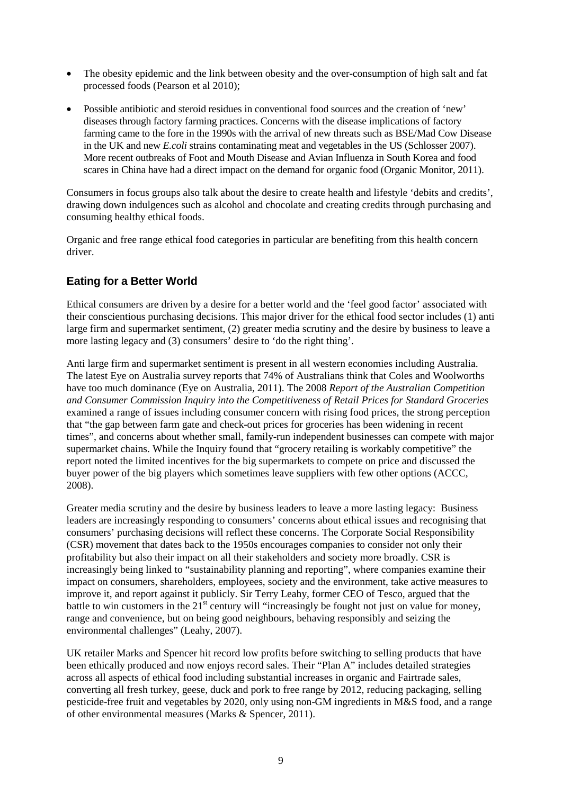- The obesity epidemic and the link between obesity and the over-consumption of high salt and fat processed foods (Pearson et al 2010);
- Possible antibiotic and steroid residues in conventional food sources and the creation of 'new' diseases through factory farming practices. Concerns with the disease implications of factory farming came to the fore in the 1990s with the arrival of new threats such as BSE/Mad Cow Disease in the UK and new *E.coli* strains contaminating meat and vegetables in the US (Schlosser 2007). More recent outbreaks of Foot and Mouth Disease and Avian Influenza in South Korea and food scares in China have had a direct impact on the demand for organic food (Organic Monitor, 2011).

Consumers in focus groups also talk about the desire to create health and lifestyle 'debits and credits', drawing down indulgences such as alcohol and chocolate and creating credits through purchasing and consuming healthy ethical foods.

Organic and free range ethical food categories in particular are benefiting from this health concern driver.

### **Eating for a Better World**

Ethical consumers are driven by a desire for a better world and the 'feel good factor' associated with their conscientious purchasing decisions. This major driver for the ethical food sector includes (1) anti large firm and supermarket sentiment, (2) greater media scrutiny and the desire by business to leave a more lasting legacy and (3) consumers' desire to 'do the right thing'.

Anti large firm and supermarket sentiment is present in all western economies including Australia. The latest Eye on Australia survey reports that 74% of Australians think that Coles and Woolworths have too much dominance (Eye on Australia, 2011). The 2008 *Report of the Australian Competition and Consumer Commission Inquiry into the Competitiveness of Retail Prices for Standard Groceries* examined a range of issues including consumer concern with rising food prices, the strong perception that "the gap between farm gate and check-out prices for groceries has been widening in recent times", and concerns about whether small, family-run independent businesses can compete with major supermarket chains. While the Inquiry found that "grocery retailing is workably competitive" the report noted the limited incentives for the big supermarkets to compete on price and discussed the buyer power of the big players which sometimes leave suppliers with few other options (ACCC, 2008).

Greater media scrutiny and the desire by business leaders to leave a more lasting legacy: Business leaders are increasingly responding to consumers' concerns about ethical issues and recognising that consumers' purchasing decisions will reflect these concerns. The Corporate Social Responsibility (CSR) movement that dates back to the 1950s encourages companies to consider not only their profitability but also their impact on all their stakeholders and society more broadly. CSR is increasingly being linked to "sustainability planning and reporting", where companies examine their impact on consumers, shareholders, employees, society and the environment, take active measures to improve it, and report against it publicly. Sir Terry Leahy, former CEO of Tesco, argued that the battle to win customers in the  $21<sup>st</sup>$  century will "increasingly be fought not just on value for money, range and convenience, but on being good neighbours, behaving responsibly and seizing the environmental challenges" (Leahy, 2007).

UK retailer Marks and Spencer hit record low profits before switching to selling products that have been ethically produced and now enjoys record sales. Their "Plan A" includes detailed strategies across all aspects of ethical food including substantial increases in organic and Fairtrade sales, converting all fresh turkey, geese, duck and pork to free range by 2012, reducing packaging, selling pesticide-free fruit and vegetables by 2020, only using non-GM ingredients in M&S food, and a range of other environmental measures (Marks & Spencer, 2011).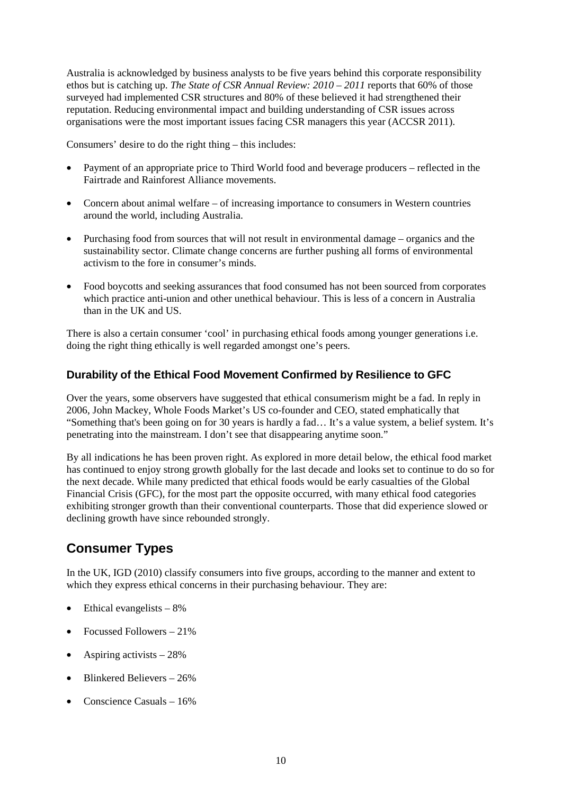Australia is acknowledged by business analysts to be five years behind this corporate responsibility ethos but is catching up. *The State of CSR Annual Review: 2010 – 2011* reports that 60% of those surveyed had implemented CSR structures and 80% of these believed it had strengthened their reputation. Reducing environmental impact and building understanding of CSR issues across organisations were the most important issues facing CSR managers this year (ACCSR 2011).

Consumers' desire to do the right thing – this includes:

- Payment of an appropriate price to Third World food and beverage producers reflected in the Fairtrade and Rainforest Alliance movements.
- Concern about animal welfare of increasing importance to consumers in Western countries around the world, including Australia.
- Purchasing food from sources that will not result in environmental damage organics and the sustainability sector. Climate change concerns are further pushing all forms of environmental activism to the fore in consumer's minds.
- Food boycotts and seeking assurances that food consumed has not been sourced from corporates which practice anti-union and other unethical behaviour. This is less of a concern in Australia than in the UK and US.

There is also a certain consumer 'cool' in purchasing ethical foods among younger generations i.e. doing the right thing ethically is well regarded amongst one's peers.

#### **Durability of the Ethical Food Movement Confirmed by Resilience to GFC**

Over the years, some observers have suggested that ethical consumerism might be a fad. In reply in 2006, John Mackey, Whole Foods Market's US co-founder and CEO, stated emphatically that "Something that's been going on for 30 years is hardly a fad… It's a value system, a belief system. It's penetrating into the mainstream. I don't see that disappearing anytime soon."

By all indications he has been proven right. As explored in more detail below, the ethical food market has continued to enjoy strong growth globally for the last decade and looks set to continue to do so for the next decade. While many predicted that ethical foods would be early casualties of the Global Financial Crisis (GFC), for the most part the opposite occurred, with many ethical food categories exhibiting stronger growth than their conventional counterparts. Those that did experience slowed or declining growth have since rebounded strongly.

## <span id="page-23-0"></span>**Consumer Types**

In the UK, IGD (2010) classify consumers into five groups, according to the manner and extent to which they express ethical concerns in their purchasing behaviour. They are:

- Ethical evangelists  $-8\%$
- Focussed Followers 21%
- Aspiring activists  $-28\%$
- Blinkered Believers 26%
- Conscience Casuals 16%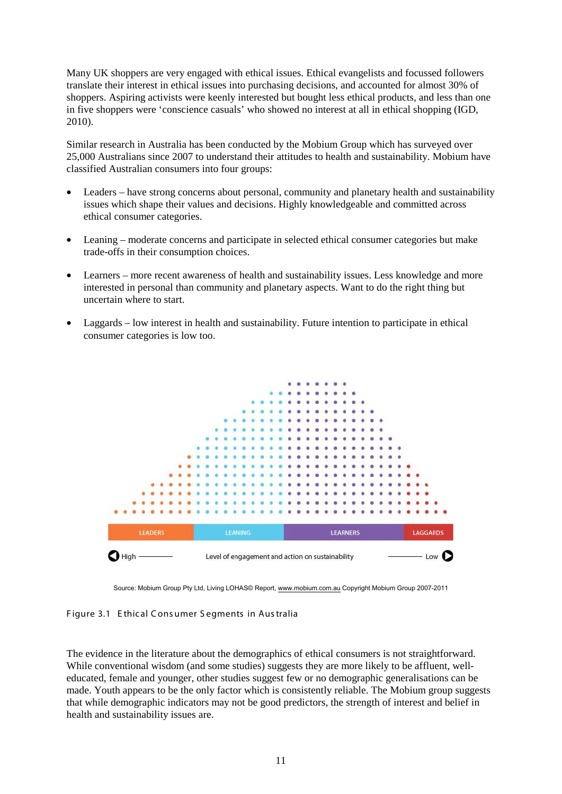Many UK shoppers are very engaged with ethical issues. Ethical evangelists and focussed followers translate their interest in ethical issues into purchasing decisions, and accounted for almost 30% of shoppers. Aspiring activists were keenly interested but bought less ethical products, and less than one in five shoppers were 'conscience casuals' who showed no interest at all in ethical shopping (IGD, 2010).

Similar research in Australia has been conducted by the Mobium Group which has surveyed over 25,000 Australians since 2007 to understand their attitudes to health and sustainability. Mobium have classified Australian consumers into four groups:

- Leaders have strong concerns about personal, community and planetary health and sustainability issues which shape their values and decisions. Highly knowledgeable and committed across ethical consumer categories.
- Leaning moderate concerns and participate in selected ethical consumer categories but make trade-offs in their consumption choices.
- Learners more recent awareness of health and sustainability issues. Less knowledge and more interested in personal than community and planetary aspects. Want to do the right thing but uncertain where to start.
- Laggards low interest in health and sustainability. Future intention to participate in ethical consumer categories is low too.



Source: Mobium Group Pty Ltd, Living LOHAS© Report, [www.mobium.com.au](http://www.mobium.com.au/) Copyright Mobium Group 2007-2011

<span id="page-24-0"></span>Figure 3.1 E thical C ons umer S egments in Aus tralia

The evidence in the literature about the demographics of ethical consumers is not straightforward. While conventional wisdom (and some studies) suggests they are more likely to be affluent, welleducated, female and younger, other studies suggest few or no demographic generalisations can be made. Youth appears to be the only factor which is consistently reliable. The Mobium group suggests that while demographic indicators may not be good predictors, the strength of interest and belief in health and sustainability issues are.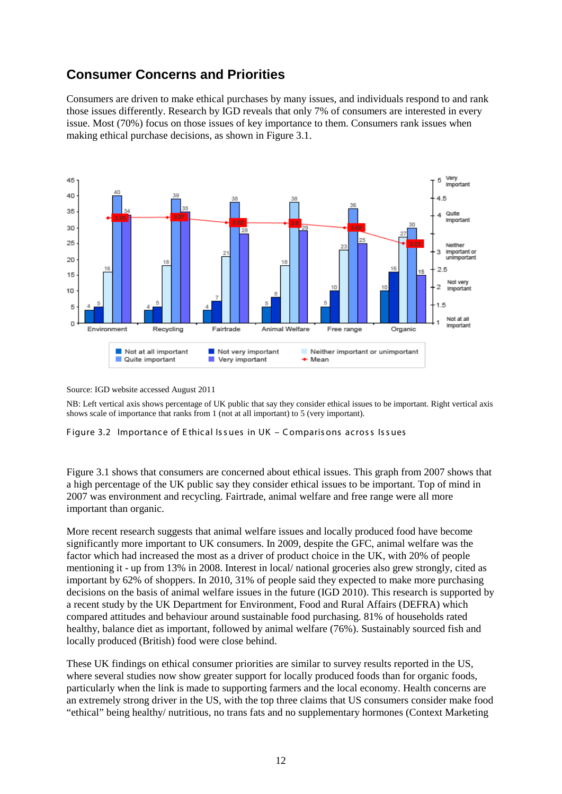## <span id="page-25-0"></span>**Consumer Concerns and Priorities**

Consumers are driven to make ethical purchases by many issues, and individuals respond to and rank those issues differently. Research by IGD reveals that only 7% of consumers are interested in every issue. Most (70%) focus on those issues of key importance to them. Consumers rank issues when making ethical purchase decisions, as shown in Figure 3.1.



Source: IGD website accessed August 2011

NB: Left vertical axis shows percentage of UK public that say they consider ethical issues to be important. Right vertical axis shows scale of importance that ranks from 1 (not at all important) to 5 (very important).

<span id="page-25-1"></span>Figure 3.2 Importance of Ethical Issues in UK - Comparisons across Issues

Figure 3.1 shows that consumers are concerned about ethical issues. This graph from 2007 shows that a high percentage of the UK public say they consider ethical issues to be important. Top of mind in 2007 was environment and recycling. Fairtrade, animal welfare and free range were all more important than organic.

More recent research suggests that animal welfare issues and locally produced food have become significantly more important to UK consumers. In 2009, despite the GFC, animal welfare was the factor which had increased the most as a driver of product choice in the UK, with 20% of people mentioning it - up from 13% in 2008. Interest in local/ national groceries also grew strongly, cited as important by 62% of shoppers. In 2010, 31% of people said they expected to make more purchasing decisions on the basis of animal welfare issues in the future (IGD 2010). This research is supported by a recent study by the UK Department for Environment, Food and Rural Affairs (DEFRA) which compared attitudes and behaviour around sustainable food purchasing. 81% of households rated healthy, balance diet as important, followed by animal welfare (76%). Sustainably sourced fish and locally produced (British) food were close behind.

These UK findings on ethical consumer priorities are similar to survey results reported in the US, where several studies now show greater support for locally produced foods than for organic foods, particularly when the link is made to supporting farmers and the local economy. Health concerns are an extremely strong driver in the US, with the top three claims that US consumers consider make food "ethical" being healthy/ nutritious, no trans fats and no supplementary hormones (Context Marketing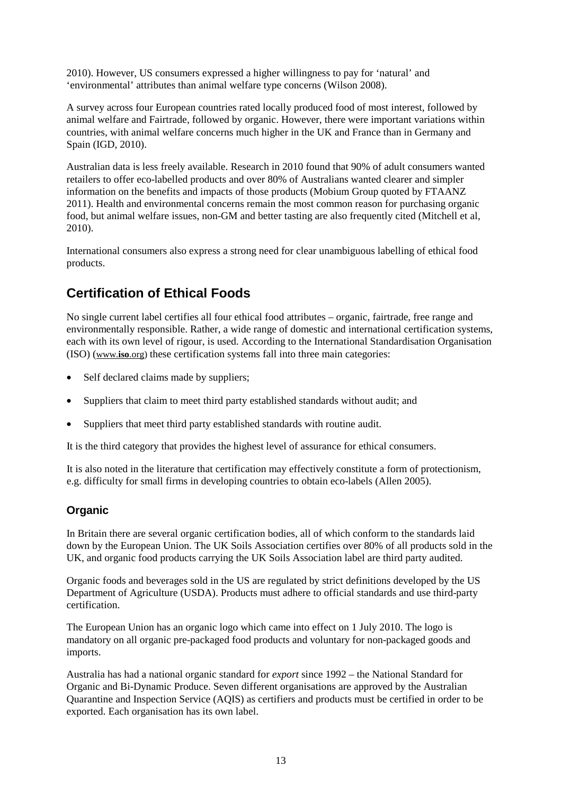2010). However, US consumers expressed a higher willingness to pay for 'natural' and 'environmental' attributes than animal welfare type concerns (Wilson 2008).

A survey across four European countries rated locally produced food of most interest, followed by animal welfare and Fairtrade, followed by organic. However, there were important variations within countries, with animal welfare concerns much higher in the UK and France than in Germany and Spain (IGD, 2010).

Australian data is less freely available. Research in 2010 found that 90% of adult consumers wanted retailers to offer eco-labelled products and over 80% of Australians wanted clearer and simpler information on the benefits and impacts of those products (Mobium Group quoted by FTAANZ 2011). Health and environmental concerns remain the most common reason for purchasing organic food, but animal welfare issues, non-GM and better tasting are also frequently cited (Mitchell et al, 2010).

International consumers also express a strong need for clear unambiguous labelling of ethical food products.

## <span id="page-26-0"></span>**Certification of Ethical Foods**

No single current label certifies all four ethical food attributes – organic, fairtrade, free range and environmentally responsible. Rather, a wide range of domestic and international certification systems, each with its own level of rigour, is used. According to the International Standardisation Organisation (ISO) [\(www.](http://www.iso.org/)**iso**.org) these certification systems fall into three main categories:

- Self declared claims made by suppliers;
- Suppliers that claim to meet third party established standards without audit; and
- Suppliers that meet third party established standards with routine audit.

It is the third category that provides the highest level of assurance for ethical consumers.

It is also noted in the literature that certification may effectively constitute a form of protectionism, e.g. difficulty for small firms in developing countries to obtain eco-labels (Allen 2005).

### **Organic**

In Britain there are several organic certification bodies, all of which conform to the standards laid down by the European Union. The UK Soils Association certifies over 80% of all products sold in the UK, and organic food products carrying the UK Soils Association label are third party audited.

Organic foods and beverages sold in the US are regulated by strict definitions developed by the US Department of Agriculture (USDA). Products must adhere to official standards and use third-party certification.

The European Union has an organic logo which came into effect on 1 July 2010. The logo is mandatory on all organic pre-packaged food products and voluntary for non-packaged goods and imports.

Australia has had a national organic standard for *export* since 1992 – the National Standard for Organic and Bi-Dynamic Produce. Seven different organisations are approved by the Australian Quarantine and Inspection Service (AQIS) as certifiers and products must be certified in order to be exported. Each organisation has its own label.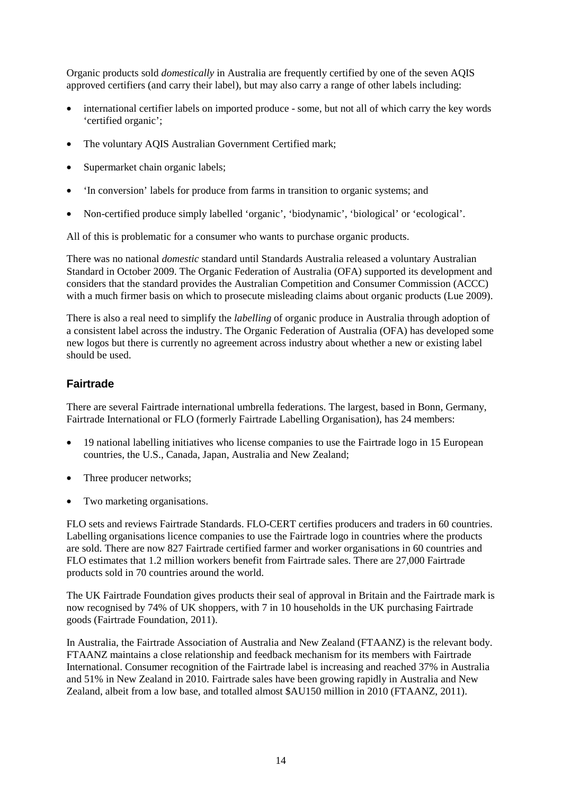Organic products sold *domestically* in Australia are frequently certified by one of the seven AQIS approved certifiers (and carry their label), but may also carry a range of other labels including:

- international certifier labels on imported produce some, but not all of which carry the key words 'certified organic';
- The voluntary AQIS Australian Government Certified mark;
- Supermarket chain organic labels;
- 'In conversion' labels for produce from farms in transition to organic systems; and
- Non-certified produce simply labelled 'organic', 'biodynamic', 'biological' or 'ecological'.

All of this is problematic for a consumer who wants to purchase organic products.

There was no national *domestic* standard until Standards Australia released a voluntary Australian Standard in October 2009. The Organic Federation of Australia (OFA) supported its development and considers that the standard provides the Australian Competition and Consumer Commission (ACCC) with a much firmer basis on which to prosecute misleading claims about organic products (Lue 2009).

There is also a real need to simplify the *labelling* of organic produce in Australia through adoption of a consistent label across the industry. The Organic Federation of Australia (OFA) has developed some new logos but there is currently no agreement across industry about whether a new or existing label should be used.

#### **Fairtrade**

There are several Fairtrade international umbrella federations. The largest, based in Bonn, Germany, Fairtrade International or FLO (formerly Fairtrade Labelling Organisation), has 24 members:

- 19 national labelling initiatives who license companies to use the Fairtrade logo in 15 European countries, the U.S., Canada, Japan, Australia and New Zealand;
- Three producer networks;
- Two marketing organisations.

FLO sets and reviews Fairtrade Standards. FLO-CERT certifies producers and traders in 60 countries. Labelling organisations licence companies to use the Fairtrade logo in countries where the products are sold. There are now 827 Fairtrade certified farmer and worker organisations in 60 countries and FLO estimates that 1.2 million workers benefit from Fairtrade sales. There are 27,000 Fairtrade products sold in 70 countries around the world.

The UK Fairtrade Foundation gives products their seal of approval in Britain and the Fairtrade mark is now recognised by 74% of UK shoppers, with 7 in 10 households in the UK purchasing Fairtrade goods (Fairtrade Foundation, 2011).

In Australia, the Fairtrade Association of Australia and New Zealand (FTAANZ) is the relevant body. FTAANZ maintains a close relationship and feedback mechanism for its members with Fairtrade International. Consumer recognition of the Fairtrade label is increasing and reached 37% in Australia and 51% in New Zealand in 2010. Fairtrade sales have been growing rapidly in Australia and New Zealand, albeit from a low base, and totalled almost \$AU150 million in 2010 (FTAANZ, 2011).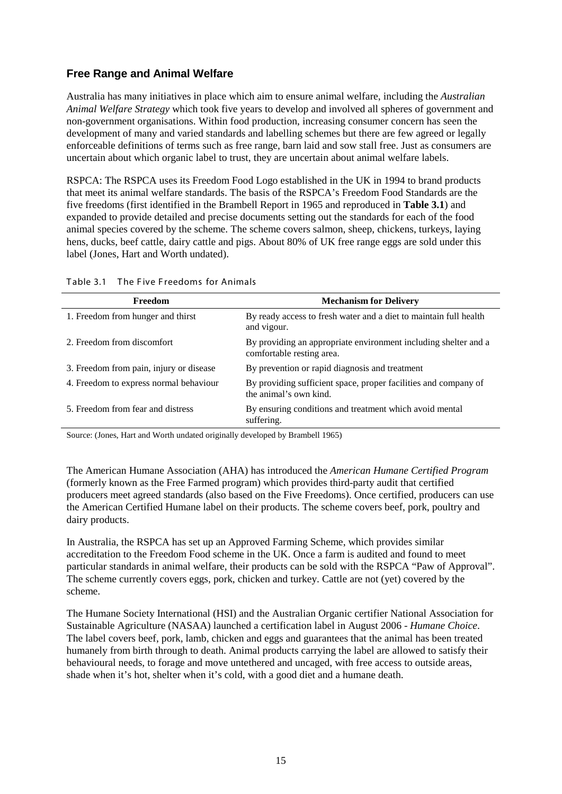### **Free Range and Animal Welfare**

Australia has many initiatives in place which aim to ensure animal welfare, including the *Australian Animal Welfare Strategy* which took five years to develop and involved all spheres of government and non-government organisations. Within food production, increasing consumer concern has seen the development of many and varied standards and labelling schemes but there are few agreed or legally enforceable definitions of terms such as free range, barn laid and sow stall free. Just as consumers are uncertain about which organic label to trust, they are uncertain about animal welfare labels.

RSPCA: The RSPCA uses its Freedom Food Logo established in the UK in 1994 to brand products that meet its animal welfare standards. The basis of the RSPCA's Freedom Food Standards are the five freedoms (first identified in the Brambell Report in 1965 and reproduced in **Table 3.1**) and expanded to provide detailed and precise documents setting out the standards for each of the food animal species covered by the scheme. The scheme covers salmon, sheep, chickens, turkeys, laying hens, ducks, beef cattle, dairy cattle and pigs. About 80% of UK free range eggs are sold under this label (Jones, Hart and Worth undated).

| Freedom                                 | <b>Mechanism for Delivery</b>                                                                |
|-----------------------------------------|----------------------------------------------------------------------------------------------|
| 1. Freedom from hunger and thirst       | By ready access to fresh water and a diet to maintain full health<br>and vigour.             |
| 2. Freedom from discomfort              | By providing an appropriate environment including shelter and a<br>comfortable resting area. |
| 3. Freedom from pain, injury or disease | By prevention or rapid diagnosis and treatment                                               |
| 4. Freedom to express normal behaviour  | By providing sufficient space, proper facilities and company of<br>the animal's own kind.    |
| 5. Freedom from fear and distress       | By ensuring conditions and treatment which avoid mental<br>suffering.                        |

<span id="page-28-0"></span>

|  | Table 3.1 The Five Freedoms for Animals |  |  |  |  |
|--|-----------------------------------------|--|--|--|--|
|--|-----------------------------------------|--|--|--|--|

Source: (Jones, Hart and Worth undated originally developed by Brambell 1965)

The American Humane Association (AHA) has introduced the *American Humane Certified Program* (formerly known as the Free Farmed program) which provides third-party audit that certified producers meet agreed standards (also based on the Five Freedoms). Once certified, producers can use the American Certified Humane label on their products. The scheme covers beef, pork, poultry and dairy products.

In Australia, the RSPCA has set up an Approved Farming Scheme, which provides similar accreditation to the Freedom Food scheme in the UK. Once a farm is audited and found to meet particular standards in animal welfare, their products can be sold with the RSPCA "Paw of Approval". The scheme currently covers eggs, pork, chicken and turkey. Cattle are not (yet) covered by the scheme.

The [Humane Society International](http://www.hsi.org.au/) (HSI) and the Australian Organic certifier National Association for Sustainable Agriculture (NASAA) launched a certification label in August 2006 - *Humane Choice*. The label covers beef, pork, lamb, chicken and eggs and guarantees that the animal has been treated humanely from birth through to death. Animal products carrying the label are allowed to satisfy their behavioural needs, to forage and move untethered and uncaged, with free access to outside areas, shade when it's hot, shelter when it's cold, with a good diet and a humane death.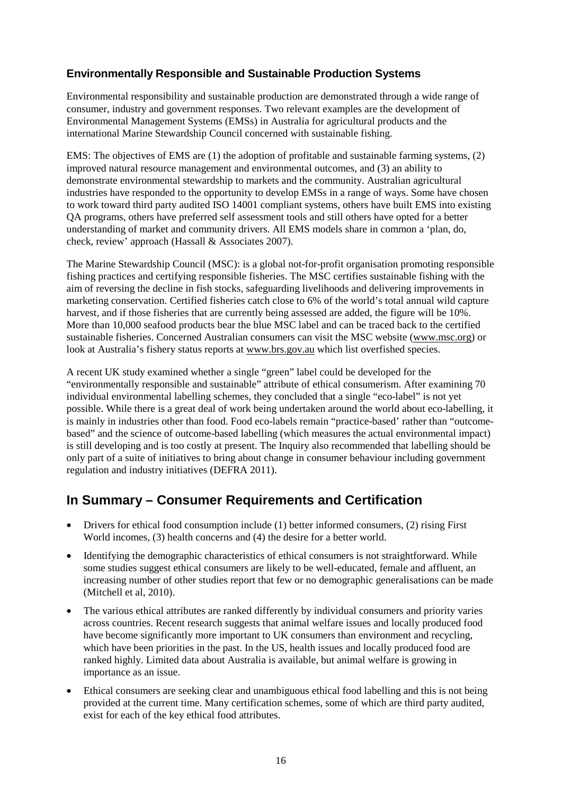### **Environmentally Responsible and Sustainable Production Systems**

Environmental responsibility and sustainable production are demonstrated through a wide range of consumer, industry and government responses. Two relevant examples are the development of Environmental Management Systems (EMSs) in Australia for agricultural products and the international Marine Stewardship Council concerned with sustainable fishing.

EMS: The objectives of EMS are (1) the adoption of profitable and sustainable farming systems, (2) improved natural resource management and environmental outcomes, and (3) an ability to demonstrate environmental stewardship to markets and the community. Australian agricultural industries have responded to the opportunity to develop EMSs in a range of ways. Some have chosen to work toward third party audited ISO 14001 compliant systems, others have built EMS into existing QA programs, others have preferred self assessment tools and still others have opted for a better understanding of market and community drivers. All EMS models share in common a 'plan, do, check, review' approach (Hassall & Associates 2007).

The Marine Stewardship Council (MSC): is a global not-for-profit organisation promoting responsible fishing practices and certifying responsible fisheries. The MSC certifies sustainable fishing with the aim of reversing the decline in fish stocks, safeguarding livelihoods and delivering improvements in marketing conservation. Certified fisheries catch close to 6% of the world's total annual wild capture harvest, and if those fisheries that are currently being assessed are added, the figure will be 10%. More than 10,000 seafood products bear the blue MSC label and can be traced back to the certified sustainable fisheries. Concerned Australian consumers can visit the MSC website [\(www.msc.org\)](http://www.msc.org/) or look at Australia's fishery status reports at [www.brs.gov.au](http://www.brs.gov.au/) which list overfished species.

A recent UK study examined whether a single "green" label could be developed for the "environmentally responsible and sustainable" attribute of ethical consumerism. After examining 70 individual environmental labelling schemes, they concluded that a single "eco-label" is not yet possible. While there is a great deal of work being undertaken around the world about eco-labelling, it is mainly in industries other than food. Food eco-labels remain "practice-based' rather than "outcomebased" and the science of outcome-based labelling (which measures the actual environmental impact) is still developing and is too costly at present. The Inquiry also recommended that labelling should be only part of a suite of initiatives to bring about change in consumer behaviour including government regulation and industry initiatives (DEFRA 2011).

## <span id="page-29-0"></span>**In Summary – Consumer Requirements and Certification**

- Drivers for ethical food consumption include (1) better informed consumers, (2) rising First World incomes, (3) health concerns and (4) the desire for a better world.
- Identifying the demographic characteristics of ethical consumers is not straightforward. While some studies suggest ethical consumers are likely to be well-educated, female and affluent, an increasing number of other studies report that few or no demographic generalisations can be made (Mitchell et al, 2010).
- The various ethical attributes are ranked differently by individual consumers and priority varies across countries. Recent research suggests that animal welfare issues and locally produced food have become significantly more important to UK consumers than environment and recycling, which have been priorities in the past. In the US, health issues and locally produced food are ranked highly. Limited data about Australia is available, but animal welfare is growing in importance as an issue.
- Ethical consumers are seeking clear and unambiguous ethical food labelling and this is not being provided at the current time. Many certification schemes, some of which are third party audited, exist for each of the key ethical food attributes.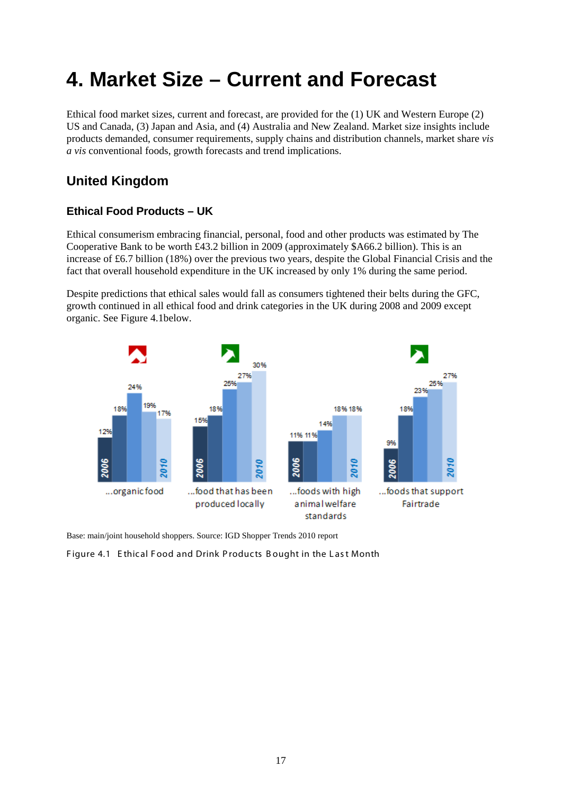# <span id="page-30-0"></span>**4. Market Size – Current and Forecast**

Ethical food market sizes, current and forecast, are provided for the (1) UK and Western Europe (2) US and Canada, (3) Japan and Asia, and (4) Australia and New Zealand. Market size insights include products demanded, consumer requirements, supply chains and distribution channels, market share *vis a vis* conventional foods, growth forecasts and trend implications.

## <span id="page-30-1"></span>**United Kingdom**

### **Ethical Food Products – UK**

Ethical consumerism embracing financial, personal, food and other products was estimated by The Cooperative Bank to be worth £43.2 billion in 2009 (approximately \$A66.2 billion). This is an increase of £6.7 billion (18%) over the previous two years, despite the Global Financial Crisis and the fact that overall household expenditure in the UK increased by only 1% during the same period.

Despite predictions that ethical sales would fall as consumers tightened their belts during the GFC, growth continued in all ethical food and drink categories in the UK during 2008 and 2009 except organic. See Figure 4.1below.



Base: main/joint household shoppers. Source: IG[D Shopper Trends 2010](http://www.igd.com/shoppertrends2010) report

<span id="page-30-2"></span>Figure 4.1 Ethical Food and Drink Products Bought in the Last Month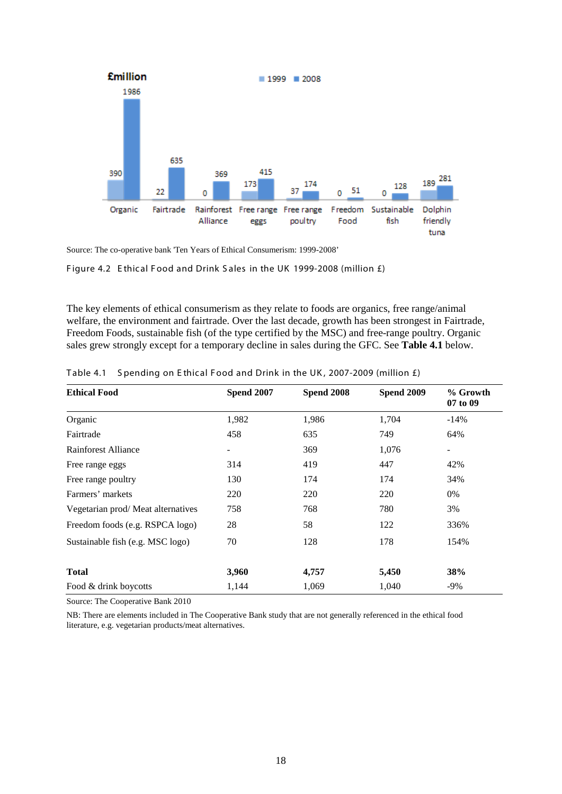

Source: The co-operative bank 'Ten Years of Ethical Consumerism: 1999-2008'

<span id="page-31-1"></span>Figure 4.2 E thical Food and Drink Sales in the UK 1999-2008 (million £)

The key elements of ethical consumerism as they relate to foods are organics, free range/animal welfare, the environment and fairtrade. Over the last decade, growth has been strongest in Fairtrade, Freedom Foods, sustainable fish (of the type certified by the MSC) and free-range poultry. Organic sales grew strongly except for a temporary decline in sales during the GFC. See **Table 4.1** below.

| <b>Ethical Food</b>               | <b>Spend 2007</b> | <b>Spend 2008</b> | <b>Spend 2009</b> | % Growth<br>07 to 09 |  |
|-----------------------------------|-------------------|-------------------|-------------------|----------------------|--|
| Organic                           | 1,982             | 1,986             | 1,704             | $-14\%$              |  |
| Fairtrade                         | 458               | 635               | 749               | 64%                  |  |
| Rainforest Alliance               |                   | 369               | 1,076             |                      |  |
| Free range eggs                   | 314               | 419               | 447               | 42%                  |  |
| Free range poultry                | 130               | 174               | 174               | 34%                  |  |
| Farmers' markets                  | 220               | 220               | 220               | $0\%$                |  |
| Vegetarian prod/Meat alternatives | 758               | 768               | 780               | 3%                   |  |
| Freedom foods (e.g. RSPCA logo)   | 28                | 58                | 122               | 336%                 |  |
| Sustainable fish (e.g. MSC logo)  | 70                | 128               | 178               | 154%                 |  |
| <b>Total</b>                      | 3,960             | 4,757             | 5,450             | 38%                  |  |
| Food & drink boycotts             | 1,144             | 1,069             | 1,040             | $-9\%$               |  |

<span id="page-31-0"></span>Table 4.1 Spending on Ethical Food and Drink in the UK, 2007-2009 (million  $f$ )

Source: The Cooperative Bank 2010

NB: There are elements included in The Cooperative Bank study that are not generally referenced in the ethical food literature, e.g. vegetarian products/meat alternatives.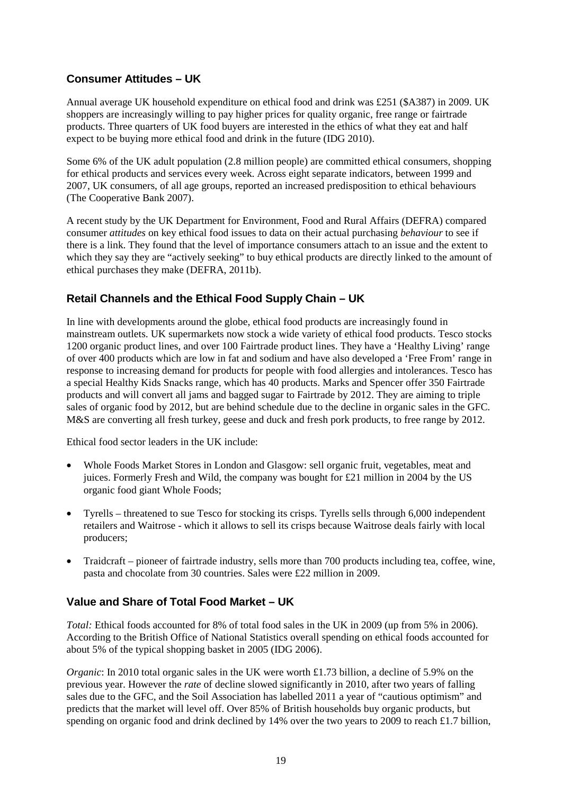#### **Consumer Attitudes – UK**

Annual average UK household expenditure on ethical food and drink was £251 (\$A387) in 2009. UK shoppers are increasingly willing to pay higher prices for quality organic, free range or fairtrade products. Three quarters of UK food buyers are interested in the ethics of what they eat and half expect to be buying more ethical food and drink in the future (IDG 2010).

Some 6% of the UK adult population (2.8 million people) are committed ethical consumers, shopping for ethical products and services every week. Across eight separate indicators, between 1999 and 2007, UK consumers, of all age groups, reported an increased predisposition to ethical behaviours (The Cooperative Bank 2007).

A recent study by the UK Department for Environment, Food and Rural Affairs (DEFRA) compared consumer *attitudes* on key ethical food issues to data on their actual purchasing *behaviour* to see if there is a link. They found that the level of importance consumers attach to an issue and the extent to which they say they are "actively seeking" to buy ethical products are directly linked to the amount of ethical purchases they make (DEFRA, 2011b).

### **Retail Channels and the Ethical Food Supply Chain – UK**

In line with developments around the globe, ethical food products are increasingly found in mainstream outlets. UK supermarkets now stock a wide variety of ethical food products. Tesco stocks 1200 organic product lines, and over 100 Fairtrade product lines. They have a 'Healthy Living' range of over 400 products which are low in fat and sodium and have also developed a 'Free From' range in response to increasing demand for products for people with food allergies and intolerances. Tesco has a special Healthy Kids Snacks range, which has 40 products. Marks and Spencer offer 350 Fairtrade products and will convert all jams and bagged sugar to Fairtrade by 2012. They are aiming to triple sales of organic food by 2012, but are behind schedule due to the decline in organic sales in the GFC. M&S are converting all fresh turkey, geese and duck and fresh pork products, to free range by 2012.

Ethical food sector leaders in the UK include:

- Whole Foods Market Stores in London and Glasgow: sell organic fruit, vegetables, meat and juices. Formerly Fresh and Wild, the company was bought for £21 million in 2004 by the US organic food giant Whole Foods;
- Tyrells threatened to sue Tesco for stocking its crisps. Tyrells sells through 6,000 independent retailers and Waitrose - which it allows to sell its crisps because Waitrose deals fairly with local producers;
- Traidcraft pioneer of fairtrade industry, sells more than 700 products including tea, coffee, wine, pasta and chocolate from 30 countries. Sales were £22 million in 2009.

#### **Value and Share of Total Food Market – UK**

*Total:* Ethical foods accounted for 8% of total food sales in the UK in 2009 (up from 5% in 2006). According to the British Office of National Statistics overall spending on ethical foods accounted for about 5% of the typical shopping basket in 2005 (IDG 2006).

*Organic*: In 2010 total organic sales in the UK were worth £1.73 billion, a decline of 5.9% on the previous year. However the *rate* of decline slowed significantly in 2010, after two years of falling sales due to the GFC, and the Soil Association has labelled 2011 a year of "cautious optimism" and predicts that the market will level off. Over 85% of British households buy organic products, but spending on organic food and drink declined by 14% over the two years to 2009 to reach £1.7 billion,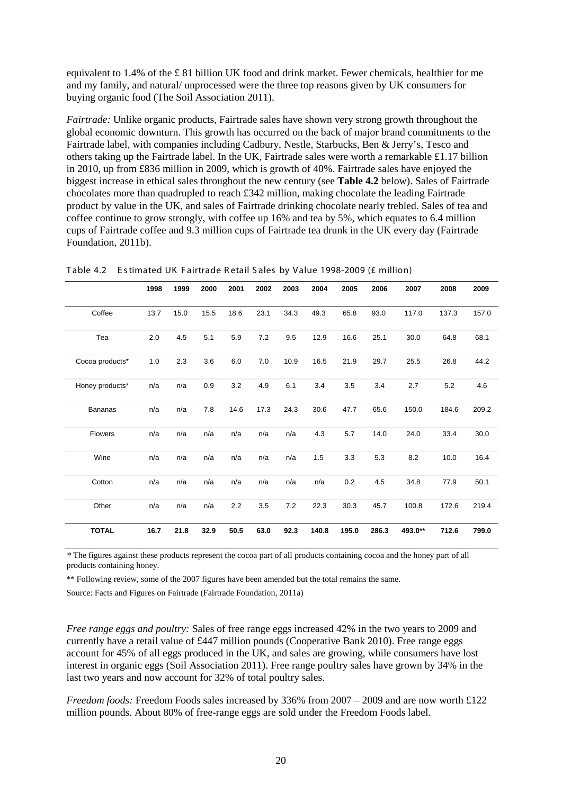equivalent to 1.4% of the £ 81 billion UK food and drink market. Fewer chemicals, healthier for me and my family, and natural/ unprocessed were the three top reasons given by UK consumers for buying organic food (The Soil Association 2011).

*Fairtrade:* Unlike organic products, Fairtrade sales have shown very strong growth throughout the global economic downturn. This growth has occurred on the back of major brand commitments to the Fairtrade label, with companies including Cadbury, Nestle, Starbucks, Ben & Jerry's, Tesco and others taking up the Fairtrade label. In the UK, Fairtrade sales were worth a remarkable £1.17 billion in 2010, up from £836 million in 2009, which is growth of 40%. Fairtrade sales have enjoyed the biggest increase in ethical sales throughout the new century (see **Table 4.2** below). Sales of Fairtrade chocolates more than quadrupled to reach  $\text{\pounds}342$  million, making chocolate the leading Fairtrade product by value in the UK, and sales of Fairtrade drinking chocolate nearly trebled. Sales of tea and coffee continue to grow strongly, with coffee up 16% and tea by 5%, which equates to 6.4 million cups of Fairtrade coffee and 9.3 million cups of Fairtrade tea drunk in the UK every day (Fairtrade Foundation, 2011b).

|                 | 1998 | 1999 | 2000 | 2001 | 2002    | 2003 | 2004  | 2005  | 2006  | 2007    | 2008  | 2009  |
|-----------------|------|------|------|------|---------|------|-------|-------|-------|---------|-------|-------|
| Coffee          | 13.7 | 15.0 | 15.5 | 18.6 | 23.1    | 34.3 | 49.3  | 65.8  | 93.0  | 117.0   | 137.3 | 157.0 |
| Tea             | 2.0  | 4.5  | 5.1  | 5.9  | 7.2     | 9.5  | 12.9  | 16.6  | 25.1  | 30.0    | 64.8  | 68.1  |
| Cocoa products* | 1.0  | 2.3  | 3.6  | 6.0  | $7.0\,$ | 10.9 | 16.5  | 21.9  | 29.7  | 25.5    | 26.8  | 44.2  |
| Honey products* | n/a  | n/a  | 0.9  | 3.2  | 4.9     | 6.1  | 3.4   | 3.5   | 3.4   | 2.7     | 5.2   | 4.6   |
| Bananas         | n/a  | n/a  | 7.8  | 14.6 | 17.3    | 24.3 | 30.6  | 47.7  | 65.6  | 150.0   | 184.6 | 209.2 |
| <b>Flowers</b>  | n/a  | n/a  | n/a  | n/a  | n/a     | n/a  | 4.3   | 5.7   | 14.0  | 24.0    | 33.4  | 30.0  |
| Wine            | n/a  | n/a  | n/a  | n/a  | n/a     | n/a  | 1.5   | 3.3   | 5.3   | 8.2     | 10.0  | 16.4  |
| Cotton          | n/a  | n/a  | n/a  | n/a  | n/a     | n/a  | n/a   | 0.2   | 4.5   | 34.8    | 77.9  | 50.1  |
| Other           | n/a  | n/a  | n/a  | 2.2  | 3.5     | 7.2  | 22.3  | 30.3  | 45.7  | 100.8   | 172.6 | 219.4 |
| <b>TOTAL</b>    | 16.7 | 21.8 | 32.9 | 50.5 | 63.0    | 92.3 | 140.8 | 195.0 | 286.3 | 493.0** | 712.6 | 799.0 |

<span id="page-33-0"></span>Table 4.2 Estimated UK Fairtrade Retail Sales by Value 1998-2009 (£ million)

\* The figures against these products represent the cocoa part of all products containing cocoa and the honey part of all products containing honey.

\*\* Following review, some of the 2007 figures have been amended but the total remains the same.

Source: Facts and Figures on Fairtrade (Fairtrade Foundation, 2011a)

*Free range eggs and poultry:* Sales of free range eggs increased 42% in the two years to 2009 and currently have a retail value of £447 million pounds (Cooperative Bank 2010). Free range eggs account for 45% of all eggs produced in the UK, and sales are growing, while consumers have lost interest in organic eggs (Soil Association 2011). Free range poultry sales have grown by 34% in the last two years and now account for 32% of total poultry sales.

*Freedom foods:* Freedom Foods sales increased by 336% from 2007 – 2009 and are now worth £122 million pounds. About 80% of free-range eggs are sold under the Freedom Foods label.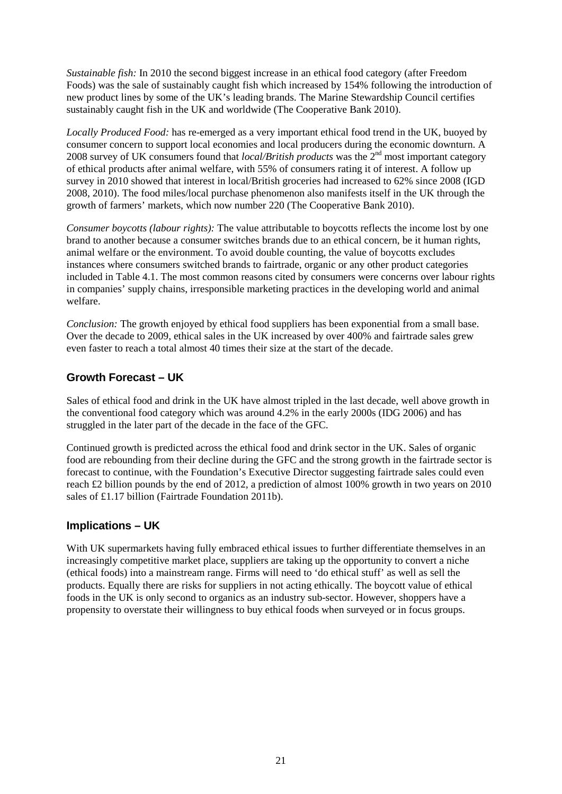*Sustainable fish:* In 2010 the second biggest increase in an ethical food category (after Freedom Foods) was the sale of sustainably caught fish which increased by 154% following the introduction of new product lines by some of the UK's leading brands. The Marine Stewardship Council certifies sustainably caught fish in the UK and worldwide (The Cooperative Bank 2010).

*Locally Produced Food:* has re-emerged as a very important ethical food trend in the UK, buoyed by consumer concern to support local economies and local producers during the economic downturn. A 2008 survey of UK consumers found that *local/British products* was the 2<sup>nd</sup> most important category of ethical products after animal welfare, with 55% of consumers rating it of interest. A follow up survey in 2010 showed that interest in local/British groceries had increased to 62% since 2008 (IGD 2008, 2010). The food miles/local purchase phenomenon also manifests itself in the UK through the growth of farmers' markets, which now number 220 (The Cooperative Bank 2010).

*Consumer boycotts (labour rights):* The value attributable to boycotts reflects the income lost by one brand to another because a consumer switches brands due to an ethical concern, be it human rights, animal welfare or the environment. To avoid double counting, the value of boycotts excludes instances where consumers switched brands to fairtrade, organic or any other product categories included in Table 4.1. The most common reasons cited by consumers were concerns over labour rights in companies' supply chains, irresponsible marketing practices in the developing world and animal welfare.

*Conclusion:* The growth enjoyed by ethical food suppliers has been exponential from a small base. Over the decade to 2009, ethical sales in the UK increased by over 400% and fairtrade sales grew even faster to reach a total almost 40 times their size at the start of the decade.

#### **Growth Forecast – UK**

Sales of ethical food and drink in the UK have almost tripled in the last decade, well above growth in the conventional food category which was around 4.2% in the early 2000s (IDG 2006) and has struggled in the later part of the decade in the face of the GFC.

Continued growth is predicted across the ethical food and drink sector in the UK. Sales of organic food are rebounding from their decline during the GFC and the strong growth in the fairtrade sector is forecast to continue, with the Foundation's Executive Director suggesting fairtrade sales could even reach £2 billion pounds by the end of 2012, a prediction of almost 100% growth in two years on 2010 sales of £1.17 billion (Fairtrade Foundation 2011b).

#### **Implications – UK**

<span id="page-34-0"></span>With UK supermarkets having fully embraced ethical issues to further differentiate themselves in an increasingly competitive market place, suppliers are taking up the opportunity to convert a niche (ethical foods) into a mainstream range. Firms will need to 'do ethical stuff' as well as sell the products. Equally there are risks for suppliers in not acting ethically. The boycott value of ethical foods in the UK is only second to organics as an industry sub-sector. However, shoppers have a propensity to overstate their willingness to buy ethical foods when surveyed or in focus groups.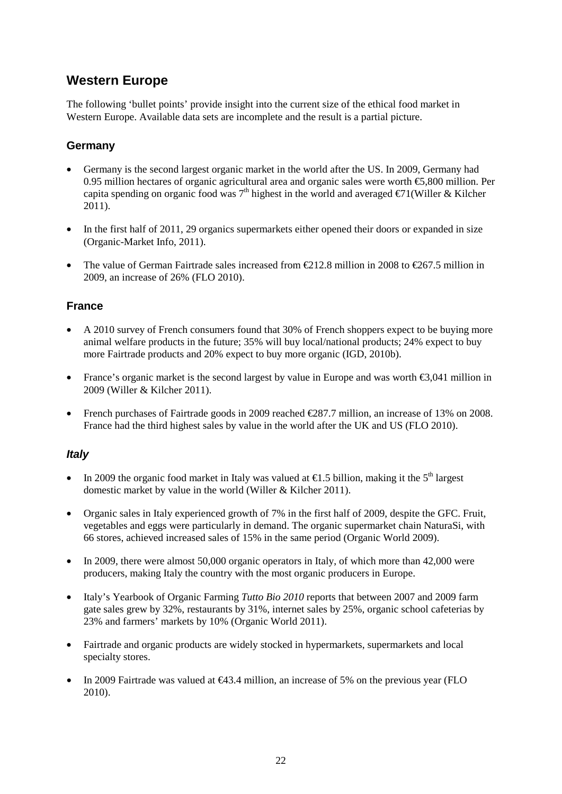## **Western Europe**

The following 'bullet points' provide insight into the current size of the ethical food market in Western Europe. Available data sets are incomplete and the result is a partial picture.

#### **Germany**

- Germany is the second largest organic market in the world after the US. In 2009, Germany had 0.95 million hectares of organic agricultural area and organic sales were worth €5,800 million. Per capita spending on organic food was  $7<sup>th</sup>$  highest in the world and averaged  $\epsilon/1$ (Willer & Kilcher 2011).
- In the first half of 2011, 29 organics supermarkets either opened their doors or expanded in size (Organic-Market Info, 2011).
- The value of German Fairtrade sales increased from  $\text{\textsterling}12.8$  million in 2008 to  $\text{\textsterling}267.5$  million in 2009, an increase of 26% (FLO 2010).

#### **France**

- A 2010 survey of French consumers found that 30% of French shoppers expect to be buying more animal welfare products in the future; 35% will buy local/national products; 24% expect to buy more Fairtrade products and 20% expect to buy more organic (IGD, 2010b).
- France's organic market is the second largest by value in Europe and was worth  $\epsilon$ 3,041 million in 2009 (Willer & Kilcher 2011).
- French purchases of Fairtrade goods in 2009 reached  $\text{\textsterling}87.7$  million, an increase of 13% on 2008. France had the third highest sales by value in the world after the UK and US (FLO 2010).

#### *Italy*

- In 2009 the organic food market in Italy was valued at  $\epsilon$ 1.5 billion, making it the 5<sup>th</sup> largest domestic market by value in the world (Willer & Kilcher 2011).
- Organic sales in Italy experienced growth of 7% in the first half of 2009, despite the GFC. Fruit, vegetables and eggs were particularly in demand. The organic supermarket chain NaturaSi, with 66 stores, achieved increased sales of 15% in the same period (Organic World 2009).
- In 2009, there were almost 50,000 organic operators in Italy, of which more than 42,000 were producers, making Italy the country with the most organic producers in Europe.
- Italy's Yearbook of Organic Farming *Tutto Bio 2010* reports that between 2007 and 2009 farm gate sales grew by 32%, restaurants by 31%, internet sales by 25%, organic school cafeterias by 23% and farmers' markets by 10% (Organic World 2011).
- Fairtrade and organic products are widely stocked in hypermarkets, supermarkets and local specialty stores.
- In 2009 Fairtrade was valued at  $\bigoplus$  3.4 million, an increase of 5% on the previous year (FLO 2010).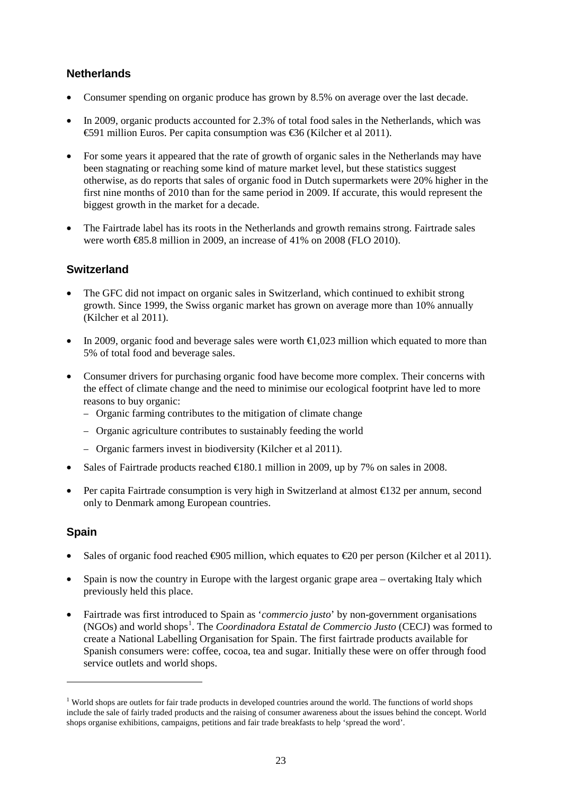#### **Netherlands**

- Consumer spending on organic produce has grown by 8.5% on average over the last decade.
- In 2009, organic products accounted for 2.3% of total food sales in the Netherlands, which was €591 million Euros. Per capita consumption was €36 (Kilcher et al 2011).
- For some years it appeared that the rate of growth of organic sales in the Netherlands may have been stagnating or reaching some kind of mature market level, but these statistics suggest otherwise, as do reports that sales of organic food in Dutch supermarkets were 20% higher in the first nine months of 2010 than for the same period in 2009. If accurate, this would represent the biggest growth in the market for a decade.
- The Fairtrade label has its roots in the Netherlands and growth remains strong. Fairtrade sales were worth €85.8 million in 2009, an increase of 41% on 2008 (FLO 2010).

#### **Switzerland**

- The GFC did not impact on organic sales in Switzerland, which continued to exhibit strong growth. Since 1999, the Swiss organic market has grown on average more than 10% annually (Kilcher et al 2011).
- In 2009, organic food and beverage sales were worth  $\epsilon$ 1,023 million which equated to more than 5% of total food and beverage sales.
- Consumer drivers for purchasing organic food have become more complex. Their concerns with the effect of climate change and the need to minimise our ecological footprint have led to more reasons to buy organic:
	- − Organic farming contributes to the mitigation of climate change
	- − Organic agriculture contributes to sustainably feeding the world
	- − Organic farmers invest in biodiversity (Kilcher et al 2011).
- Sales of Fairtrade products reached  $\in$  180.1 million in 2009, up by 7% on sales in 2008.
- Per capita Fairtrade consumption is very high in Switzerland at almost €132 per annum, second only to Denmark among European countries.

#### **Spain**

 $\ddot{\phantom{a}}$ 

- Sales of organic food reached  $\Theta$ 05 million, which equates to  $\Theta$  per person (Kilcher et al 2011).
- Spain is now the country in Europe with the largest organic grape area overtaking Italy which previously held this place.
- Fairtrade was first introduced to Spain as '*commercio justo*' by non-government organisations (NGOs) and world shops<sup>[1](#page-36-0)</sup>. The *Coordinadora Estatal de Commercio Justo* (CECJ) was formed to create a National Labelling Organisation for Spain. The first fairtrade products available for Spanish consumers were: coffee, cocoa, tea and sugar. Initially these were on offer through food service outlets and world shops.

<span id="page-36-0"></span><sup>&</sup>lt;sup>1</sup> World shops are outlets for fair trade products in developed countries around the world. The functions of world shops include the sale of fairly traded products and the raising of consumer awareness about the issues behind the concept. World shops organise exhibitions, campaigns, petitions and fair trade breakfasts to help 'spread the word'.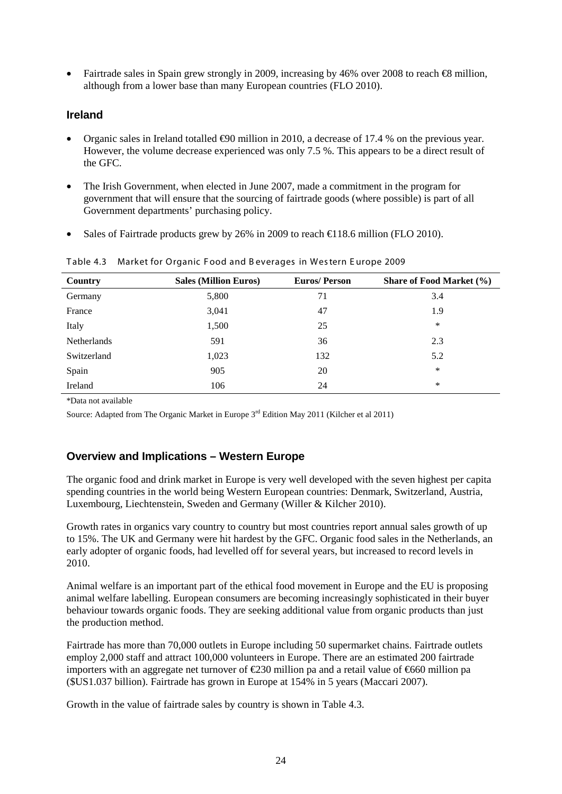Fairtrade sales in Spain grew strongly in 2009, increasing by 46% over 2008 to reach  $\bigoplus$  million, although from a lower base than many European countries (FLO 2010).

#### **Ireland**

- Organic sales in Ireland totalled €90 million in 2010, a decrease of 17.4 % on the previous year. However, the volume decrease experienced was only 7.5 %. This appears to be a direct result of the GFC.
- The Irish Government, when elected in June 2007, made a commitment in the program for government that will ensure that the sourcing of fairtrade goods (where possible) is part of all Government departments' purchasing policy.
- Sales of Fairtrade products grew by 26% in 2009 to reach  $\text{\textsterling}18.6$  million (FLO 2010).

| Country            | <b>Sales (Million Euros)</b> | <b>Euros/Person</b> | Share of Food Market (%) |
|--------------------|------------------------------|---------------------|--------------------------|
| Germany            | 5,800                        | 71                  | 3.4                      |
| France             | 3,041                        | 47                  | 1.9                      |
| Italy              | 1,500                        | 25                  | *                        |
| <b>Netherlands</b> | 591                          | 36                  | 2.3                      |
| Switzerland        | 1,023                        | 132                 | 5.2                      |
| Spain              | 905                          | 20                  | *                        |
| Ireland            | 106                          | 24                  | *                        |

Table 4.3 Market for Organic F ood and B everages in Wes tern E urope 2009

\*Data not available

Source: Adapted from The Organic Market in Europe 3rd Edition May 2011 (Kilcher et al 2011)

#### **Overview and Implications – Western Europe**

The organic food and drink market in Europe is very well developed with the seven highest per capita spending countries in the world being Western European countries: Denmark, Switzerland, Austria, Luxembourg, Liechtenstein, Sweden and Germany (Willer & Kilcher 2010).

Growth rates in organics vary country to country but most countries report annual sales growth of up to 15%. The UK and Germany were hit hardest by the GFC. Organic food sales in the Netherlands, an early adopter of organic foods, had levelled off for several years, but increased to record levels in 2010.

Animal welfare is an important part of the ethical food movement in Europe and the EU is proposing animal welfare labelling. European consumers are becoming increasingly sophisticated in their buyer behaviour towards organic foods. They are seeking additional value from organic products than just the production method.

Fairtrade has more than 70,000 outlets in Europe including 50 supermarket chains. Fairtrade outlets employ 2,000 staff and attract 100,000 volunteers in Europe. There are an estimated 200 fairtrade importers with an aggregate net turnover of €230 million pa and a retail value of €660 million pa (\$US1.037 billion). Fairtrade has grown in Europe at 154% in 5 years (Maccari 2007).

Growth in the value of fairtrade sales by country is shown in Table 4.3.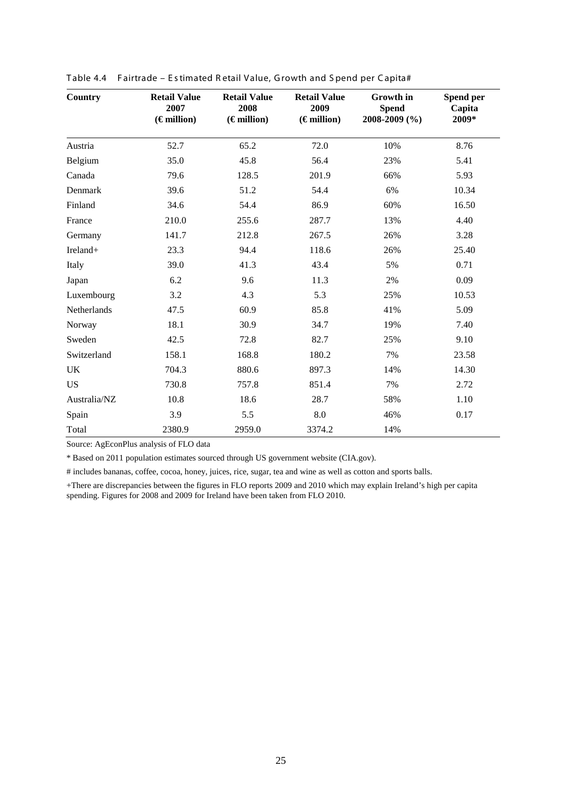| <b>Country</b> | <b>Retail Value</b><br>2007<br>$(\epsilon$ million) | <b>Retail Value</b><br>2008<br>$(\epsilon$ million) | <b>Retail Value</b><br>2009<br>$(\epsilon$ million) | Growth in<br><b>Spend</b><br>2008-2009 (%) | Spend per<br>Capita<br>2009* |
|----------------|-----------------------------------------------------|-----------------------------------------------------|-----------------------------------------------------|--------------------------------------------|------------------------------|
| Austria        | 52.7                                                | 65.2                                                | 72.0                                                | 10%                                        | 8.76                         |
| Belgium        | 35.0                                                | 45.8                                                | 56.4                                                | 23%                                        | 5.41                         |
| Canada         | 79.6                                                | 128.5                                               | 201.9                                               | 66%                                        | 5.93                         |
| Denmark        | 39.6                                                | 51.2                                                | 54.4                                                | 6%                                         | 10.34                        |
| Finland        | 34.6                                                | 54.4                                                | 86.9                                                | 60%                                        | 16.50                        |
| France         | 210.0                                               | 255.6                                               | 287.7                                               | 13%                                        | 4.40                         |
| Germany        | 141.7                                               | 212.8                                               | 267.5                                               | 26%                                        | 3.28                         |
| Ireland+       | 23.3                                                | 94.4                                                | 118.6                                               | 26%                                        | 25.40                        |
| Italy          | 39.0                                                | 41.3                                                | 43.4                                                | 5%                                         | 0.71                         |
| Japan          | 6.2                                                 | 9.6                                                 | 11.3                                                | 2%                                         | 0.09                         |
| Luxembourg     | 3.2                                                 | 4.3                                                 | 5.3                                                 | 25%                                        | 10.53                        |
| Netherlands    | 47.5                                                | 60.9                                                | 85.8                                                | 41%                                        | 5.09                         |
| Norway         | 18.1                                                | 30.9                                                | 34.7                                                | 19%                                        | 7.40                         |
| Sweden         | 42.5                                                | 72.8                                                | 82.7                                                | 25%                                        | 9.10                         |
| Switzerland    | 158.1                                               | 168.8                                               | 180.2                                               | 7%                                         | 23.58                        |
| UK             | 704.3                                               | 880.6                                               | 897.3                                               | 14%                                        | 14.30                        |
| <b>US</b>      | 730.8                                               | 757.8                                               | 851.4                                               | 7%                                         | 2.72                         |
| Australia/NZ   | 10.8                                                | 18.6                                                | 28.7                                                | 58%                                        | 1.10                         |
| Spain          | 3.9                                                 | 5.5                                                 | 8.0                                                 | 46%                                        | 0.17                         |
| Total          | 2380.9                                              | 2959.0                                              | 3374.2                                              | 14%                                        |                              |

| Table 4.4 Fairtrade - Estimated Retail Value, Growth and Spend per Capita# |  |  |  |  |  |  |  |  |  |  |
|----------------------------------------------------------------------------|--|--|--|--|--|--|--|--|--|--|
|----------------------------------------------------------------------------|--|--|--|--|--|--|--|--|--|--|

Source: AgEconPlus analysis of FLO data

\* Based on 2011 population estimates sourced through US government website (CIA.gov).

# includes bananas, coffee, cocoa, honey, juices, rice, sugar, tea and wine as well as cotton and sports balls.

+There are discrepancies between the figures in FLO reports 2009 and 2010 which may explain Ireland's high per capita spending. Figures for 2008 and 2009 for Ireland have been taken from FLO 2010.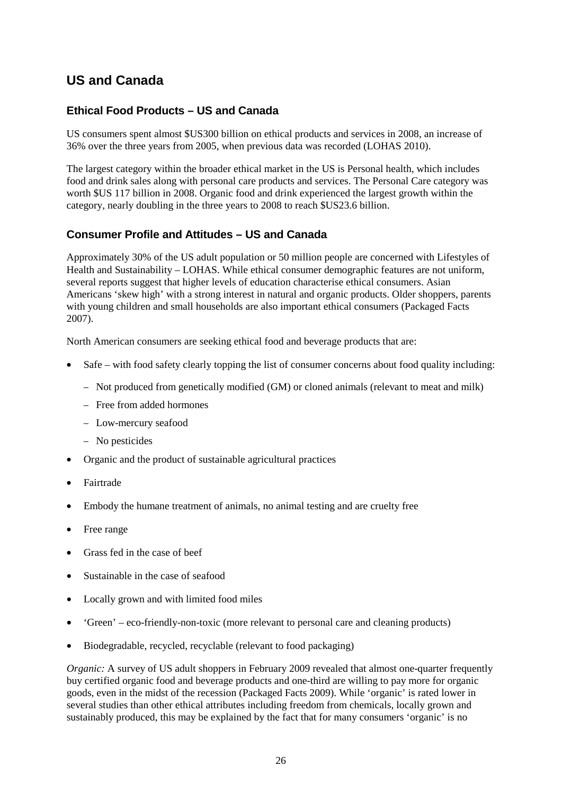## **US and Canada**

#### **Ethical Food Products – US and Canada**

US consumers spent almost \$US300 billion on ethical products and services in 2008, an increase of 36% over the three years from 2005, when previous data was recorded (LOHAS 2010).

The largest category within the broader ethical market in the US is Personal health, which includes food and drink sales along with personal care products and services. The Personal Care category was worth \$US 117 billion in 2008. Organic food and drink experienced the largest growth within the category, nearly doubling in the three years to 2008 to reach \$US23.6 billion.

#### **Consumer Profile and Attitudes – US and Canada**

Approximately 30% of the US adult population or 50 million people are concerned with Lifestyles of Health and Sustainability – LOHAS. While ethical consumer demographic features are not uniform, several reports suggest that higher levels of education characterise ethical consumers. Asian Americans 'skew high' with a strong interest in natural and organic products. Older shoppers, parents with young children and small households are also important ethical consumers (Packaged Facts 2007).

North American consumers are seeking ethical food and beverage products that are:

- Safe with food safety clearly topping the list of consumer concerns about food quality including:
	- − Not produced from genetically modified (GM) or cloned animals (relevant to meat and milk)
	- − Free from added hormones
	- − Low-mercury seafood
	- − No pesticides
- Organic and the product of sustainable agricultural practices
- Fairtrade
- Embody the humane treatment of animals, no animal testing and are cruelty free
- Free range
- Grass fed in the case of beef
- Sustainable in the case of seafood
- Locally grown and with limited food miles
- 'Green' eco-friendly-non-toxic (more relevant to personal care and cleaning products)
- Biodegradable, recycled, recyclable (relevant to food packaging)

*Organic:* A survey of US adult shoppers in February 2009 revealed that almost one-quarter frequently buy certified organic food and beverage products and one-third are willing to pay more for organic goods, even in the midst of the recession (Packaged Facts 2009). While 'organic' is rated lower in several studies than other ethical attributes including freedom from chemicals, locally grown and sustainably produced, this may be explained by the fact that for many consumers 'organic' is no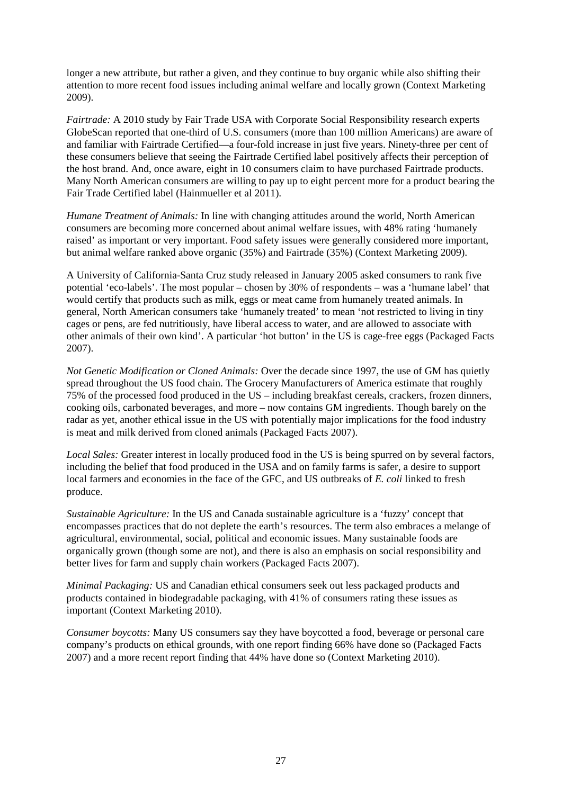longer a new attribute, but rather a given, and they continue to buy organic while also shifting their attention to more recent food issues including animal welfare and locally grown (Context Marketing 2009).

*Fairtrade:* A 2010 study by Fair Trade USA with Corporate Social Responsibility research experts GlobeScan reported that one-third of U.S. consumers (more than 100 million Americans) are aware of and familiar with Fairtrade Certified—a four-fold increase in just five years. Ninety-three per cent of these consumers believe that seeing the Fairtrade Certified label positively affects their perception of the host brand. And, once aware, eight in 10 consumers claim to have purchased Fairtrade products. Many North American consumers are willing to pay up to eight percent more for a product bearing the Fair Trade Certified label (Hainmueller et al 2011).

*Humane Treatment of Animals:* In line with changing attitudes around the world, North American consumers are becoming more concerned about animal welfare issues, with 48% rating 'humanely raised' as important or very important. Food safety issues were generally considered more important, but animal welfare ranked above organic (35%) and Fairtrade (35%) (Context Marketing 2009).

A University of California-Santa Cruz study released in January 2005 asked consumers to rank five potential 'eco-labels'. The most popular – chosen by 30% of respondents – was a 'humane label' that would certify that products such as milk, eggs or meat came from humanely treated animals. In general, North American consumers take 'humanely treated' to mean 'not restricted to living in tiny cages or pens, are fed nutritiously, have liberal access to water, and are allowed to associate with other animals of their own kind'. A particular 'hot button' in the US is cage-free eggs (Packaged Facts 2007).

*Not Genetic Modification or Cloned Animals:* Over the decade since 1997, the use of GM has quietly spread throughout the US food chain. The Grocery Manufacturers of America estimate that roughly 75% of the processed food produced in the US – including breakfast cereals, crackers, frozen dinners, cooking oils, carbonated beverages, and more – now contains GM ingredients. Though barely on the radar as yet, another ethical issue in the US with potentially major implications for the food industry is meat and milk derived from cloned animals (Packaged Facts 2007).

*Local Sales:* Greater interest in locally produced food in the US is being spurred on by several factors, including the belief that food produced in the USA and on family farms is safer, a desire to support local farmers and economies in the face of the GFC, and US outbreaks of *E. coli* linked to fresh produce.

*Sustainable Agriculture:* In the US and Canada sustainable agriculture is a 'fuzzy' concept that encompasses practices that do not deplete the earth's resources. The term also embraces a melange of agricultural, environmental, social, political and economic issues. Many sustainable foods are organically grown (though some are not), and there is also an emphasis on social responsibility and better lives for farm and supply chain workers (Packaged Facts 2007).

*Minimal Packaging:* US and Canadian ethical consumers seek out less packaged products and products contained in biodegradable packaging, with 41% of consumers rating these issues as important (Context Marketing 2010).

*Consumer boycotts:* Many US consumers say they have boycotted a food, beverage or personal care company's products on ethical grounds, with one report finding 66% have done so (Packaged Facts 2007) and a more recent report finding that 44% have done so (Context Marketing 2010).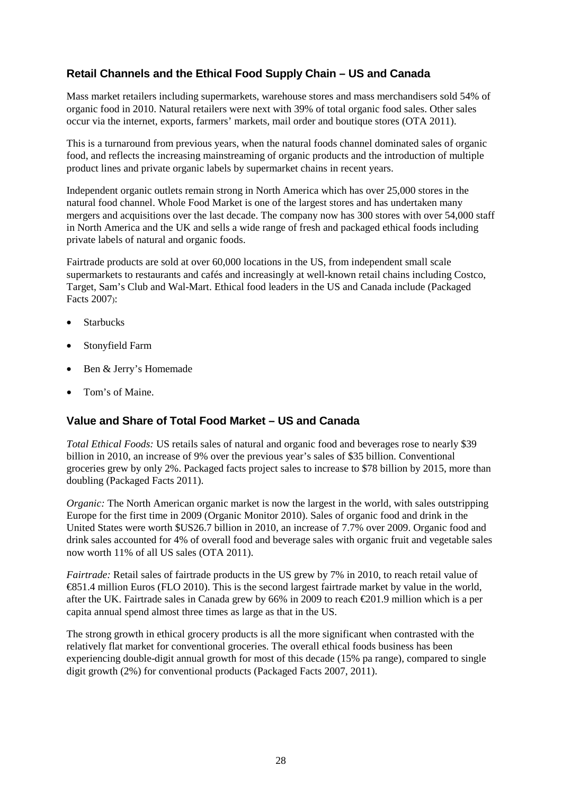#### **Retail Channels and the Ethical Food Supply Chain – US and Canada**

Mass market retailers including supermarkets, warehouse stores and mass merchandisers sold 54% of organic food in 2010. Natural retailers were next with 39% of total organic food sales. Other sales occur via the internet, exports, farmers' markets, mail order and boutique stores (OTA 2011).

This is a turnaround from previous years, when the natural foods channel dominated sales of organic food, and reflects the increasing mainstreaming of organic products and the introduction of multiple product lines and private organic labels by supermarket chains in recent years.

Independent organic outlets remain strong in North America which has over 25,000 stores in the natural food channel. Whole Food Market is one of the largest stores and has undertaken many mergers and acquisitions over the last decade. The company now has 300 stores with over 54,000 staff in North America and the UK and sells a wide range of fresh and packaged ethical foods including private labels of natural and organic foods.

Fairtrade products are sold at over 60,000 locations in the US, from independent small scale supermarkets to restaurants and cafés and increasingly at well-known retail chains including Costco, Target, Sam's Club and Wal-Mart. Ethical food leaders in the US and Canada include (Packaged Facts 2007):

- **Starbucks**
- Stonyfield Farm
- Ben & Jerry's Homemade
- Tom's of Maine.

#### **Value and Share of Total Food Market – US and Canada**

*Total Ethical Foods:* US retails sales of natural and organic food and beverages rose to nearly \$39 billion in 2010, an increase of 9% over the previous year's sales of \$35 billion. Conventional groceries grew by only 2%. Packaged facts project sales to increase to \$78 billion by 2015, more than doubling (Packaged Facts 2011).

*Organic:* The North American organic market is now the largest in the world, with sales outstripping Europe for the first time in 2009 (Organic Monitor 2010). Sales of organic food and drink in the United States were worth \$US26.7 billion in 2010, an increase of 7.7% over 2009. Organic food and drink sales accounted for 4% of overall food and beverage sales with organic fruit and vegetable sales now worth 11% of all US sales (OTA 2011).

*Fairtrade:* Retail sales of fairtrade products in the US grew by 7% in 2010, to reach retail value of €851.4 million Euros (FLO 2010). This is the second largest fairtrade market by value in the world, after the UK. Fairtrade sales in Canada grew by 66% in 2009 to reach €201.9 million which is a per capita annual spend almost three times as large as that in the US.

The strong growth in ethical grocery products is all the more significant when contrasted with the relatively flat market for conventional groceries. The overall ethical foods business has been experiencing double-digit annual growth for most of this decade (15% pa range), compared to single digit growth (2%) for conventional products (Packaged Facts 2007, 2011).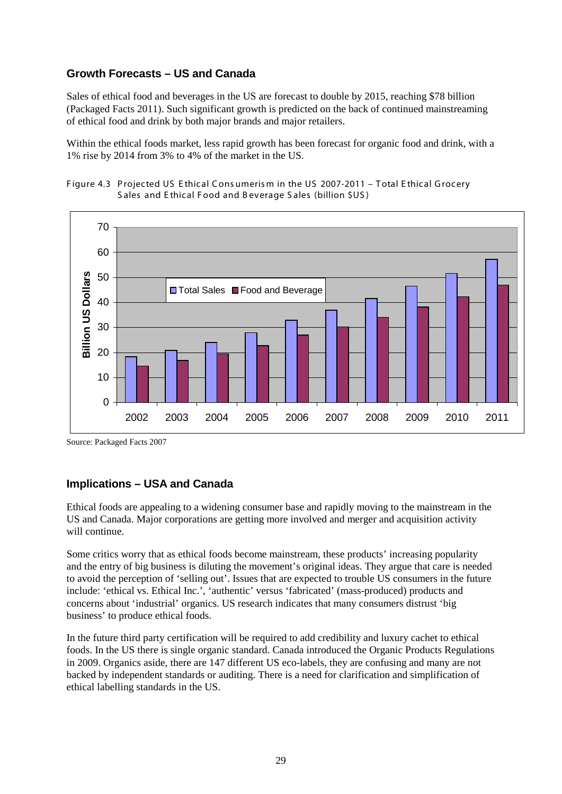#### **Growth Forecasts – US and Canada**

Sales of ethical food and beverages in the US are forecast to double by 2015, reaching \$78 billion (Packaged Facts 2011). Such significant growth is predicted on the back of continued mainstreaming of ethical food and drink by both major brands and major retailers.

Within the ethical foods market, less rapid growth has been forecast for organic food and drink, with a 1% rise by 2014 from 3% to 4% of the market in the US.





Source: Packaged Facts 2007

#### **Implications – USA and Canada**

Ethical foods are appealing to a widening consumer base and rapidly moving to the mainstream in the US and Canada. Major corporations are getting more involved and merger and acquisition activity will continue.

Some critics worry that as ethical foods become mainstream, these products' increasing popularity and the entry of big business is diluting the movement's original ideas. They argue that care is needed to avoid the perception of 'selling out'. Issues that are expected to trouble US consumers in the future include: 'ethical vs. Ethical Inc.', 'authentic' versus 'fabricated' (mass-produced) products and concerns about 'industrial' organics. US research indicates that many consumers distrust 'big business' to produce ethical foods.

In the future third party certification will be required to add credibility and luxury cachet to ethical foods. In the US there is single organic standard. Canada introduced the Organic Products Regulations in 2009. Organics aside, there are 147 different US eco-labels, they are confusing and many are not backed by independent standards or auditing. There is a need for clarification and simplification of ethical labelling standards in the US.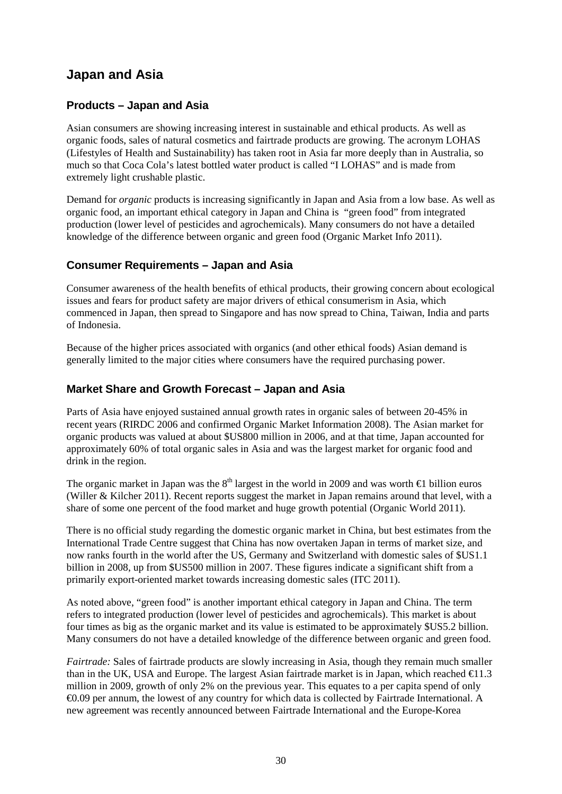## **Japan and Asia**

#### **Products – Japan and Asia**

Asian consumers are showing increasing interest in sustainable and ethical products. As well as organic foods, sales of natural cosmetics and fairtrade products are growing. The acronym LOHAS (Lifestyles of Health and Sustainability) has taken root in Asia far more deeply than in Australia, so much so that Coca Cola's latest bottled water product is called "I LOHAS" and is made from extremely light crushable plastic.

Demand for *organic* products is increasing significantly in Japan and Asia from a low base. As well as organic food, an important ethical category in Japan and China is "green food" from integrated production (lower level of pesticides and agrochemicals). Many consumers do not have a detailed knowledge of the difference between organic and green food (Organic Market Info 2011).

#### **Consumer Requirements – Japan and Asia**

Consumer awareness of the health benefits of ethical products, their growing concern about ecological issues and fears for product safety are major drivers of ethical consumerism in Asia, which commenced in Japan, then spread to Singapore and has now spread to China, Taiwan, India and parts of Indonesia.

Because of the higher prices associated with organics (and other ethical foods) Asian demand is generally limited to the major cities where consumers have the required purchasing power.

#### **Market Share and Growth Forecast – Japan and Asia**

Parts of Asia have enjoyed sustained annual growth rates in organic sales of between 20-45% in recent years (RIRDC 2006 and confirmed Organic Market Information 2008). The Asian market for organic products was valued at about \$US800 million in 2006, and at that time, Japan accounted for approximately 60% of total organic sales in Asia and was the largest market for organic food and drink in the region.

The organic market in Japan was the  $8<sup>th</sup>$  largest in the world in 2009 and was worth  $\in$  billion euros (Willer & Kilcher 2011). Recent reports suggest the market in Japan remains around that level, with a share of some one percent of the food market and huge growth potential (Organic World 2011).

There is no official study regarding the domestic organic market in China, but best estimates from the International Trade Centre suggest that China has now overtaken Japan in terms of market size, and now ranks fourth in the world after the US, Germany and Switzerland with domestic sales of \$US1.1 billion in 2008, up from \$US500 million in 2007. These figures indicate a significant shift from a primarily export-oriented market towards increasing domestic sales (ITC 2011).

As noted above, "green food" is another important ethical category in Japan and China. The term refers to integrated production (lower level of pesticides and agrochemicals). This market is about four times as big as the organic market and its value is estimated to be approximately \$US5.2 billion. Many consumers do not have a detailed knowledge of the difference between organic and green food.

*Fairtrade:* Sales of fairtrade products are slowly increasing in Asia, though they remain much smaller than in the UK, USA and Europe. The largest Asian fairtrade market is in Japan, which reached  $\in$  1.3 million in 2009, growth of only 2% on the previous year. This equates to a per capita spend of only €0.09 per annum, the lowest of any country for which data is collected by Fairtrade International. A new agreement was recently announced between Fairtrade International and the Europe-Korea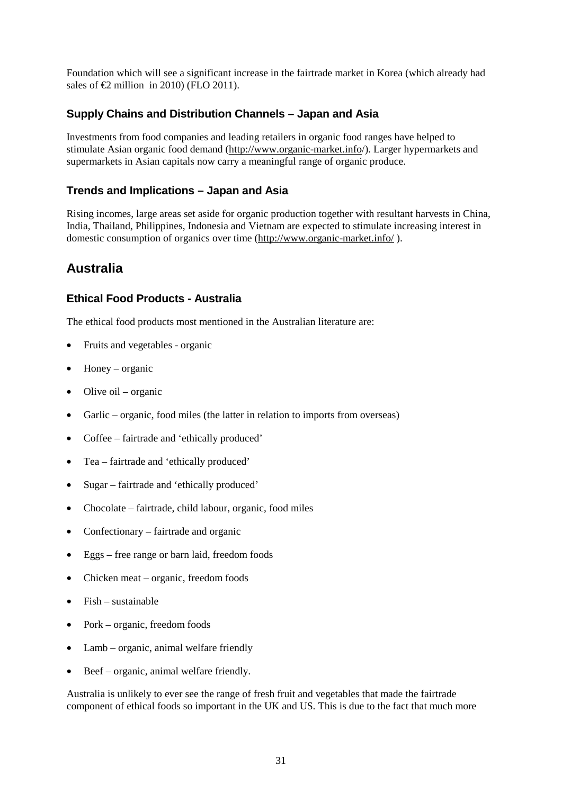Foundation which will see a significant increase in the fairtrade market in Korea (which already had sales of  $\bigoplus$  million in 2010) (FLO 2011).

#### **Supply Chains and Distribution Channels – Japan and Asia**

Investments from food companies and leading retailers in organic food ranges have helped to stimulate Asian organic food demand [\(http://www.organic-market.info/](http://www.organic-market.info/)). Larger hypermarkets and supermarkets in Asian capitals now carry a meaningful range of organic produce.

#### **Trends and Implications – Japan and Asia**

Rising incomes, large areas set aside for organic production together with resultant harvests in China, India, Thailand, Philippines, Indonesia and Vietnam are expected to stimulate increasing interest in domestic consumption of organics over time [\(http://www.organic-market.info/](http://www.organic-market.info/) ).

## **Australia**

#### **Ethical Food Products - Australia**

The ethical food products most mentioned in the Australian literature are:

- Fruits and vegetables organic
- $\bullet$  Honey organic
- Olive oil organic
- Garlic organic, food miles (the latter in relation to imports from overseas)
- Coffee fairtrade and 'ethically produced'
- Tea fairtrade and 'ethically produced'
- Sugar fairtrade and 'ethically produced'
- Chocolate fairtrade, child labour, organic, food miles
- Confectionary fairtrade and organic
- Eggs free range or barn laid, freedom foods
- Chicken meat organic, freedom foods
- Fish sustainable
- Pork organic, freedom foods
- Lamb organic, animal welfare friendly
- Beef organic, animal welfare friendly.

Australia is unlikely to ever see the range of fresh fruit and vegetables that made the fairtrade component of ethical foods so important in the UK and US. This is due to the fact that much more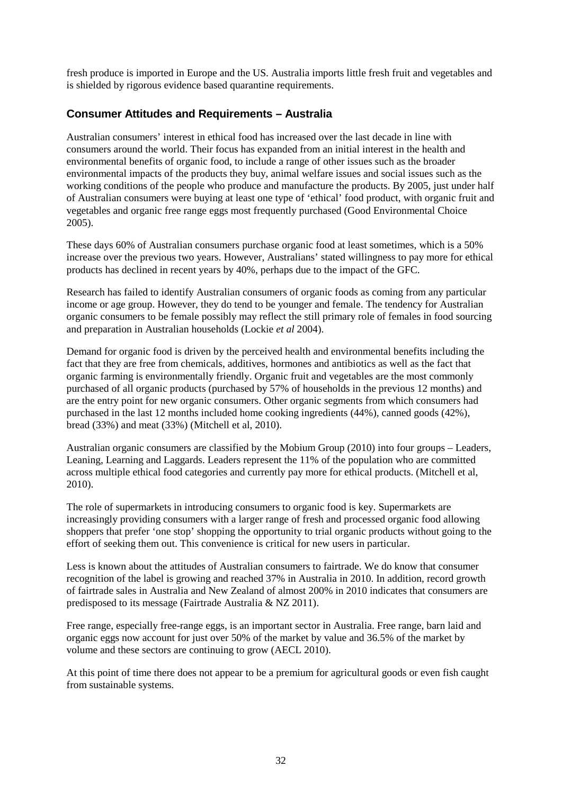fresh produce is imported in Europe and the US. Australia imports little fresh fruit and vegetables and is shielded by rigorous evidence based quarantine requirements.

#### **Consumer Attitudes and Requirements – Australia**

Australian consumers' interest in ethical food has increased over the last decade in line with consumers around the world. Their focus has expanded from an initial interest in the health and environmental benefits of organic food, to include a range of other issues such as the broader environmental impacts of the products they buy, animal welfare issues and social issues such as the working conditions of the people who produce and manufacture the products. By 2005, just under half of Australian consumers were buying at least one type of 'ethical' food product, with organic fruit and vegetables and organic free range eggs most frequently purchased (Good Environmental Choice 2005).

These days 60% of Australian consumers purchase organic food at least sometimes, which is a 50% increase over the previous two years. However, Australians' stated willingness to pay more for ethical products has declined in recent years by 40%, perhaps due to the impact of the GFC.

Research has failed to identify Australian consumers of organic foods as coming from any particular income or age group. However, they do tend to be younger and female. The tendency for Australian organic consumers to be female possibly may reflect the still primary role of females in food sourcing and preparation in Australian households (Lockie *et al* 2004).

Demand for organic food is driven by the perceived health and environmental benefits including the fact that they are free from chemicals, additives, hormones and antibiotics as well as the fact that organic farming is environmentally friendly. Organic fruit and vegetables are the most commonly purchased of all organic products (purchased by 57% of households in the previous 12 months) and are the entry point for new organic consumers. Other organic segments from which consumers had purchased in the last 12 months included home cooking ingredients (44%), canned goods (42%), bread (33%) and meat (33%) (Mitchell et al, 2010).

Australian organic consumers are classified by the Mobium Group (2010) into four groups – Leaders, Leaning, Learning and Laggards. Leaders represent the 11% of the population who are committed across multiple ethical food categories and currently pay more for ethical products. (Mitchell et al, 2010).

The role of supermarkets in introducing consumers to organic food is key. Supermarkets are increasingly providing consumers with a larger range of fresh and processed organic food allowing shoppers that prefer 'one stop' shopping the opportunity to trial organic products without going to the effort of seeking them out. This convenience is critical for new users in particular.

Less is known about the attitudes of Australian consumers to fairtrade. We do know that consumer recognition of the label is growing and reached 37% in Australia in 2010. In addition, record growth of fairtrade sales in Australia and New Zealand of almost 200% in 2010 indicates that consumers are predisposed to its message (Fairtrade Australia & NZ 2011).

Free range, especially free-range eggs, is an important sector in Australia. Free range, barn laid and organic eggs now account for just over 50% of the market by value and 36.5% of the market by volume and these sectors are continuing to grow (AECL 2010).

At this point of time there does not appear to be a premium for agricultural goods or even fish caught from sustainable systems.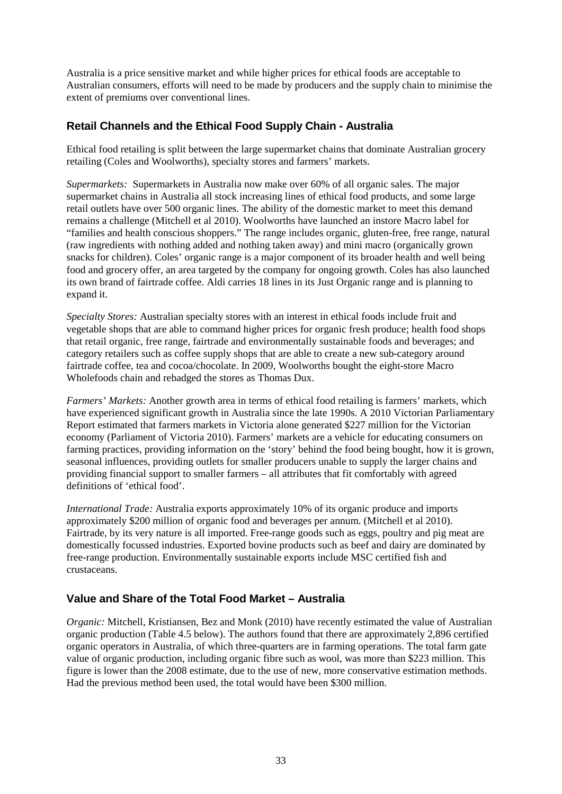Australia is a price sensitive market and while higher prices for ethical foods are acceptable to Australian consumers, efforts will need to be made by producers and the supply chain to minimise the extent of premiums over conventional lines.

#### **Retail Channels and the Ethical Food Supply Chain - Australia**

Ethical food retailing is split between the large supermarket chains that dominate Australian grocery retailing (Coles and Woolworths), specialty stores and farmers' markets.

*Supermarkets:* Supermarkets in Australia now make over 60% of all organic sales. The major supermarket chains in Australia all stock increasing lines of ethical food products, and some large retail outlets have over 500 organic lines. The ability of the domestic market to meet this demand remains a challenge (Mitchell et al 2010). Woolworths have launched an instore Macro label for "families and health conscious shoppers." The range includes organic, gluten-free, free range, natural (raw ingredients with nothing added and nothing taken away) and mini macro (organically grown snacks for children). Coles' organic range is a major component of its broader health and well being food and grocery offer, an area targeted by the company for ongoing growth. Coles has also launched its own brand of fairtrade coffee. Aldi carries 18 lines in its Just Organic range and is planning to expand it.

*Specialty Stores:* Australian specialty stores with an interest in ethical foods include fruit and vegetable shops that are able to command higher prices for organic fresh produce; health food shops that retail organic, free range, fairtrade and environmentally sustainable foods and beverages; and category retailers such as coffee supply shops that are able to create a new sub-category around fairtrade coffee, tea and cocoa/chocolate. In 2009, Woolworths bought the eight-store Macro Wholefoods chain and rebadged the stores as Thomas Dux.

*Farmers' Markets:* Another growth area in terms of ethical food retailing is farmers' markets, which have experienced significant growth in Australia since the late 1990s. A 2010 Victorian Parliamentary Report estimated that farmers markets in Victoria alone generated \$227 million for the Victorian economy (Parliament of Victoria 2010). Farmers' markets are a vehicle for educating consumers on farming practices, providing information on the 'story' behind the food being bought, how it is grown, seasonal influences, providing outlets for smaller producers unable to supply the larger chains and providing financial support to smaller farmers – all attributes that fit comfortably with agreed definitions of 'ethical food'.

*International Trade:* Australia exports approximately 10% of its organic produce and imports approximately \$200 million of organic food and beverages per annum. (Mitchell et al 2010). Fairtrade, by its very nature is all imported. Free-range goods such as eggs, poultry and pig meat are domestically focussed industries. Exported bovine products such as beef and dairy are dominated by free-range production. Environmentally sustainable exports include MSC certified fish and crustaceans.

#### **Value and Share of the Total Food Market – Australia**

*Organic:* Mitchell, Kristiansen, Bez and Monk (2010) have recently estimated the value of Australian organic production (Table 4.5 below). The authors found that there are approximately 2,896 certified organic operators in Australia, of which three-quarters are in farming operations. The total farm gate value of organic production, including organic fibre such as wool, was more than \$223 million. This figure is lower than the 2008 estimate, due to the use of new, more conservative estimation methods. Had the previous method been used, the total would have been \$300 million.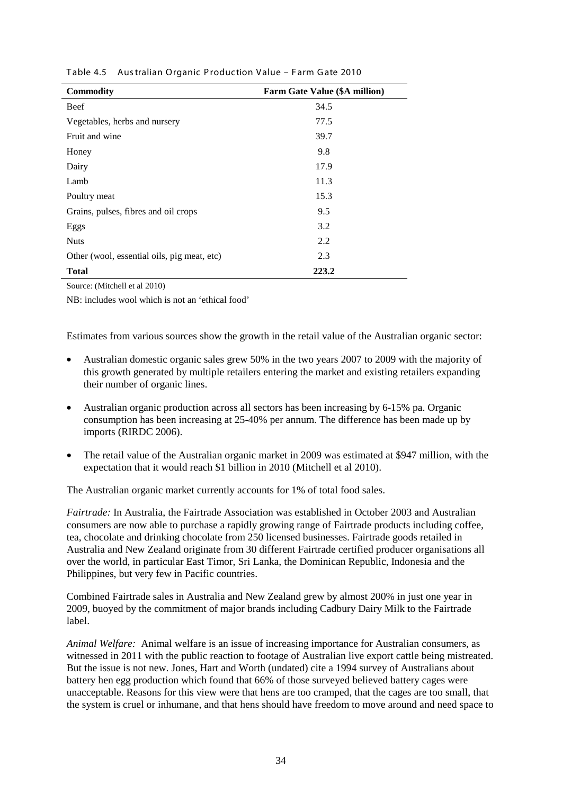| <b>Commodity</b>                            | <b>Farm Gate Value (\$A million)</b> |
|---------------------------------------------|--------------------------------------|
| Beef                                        | 34.5                                 |
| Vegetables, herbs and nursery               | 77.5                                 |
| Fruit and wine                              | 39.7                                 |
| Honey                                       | 9.8                                  |
| Dairy                                       | 17.9                                 |
| Lamb                                        | 11.3                                 |
| Poultry meat                                | 15.3                                 |
| Grains, pulses, fibres and oil crops        | 9.5                                  |
| Eggs                                        | 3.2                                  |
| <b>Nuts</b>                                 | 2.2                                  |
| Other (wool, essential oils, pig meat, etc) | 2.3                                  |
| <b>Total</b>                                | 223.2                                |

Table 4.5 Aus tralian Organic P roduction Value – F arm G ate 2010

Source: (Mitchell et al 2010)

NB: includes wool which is not an 'ethical food'

Estimates from various sources show the growth in the retail value of the Australian organic sector:

- Australian domestic organic sales grew 50% in the two years 2007 to 2009 with the majority of this growth generated by multiple retailers entering the market and existing retailers expanding their number of organic lines.
- Australian organic production across all sectors has been increasing by 6-15% pa. Organic consumption has been increasing at 25-40% per annum. The difference has been made up by imports (RIRDC 2006).
- The retail value of the Australian organic market in 2009 was estimated at \$947 million, with the expectation that it would reach \$1 billion in 2010 (Mitchell et al 2010).

The Australian organic market currently accounts for 1% of total food sales.

*Fairtrade:* In Australia, the Fairtrade Association was established in October 2003 and Australian consumers are now able to purchase a rapidly growing range of Fairtrade products including coffee, tea, chocolate and drinking chocolate from 250 licensed businesses. Fairtrade goods retailed in Australia and New Zealand originate from 30 different Fairtrade certified producer organisations all over the world, in particular East Timor, Sri Lanka, the Dominican Republic, Indonesia and the Philippines, but very few in Pacific countries.

Combined Fairtrade sales in Australia and New Zealand grew by almost 200% in just one year in 2009, buoyed by the commitment of major brands including Cadbury Dairy Milk to the Fairtrade label.

*Animal Welfare:* Animal welfare is an issue of increasing importance for Australian consumers, as witnessed in 2011 with the public reaction to footage of Australian live export cattle being mistreated. But the issue is not new. Jones, Hart and Worth (undated) cite a 1994 survey of Australians about battery hen egg production which found that 66% of those surveyed believed battery cages were unacceptable. Reasons for this view were that hens are too cramped, that the cages are too small, that the system is cruel or inhumane, and that hens should have freedom to move around and need space to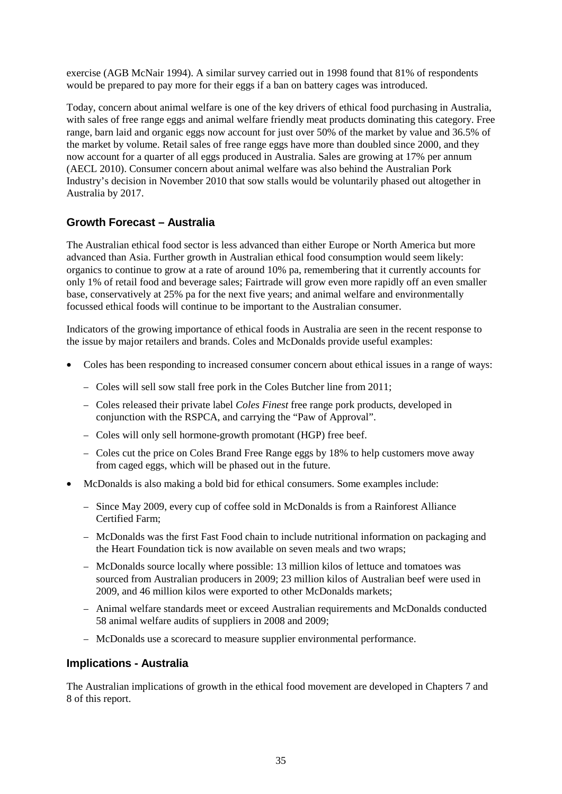exercise (AGB McNair 1994). A similar survey carried out in 1998 found that 81% of respondents would be prepared to pay more for their eggs if a ban on battery cages was introduced.

Today, concern about animal welfare is one of the key drivers of ethical food purchasing in Australia, with sales of free range eggs and animal welfare friendly meat products dominating this category. Free range, barn laid and organic eggs now account for just over 50% of the market by value and 36.5% of the market by volume. Retail sales of free range eggs have more than doubled since 2000, and they now account for a quarter of all eggs produced in Australia. Sales are growing at 17% per annum (AECL 2010). Consumer concern about animal welfare was also behind the Australian Pork Industry's decision in November 2010 that sow stalls would be voluntarily phased out altogether in Australia by 2017.

#### **Growth Forecast – Australia**

The Australian ethical food sector is less advanced than either Europe or North America but more advanced than Asia. Further growth in Australian ethical food consumption would seem likely: organics to continue to grow at a rate of around 10% pa, remembering that it currently accounts for only 1% of retail food and beverage sales; Fairtrade will grow even more rapidly off an even smaller base, conservatively at 25% pa for the next five years; and animal welfare and environmentally focussed ethical foods will continue to be important to the Australian consumer.

Indicators of the growing importance of ethical foods in Australia are seen in the recent response to the issue by major retailers and brands. Coles and McDonalds provide useful examples:

- Coles has been responding to increased consumer concern about ethical issues in a range of ways:
	- − Coles will sell sow stall free pork in the Coles Butcher line from 2011;
	- − Coles released their private label *Coles Finest* free range pork products, developed in conjunction with the RSPCA, and carrying the "Paw of Approval".
	- − Coles will only sell hormone-growth promotant (HGP) free beef.
	- − Coles cut the price on Coles Brand Free Range eggs by 18% to help customers move away from caged eggs, which will be phased out in the future.
- McDonalds is also making a bold bid for ethical consumers. Some examples include:
	- − Since May 2009, every cup of coffee sold in McDonalds is from a Rainforest Alliance Certified Farm;
	- − McDonalds was the first Fast Food chain to include nutritional information on packaging and the Heart Foundation tick is now available on seven meals and two wraps;
	- − McDonalds source locally where possible: 13 million kilos of lettuce and tomatoes was sourced from Australian producers in 2009; 23 million kilos of Australian beef were used in 2009, and 46 million kilos were exported to other McDonalds markets;
	- − Animal welfare standards meet or exceed Australian requirements and McDonalds conducted 58 animal welfare audits of suppliers in 2008 and 2009;
	- − McDonalds use a scorecard to measure supplier environmental performance.

#### **Implications - Australia**

The Australian implications of growth in the ethical food movement are developed in Chapters 7 and 8 of this report.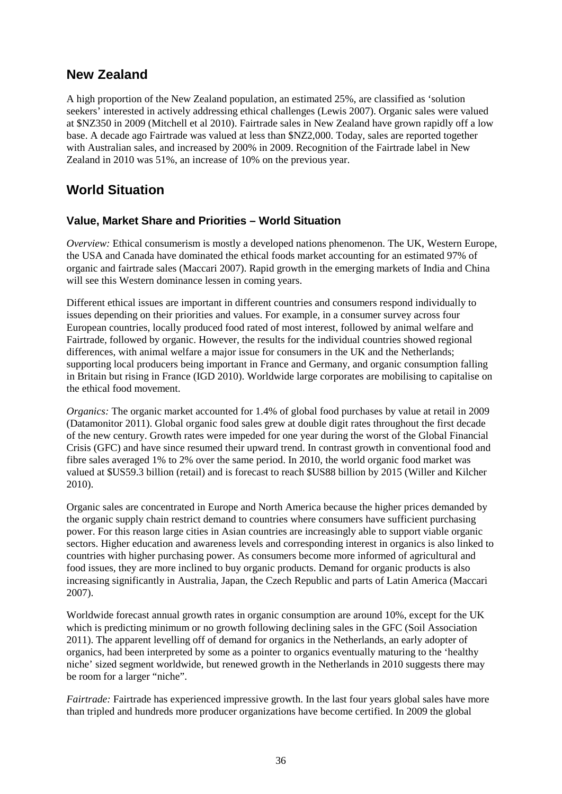## **New Zealand**

A high proportion of the New Zealand population, an estimated 25%, are classified as 'solution seekers' interested in actively addressing ethical challenges (Lewis 2007). Organic sales were valued at \$NZ350 in 2009 (Mitchell et al 2010). Fairtrade sales in New Zealand have grown rapidly off a low base. A decade ago Fairtrade was valued at less than \$NZ2,000. Today, sales are reported together with Australian sales, and increased by 200% in 2009. Recognition of the Fairtrade label in New Zealand in 2010 was 51%, an increase of 10% on the previous year.

## **World Situation**

#### **Value, Market Share and Priorities – World Situation**

*Overview:* Ethical consumerism is mostly a developed nations phenomenon. The UK, Western Europe, the USA and Canada have dominated the ethical foods market accounting for an estimated 97% of organic and fairtrade sales (Maccari 2007). Rapid growth in the emerging markets of India and China will see this Western dominance lessen in coming years.

Different ethical issues are important in different countries and consumers respond individually to issues depending on their priorities and values. For example, in a consumer survey across four European countries, locally produced food rated of most interest, followed by animal welfare and Fairtrade, followed by organic. However, the results for the individual countries showed regional differences, with animal welfare a major issue for consumers in the UK and the Netherlands; supporting local producers being important in France and Germany, and organic consumption falling in Britain but rising in France (IGD 2010). Worldwide large corporates are mobilising to capitalise on the ethical food movement.

*Organics:* The organic market accounted for 1.4% of global food purchases by value at retail in 2009 (Datamonitor 2011). Global organic food sales grew at double digit rates throughout the first decade of the new century. Growth rates were impeded for one year during the worst of the Global Financial Crisis (GFC) and have since resumed their upward trend. In contrast growth in conventional food and fibre sales averaged 1% to 2% over the same period. In 2010, the world organic food market was valued at \$US59.3 billion (retail) and is forecast to reach \$US88 billion by 2015 (Willer and Kilcher 2010).

Organic sales are concentrated in Europe and North America because the higher prices demanded by the organic supply chain restrict demand to countries where consumers have sufficient purchasing power. For this reason large cities in Asian countries are increasingly able to support viable organic sectors. Higher education and awareness levels and corresponding interest in organics is also linked to countries with higher purchasing power. As consumers become more informed of agricultural and food issues, they are more inclined to buy organic products. Demand for organic products is also increasing significantly in Australia, Japan, the Czech Republic and parts of Latin America (Maccari 2007).

Worldwide forecast annual growth rates in organic consumption are around 10%, except for the UK which is predicting minimum or no growth following declining sales in the GFC (Soil Association 2011). The apparent levelling off of demand for organics in the Netherlands, an early adopter of organics, had been interpreted by some as a pointer to organics eventually maturing to the 'healthy niche' sized segment worldwide, but renewed growth in the Netherlands in 2010 suggests there may be room for a larger "niche".

*Fairtrade:* Fairtrade has experienced impressive growth. In the last four years global sales have more than tripled and hundreds more producer organizations have become certified. In 2009 the global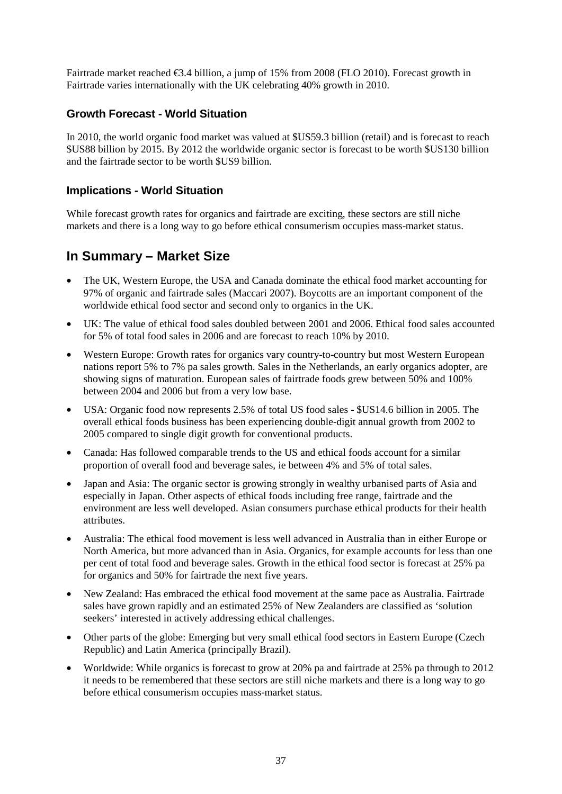Fairtrade market reached €3.4 billion, a jump of 15% from 2008 (FLO 2010). Forecast growth in Fairtrade varies internationally with the UK celebrating 40% growth in 2010.

#### **Growth Forecast - World Situation**

In 2010, the world organic food market was valued at \$US59.3 billion (retail) and is forecast to reach \$US88 billion by 2015. By 2012 the worldwide organic sector is forecast to be worth \$US130 billion and the fairtrade sector to be worth \$US9 billion.

#### **Implications - World Situation**

While forecast growth rates for organics and fairtrade are exciting, these sectors are still niche markets and there is a long way to go before ethical consumerism occupies mass-market status.

## **In Summary – Market Size**

- The UK, Western Europe, the USA and Canada dominate the ethical food market accounting for 97% of organic and fairtrade sales (Maccari 2007). Boycotts are an important component of the worldwide ethical food sector and second only to organics in the UK.
- UK: The value of ethical food sales doubled between 2001 and 2006. Ethical food sales accounted for 5% of total food sales in 2006 and are forecast to reach 10% by 2010.
- Western Europe: Growth rates for organics vary country-to-country but most Western European nations report 5% to 7% pa sales growth. Sales in the Netherlands, an early organics adopter, are showing signs of maturation. European sales of fairtrade foods grew between 50% and 100% between 2004 and 2006 but from a very low base.
- USA: Organic food now represents 2.5% of total US food sales \$US14.6 billion in 2005. The overall ethical foods business has been experiencing double-digit annual growth from 2002 to 2005 compared to single digit growth for conventional products.
- Canada: Has followed comparable trends to the US and ethical foods account for a similar proportion of overall food and beverage sales, ie between 4% and 5% of total sales.
- Japan and Asia: The organic sector is growing strongly in wealthy urbanised parts of Asia and especially in Japan. Other aspects of ethical foods including free range, fairtrade and the environment are less well developed. Asian consumers purchase ethical products for their health attributes.
- Australia: The ethical food movement is less well advanced in Australia than in either Europe or North America, but more advanced than in Asia. Organics, for example accounts for less than one per cent of total food and beverage sales. Growth in the ethical food sector is forecast at 25% pa for organics and 50% for fairtrade the next five years.
- New Zealand: Has embraced the ethical food movement at the same pace as Australia. Fairtrade sales have grown rapidly and an estimated 25% of New Zealanders are classified as 'solution seekers' interested in actively addressing ethical challenges.
- Other parts of the globe: Emerging but very small ethical food sectors in Eastern Europe (Czech Republic) and Latin America (principally Brazil).
- Worldwide: While organics is forecast to grow at 20% pa and fairtrade at 25% pa through to 2012 it needs to be remembered that these sectors are still niche markets and there is a long way to go before ethical consumerism occupies mass-market status.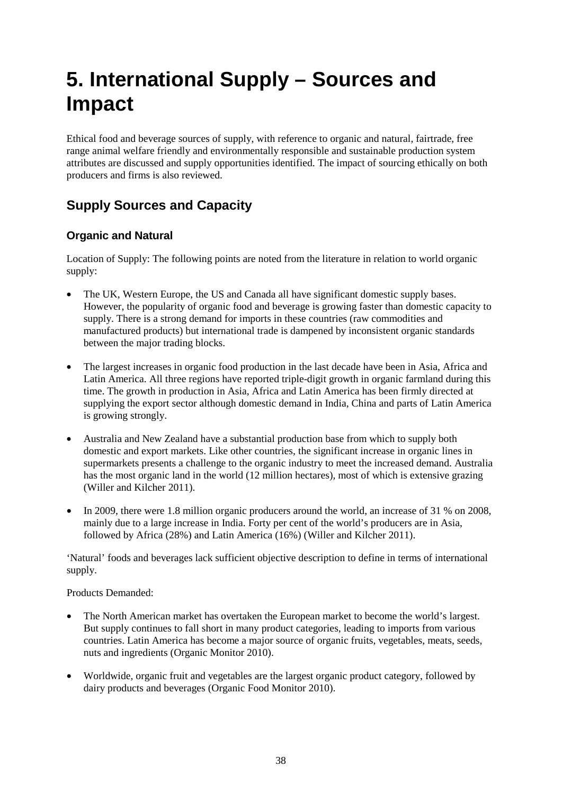# **5. International Supply – Sources and Impact**

Ethical food and beverage sources of supply, with reference to organic and natural, fairtrade, free range animal welfare friendly and environmentally responsible and sustainable production system attributes are discussed and supply opportunities identified. The impact of sourcing ethically on both producers and firms is also reviewed.

## **Supply Sources and Capacity**

### **Organic and Natural**

Location of Supply: The following points are noted from the literature in relation to world organic supply:

- The UK, Western Europe, the US and Canada all have significant domestic supply bases. However, the popularity of organic food and beverage is growing faster than domestic capacity to supply. There is a strong demand for imports in these countries (raw commodities and manufactured products) but international trade is dampened by inconsistent organic standards between the major trading blocks.
- The largest increases in organic food production in the last decade have been in Asia, Africa and Latin America. All three regions have reported triple-digit growth in organic farmland during this time. The growth in production in Asia, Africa and Latin America has been firmly directed at supplying the export sector although domestic demand in India, China and parts of Latin America is growing strongly.
- Australia and New Zealand have a substantial production base from which to supply both domestic and export markets. Like other countries, the significant increase in organic lines in supermarkets presents a challenge to the organic industry to meet the increased demand. Australia has the most organic land in the world (12 million hectares), most of which is extensive grazing (Willer and Kilcher 2011).
- In 2009, there were 1.8 million organic producers around the world, an increase of 31 % on 2008, mainly due to a large increase in India. Forty per cent of the world's producers are in Asia, followed by Africa (28%) and Latin America (16%) (Willer and Kilcher 2011).

'Natural' foods and beverages lack sufficient objective description to define in terms of international supply.

Products Demanded:

- The North American market has overtaken the European market to become the world's largest. But supply continues to fall short in many product categories, leading to imports from various countries. Latin America has become a major source of organic fruits, vegetables, meats, seeds, nuts and ingredients (Organic Monitor 2010).
- Worldwide, organic fruit and vegetables are the largest organic product category, followed by dairy products and beverages (Organic Food Monitor 2010).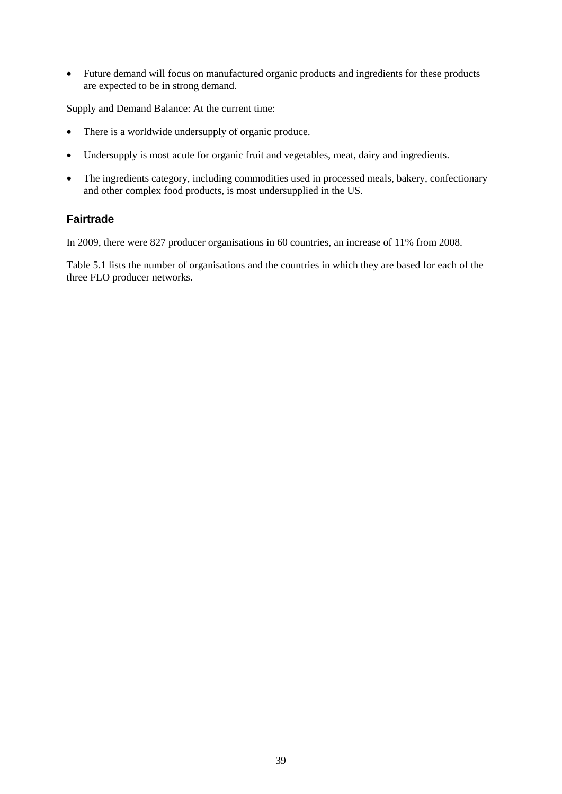• Future demand will focus on manufactured organic products and ingredients for these products are expected to be in strong demand.

Supply and Demand Balance: At the current time:

- There is a worldwide undersupply of organic produce.
- Undersupply is most acute for organic fruit and vegetables, meat, dairy and ingredients.
- The ingredients category, including commodities used in processed meals, bakery, confectionary and other complex food products, is most undersupplied in the US.

#### **Fairtrade**

In 2009, there were 827 producer organisations in 60 countries, an increase of 11% from 2008.

Table 5.1 lists the number of organisations and the countries in which they are based for each of the three FLO producer networks.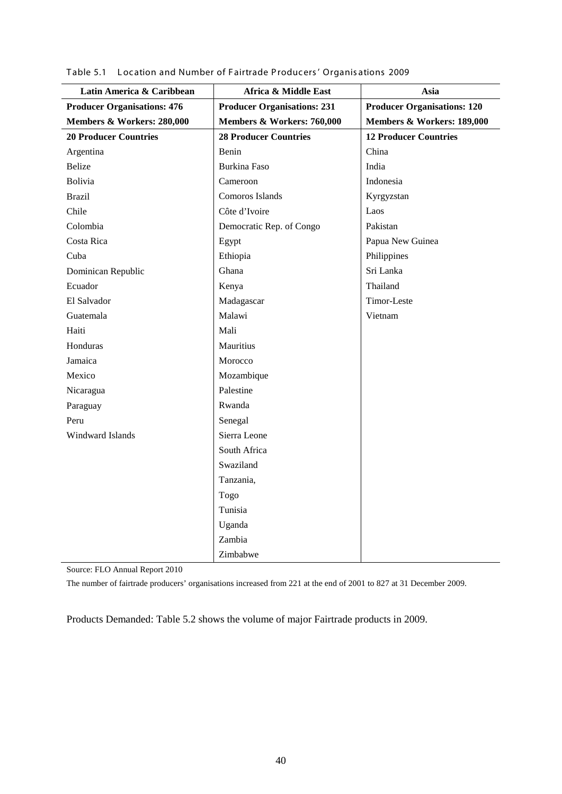| Latin America & Caribbean          | Africa & Middle East               | Asia                               |
|------------------------------------|------------------------------------|------------------------------------|
| <b>Producer Organisations: 476</b> | <b>Producer Organisations: 231</b> | <b>Producer Organisations: 120</b> |
| Members & Workers: 280,000         | Members & Workers: 760,000         | Members & Workers: 189,000         |
| <b>20 Producer Countries</b>       | <b>28 Producer Countries</b>       | <b>12 Producer Countries</b>       |
| Argentina                          | Benin                              | China                              |
| <b>Belize</b>                      | <b>Burkina Faso</b>                | India                              |
| <b>Bolivia</b>                     | Cameroon                           | Indonesia                          |
| <b>Brazil</b>                      | Comoros Islands                    | Kyrgyzstan                         |
| Chile                              | Côte d'Ivoire                      | Laos                               |
| Colombia                           | Democratic Rep. of Congo           | Pakistan                           |
| Costa Rica                         | Egypt                              | Papua New Guinea                   |
| Cuba                               | Ethiopia                           | Philippines                        |
| Dominican Republic                 | Ghana                              | Sri Lanka                          |
| Ecuador                            | Kenya                              | Thailand                           |
| El Salvador                        | Madagascar                         | Timor-Leste                        |
| Guatemala                          | Malawi                             | Vietnam                            |
| Haiti                              | Mali                               |                                    |
| Honduras                           | Mauritius                          |                                    |
| Jamaica                            | Morocco                            |                                    |
| Mexico                             | Mozambique                         |                                    |
| Nicaragua                          | Palestine                          |                                    |
| Paraguay                           | Rwanda                             |                                    |
| Peru                               | Senegal                            |                                    |
| Windward Islands                   | Sierra Leone                       |                                    |
|                                    | South Africa                       |                                    |
|                                    | Swaziland                          |                                    |
|                                    | Tanzania,                          |                                    |
|                                    | Togo                               |                                    |
|                                    | Tunisia                            |                                    |
|                                    | Uganda                             |                                    |
|                                    | Zambia                             |                                    |
|                                    | Zimbabwe                           |                                    |

Table 5.1 L ocation and Number of F airtrade P roducers ' Organis ations 2009

Source: FLO Annual Report 2010

The number of fairtrade producers' organisations increased from 221 at the end of 2001 to 827 at 31 December 2009.

Products Demanded: Table 5.2 shows the volume of major Fairtrade products in 2009.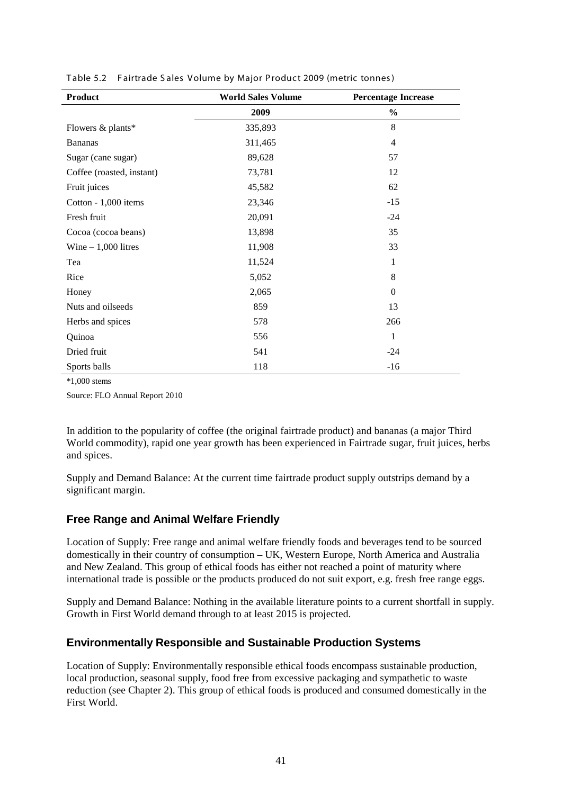| <b>Product</b>            | <b>World Sales Volume</b> | <b>Percentage Increase</b> |
|---------------------------|---------------------------|----------------------------|
|                           | 2009                      | $\frac{0}{0}$              |
| Flowers & plants*         | 335,893                   | 8                          |
| <b>Bananas</b>            | 311,465                   | $\overline{4}$             |
| Sugar (cane sugar)        | 89,628                    | 57                         |
| Coffee (roasted, instant) | 73,781                    | 12                         |
| Fruit juices              | 45,582                    | 62                         |
| Cotton - $1,000$ items    | 23,346                    | $-15$                      |
| Fresh fruit               | 20,091                    | $-24$                      |
| Cocoa (cocoa beans)       | 13,898                    | 35                         |
| Wine $-1,000$ litres      | 11,908                    | 33                         |
| Tea                       | 11,524                    | 1                          |
| Rice                      | 5,052                     | 8                          |
| Honey                     | 2,065                     | $\overline{0}$             |
| Nuts and oilseeds         | 859                       | 13                         |
| Herbs and spices          | 578                       | 266                        |
| Quinoa                    | 556                       | $\mathbf{1}$               |
| Dried fruit               | 541                       | $-24$                      |
| Sports balls              | 118                       | $-16$                      |

|  | Table 5.2 Fairtrade Sales Volume by Major Product 2009 (metric tonnes) |  |  |  |
|--|------------------------------------------------------------------------|--|--|--|
|--|------------------------------------------------------------------------|--|--|--|

\*1,000 stems

Source: FLO Annual Report 2010

In addition to the popularity of coffee (the original fairtrade product) and bananas (a major Third World commodity), rapid one year growth has been experienced in Fairtrade sugar, fruit juices, herbs and spices.

Supply and Demand Balance: At the current time fairtrade product supply outstrips demand by a significant margin.

#### **Free Range and Animal Welfare Friendly**

Location of Supply: Free range and animal welfare friendly foods and beverages tend to be sourced domestically in their country of consumption – UK, Western Europe, North America and Australia and New Zealand. This group of ethical foods has either not reached a point of maturity where international trade is possible or the products produced do not suit export, e.g. fresh free range eggs.

Supply and Demand Balance: Nothing in the available literature points to a current shortfall in supply. Growth in First World demand through to at least 2015 is projected.

#### **Environmentally Responsible and Sustainable Production Systems**

Location of Supply: Environmentally responsible ethical foods encompass sustainable production, local production, seasonal supply, food free from excessive packaging and sympathetic to waste reduction (see Chapter 2). This group of ethical foods is produced and consumed domestically in the First World.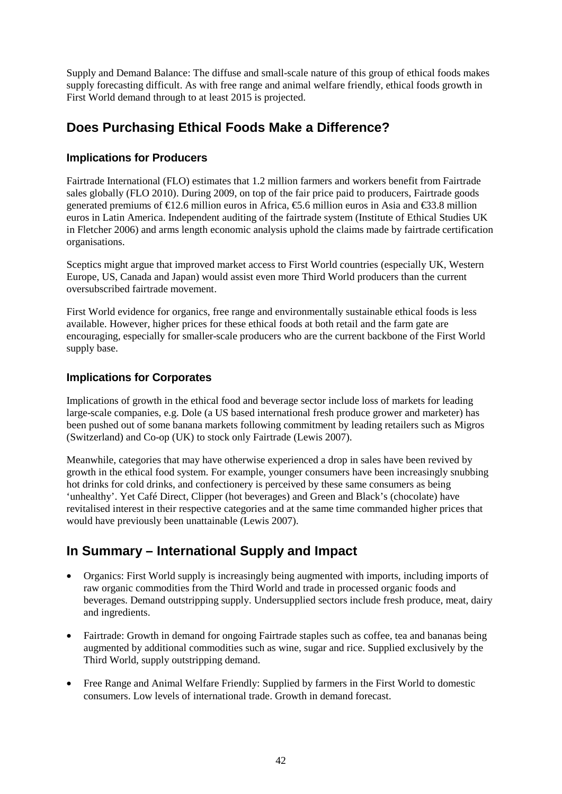Supply and Demand Balance: The diffuse and small-scale nature of this group of ethical foods makes supply forecasting difficult. As with free range and animal welfare friendly, ethical foods growth in First World demand through to at least 2015 is projected.

## **Does Purchasing Ethical Foods Make a Difference?**

#### **Implications for Producers**

Fairtrade International (FLO) estimates that 1.2 million farmers and workers benefit from Fairtrade sales globally (FLO 2010). During 2009, on top of the fair price paid to producers, Fairtrade goods generated premiums of €12.6 million euros in Africa, €5.6 million euros in Asia and €33.8 million euros in Latin America. Independent auditing of the fairtrade system (Institute of Ethical Studies UK in Fletcher 2006) and arms length economic analysis uphold the claims made by fairtrade certification organisations.

Sceptics might argue that improved market access to First World countries (especially UK, Western Europe, US, Canada and Japan) would assist even more Third World producers than the current oversubscribed fairtrade movement.

First World evidence for organics, free range and environmentally sustainable ethical foods is less available. However, higher prices for these ethical foods at both retail and the farm gate are encouraging, especially for smaller-scale producers who are the current backbone of the First World supply base.

#### **Implications for Corporates**

Implications of growth in the ethical food and beverage sector include loss of markets for leading large-scale companies, e.g. Dole (a US based international fresh produce grower and marketer) has been pushed out of some banana markets following commitment by leading retailers such as Migros (Switzerland) and Co-op (UK) to stock only Fairtrade (Lewis 2007).

Meanwhile, categories that may have otherwise experienced a drop in sales have been revived by growth in the ethical food system. For example, younger consumers have been increasingly snubbing hot drinks for cold drinks, and confectionery is perceived by these same consumers as being 'unhealthy'. Yet Café Direct, Clipper (hot beverages) and Green and Black's (chocolate) have revitalised interest in their respective categories and at the same time commanded higher prices that would have previously been unattainable (Lewis 2007).

## **In Summary – International Supply and Impact**

- Organics: First World supply is increasingly being augmented with imports, including imports of raw organic commodities from the Third World and trade in processed organic foods and beverages. Demand outstripping supply. Undersupplied sectors include fresh produce, meat, dairy and ingredients.
- Fairtrade: Growth in demand for ongoing Fairtrade staples such as coffee, tea and bananas being augmented by additional commodities such as wine, sugar and rice. Supplied exclusively by the Third World, supply outstripping demand.
- Free Range and Animal Welfare Friendly: Supplied by farmers in the First World to domestic consumers. Low levels of international trade. Growth in demand forecast.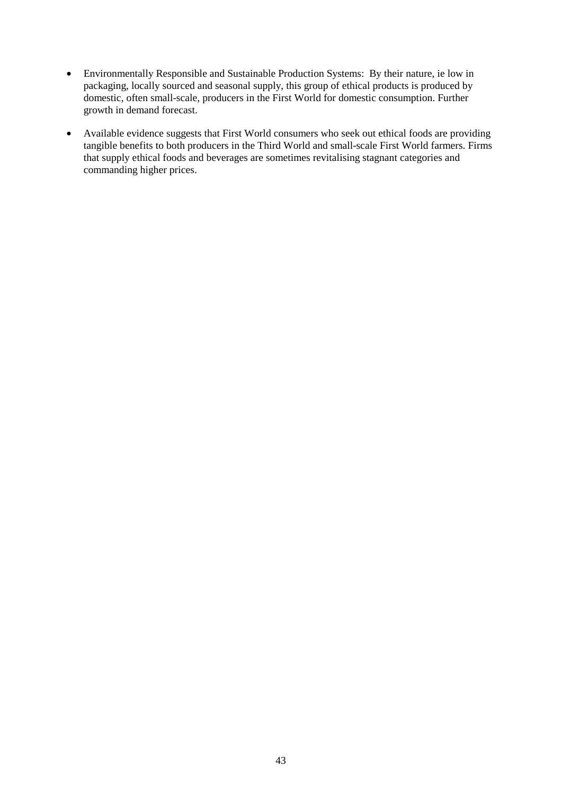- Environmentally Responsible and Sustainable Production Systems: By their nature, ie low in packaging, locally sourced and seasonal supply, this group of ethical products is produced by domestic, often small-scale, producers in the First World for domestic consumption. Further growth in demand forecast.
- Available evidence suggests that First World consumers who seek out ethical foods are providing tangible benefits to both producers in the Third World and small-scale First World farmers. Firms that supply ethical foods and beverages are sometimes revitalising stagnant categories and commanding higher prices.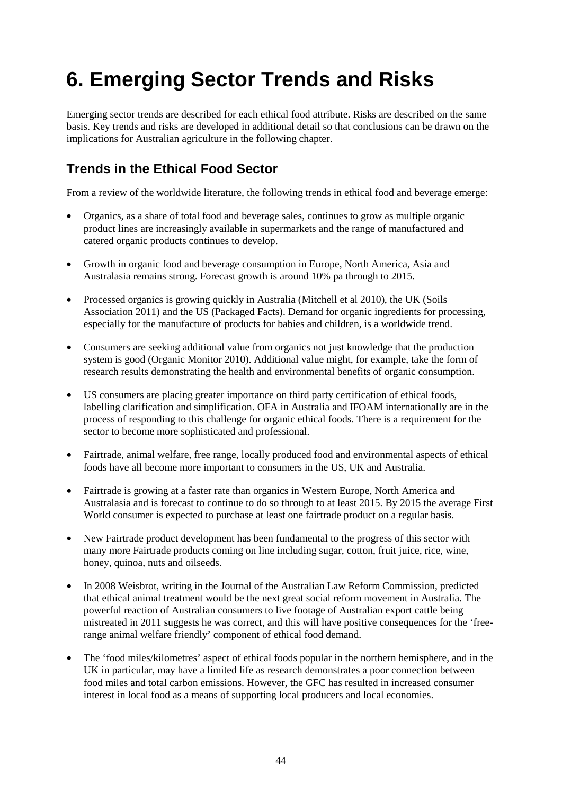# **6. Emerging Sector Trends and Risks**

Emerging sector trends are described for each ethical food attribute. Risks are described on the same basis. Key trends and risks are developed in additional detail so that conclusions can be drawn on the implications for Australian agriculture in the following chapter.

## **Trends in the Ethical Food Sector**

From a review of the worldwide literature, the following trends in ethical food and beverage emerge:

- Organics, as a share of total food and beverage sales, continues to grow as multiple organic product lines are increasingly available in supermarkets and the range of manufactured and catered organic products continues to develop.
- Growth in organic food and beverage consumption in Europe, North America, Asia and Australasia remains strong. Forecast growth is around 10% pa through to 2015.
- Processed organics is growing quickly in Australia (Mitchell et al 2010), the UK (Soils Association 2011) and the US (Packaged Facts). Demand for organic ingredients for processing, especially for the manufacture of products for babies and children, is a worldwide trend.
- Consumers are seeking additional value from organics not just knowledge that the production system is good (Organic Monitor 2010). Additional value might, for example, take the form of research results demonstrating the health and environmental benefits of organic consumption.
- US consumers are placing greater importance on third party certification of ethical foods, labelling clarification and simplification. OFA in Australia and IFOAM internationally are in the process of responding to this challenge for organic ethical foods. There is a requirement for the sector to become more sophisticated and professional.
- Fairtrade, animal welfare, free range, locally produced food and environmental aspects of ethical foods have all become more important to consumers in the US, UK and Australia.
- Fairtrade is growing at a faster rate than organics in Western Europe, North America and Australasia and is forecast to continue to do so through to at least 2015. By 2015 the average First World consumer is expected to purchase at least one fairtrade product on a regular basis.
- New Fairtrade product development has been fundamental to the progress of this sector with many more Fairtrade products coming on line including sugar, cotton, fruit juice, rice, wine, honey, quinoa, nuts and oilseeds.
- In 2008 Weisbrot, writing in the Journal of the Australian Law Reform Commission, predicted that ethical animal treatment would be the next great social reform movement in Australia. The powerful reaction of Australian consumers to live footage of Australian export cattle being mistreated in 2011 suggests he was correct, and this will have positive consequences for the 'freerange animal welfare friendly' component of ethical food demand.
- The 'food miles/kilometres' aspect of ethical foods popular in the northern hemisphere, and in the UK in particular, may have a limited life as research demonstrates a poor connection between food miles and total carbon emissions. However, the GFC has resulted in increased consumer interest in local food as a means of supporting local producers and local economies.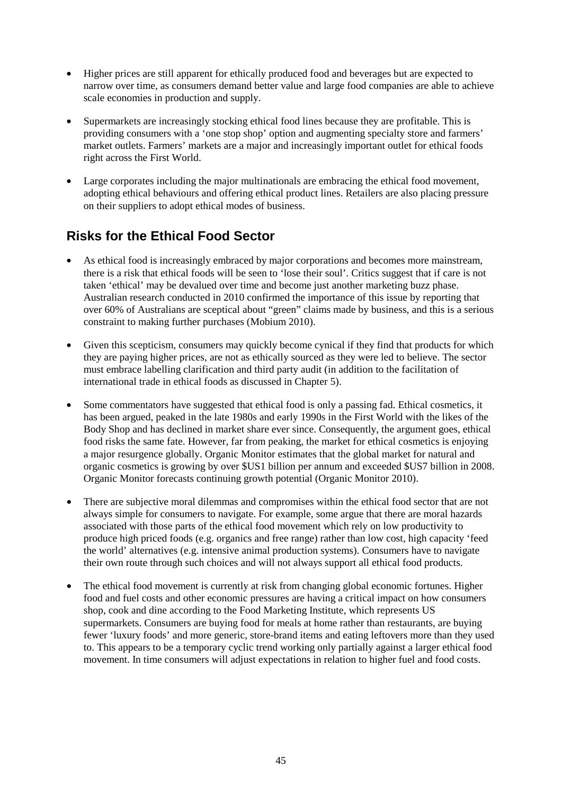- Higher prices are still apparent for ethically produced food and beverages but are expected to narrow over time, as consumers demand better value and large food companies are able to achieve scale economies in production and supply.
- Supermarkets are increasingly stocking ethical food lines because they are profitable. This is providing consumers with a 'one stop shop' option and augmenting specialty store and farmers' market outlets. Farmers' markets are a major and increasingly important outlet for ethical foods right across the First World.
- Large corporates including the major multinationals are embracing the ethical food movement, adopting ethical behaviours and offering ethical product lines. Retailers are also placing pressure on their suppliers to adopt ethical modes of business.

## **Risks for the Ethical Food Sector**

- As ethical food is increasingly embraced by major corporations and becomes more mainstream, there is a risk that ethical foods will be seen to 'lose their soul'. Critics suggest that if care is not taken 'ethical' may be devalued over time and become just another marketing buzz phase. Australian research conducted in 2010 confirmed the importance of this issue by reporting that over 60% of Australians are sceptical about "green" claims made by business, and this is a serious constraint to making further purchases (Mobium 2010).
- Given this scepticism, consumers may quickly become cynical if they find that products for which they are paying higher prices, are not as ethically sourced as they were led to believe. The sector must embrace labelling clarification and third party audit (in addition to the facilitation of international trade in ethical foods as discussed in Chapter 5).
- Some commentators have suggested that ethical food is only a passing fad. Ethical cosmetics, it has been argued, peaked in the late 1980s and early 1990s in the First World with the likes of the Body Shop and has declined in market share ever since. Consequently, the argument goes, ethical food risks the same fate. However, far from peaking, the market for ethical cosmetics is enjoying a major resurgence globally. Organic Monitor estimates that the global market for natural and organic cosmetics is growing by over \$US1 billion per annum and exceeded \$US7 billion in 2008. Organic Monitor forecasts continuing growth potential (Organic Monitor 2010).
- There are subjective moral dilemmas and compromises within the ethical food sector that are not always simple for consumers to navigate. For example, some argue that there are moral hazards associated with those parts of the ethical food movement which rely on low productivity to produce high priced foods (e.g. organics and free range) rather than low cost, high capacity 'feed the world' alternatives (e.g. intensive animal production systems). Consumers have to navigate their own route through such choices and will not always support all ethical food products.
- The ethical food movement is currently at risk from changing global economic fortunes. Higher food and fuel costs and other economic pressures are having a critical impact on how consumers shop, cook and dine according to the Food Marketing Institute, which represents US supermarkets. Consumers are buying food for meals at home rather than restaurants, are buying fewer 'luxury foods' and more generic, store-brand items and eating leftovers more than they used to. This appears to be a temporary cyclic trend working only partially against a larger ethical food movement. In time consumers will adjust expectations in relation to higher fuel and food costs.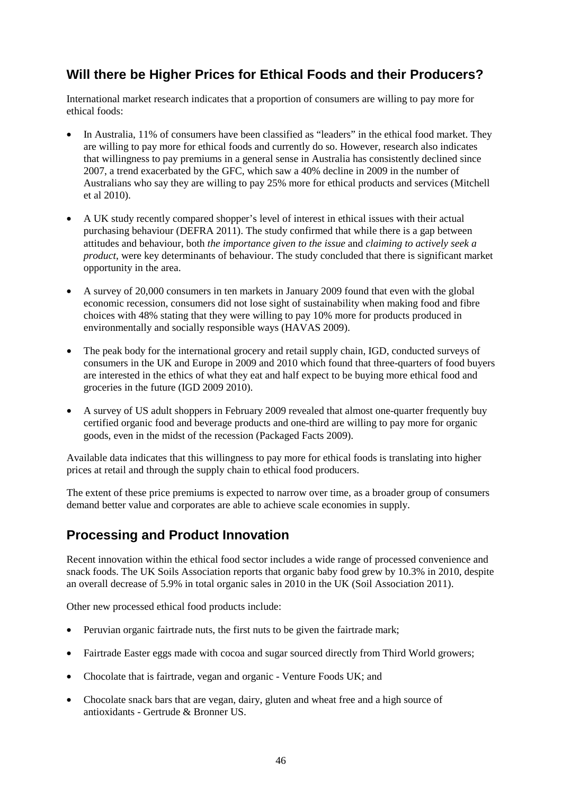## **Will there be Higher Prices for Ethical Foods and their Producers?**

International market research indicates that a proportion of consumers are willing to pay more for ethical foods:

- In Australia, 11% of consumers have been classified as "leaders" in the ethical food market. They are willing to pay more for ethical foods and currently do so. However, research also indicates that willingness to pay premiums in a general sense in Australia has consistently declined since 2007, a trend exacerbated by the GFC, which saw a 40% decline in 2009 in the number of Australians who say they are willing to pay 25% more for ethical products and services (Mitchell et al 2010).
- A UK study recently compared shopper's level of interest in ethical issues with their actual purchasing behaviour (DEFRA 2011). The study confirmed that while there is a gap between attitudes and behaviour, both *the importance given to the issue* and *claiming to actively seek a product*, were key determinants of behaviour. The study concluded that there is significant market opportunity in the area.
- A survey of 20,000 consumers in ten markets in January 2009 found that even with the global economic recession, consumers did not lose sight of sustainability when making food and fibre choices with 48% stating that they were willing to pay 10% more for products produced in environmentally and socially responsible ways (HAVAS 2009).
- The peak body for the international grocery and retail supply chain, IGD, conducted surveys of consumers in the UK and Europe in 2009 and 2010 which found that three-quarters of food buyers are interested in the ethics of what they eat and half expect to be buying more ethical food and groceries in the future (IGD 2009 2010).
- A survey of US adult shoppers in February 2009 revealed that almost one-quarter frequently buy certified organic food and beverage products and one-third are willing to pay more for organic goods, even in the midst of the recession (Packaged Facts 2009).

Available data indicates that this willingness to pay more for ethical foods is translating into higher prices at retail and through the supply chain to ethical food producers.

The extent of these price premiums is expected to narrow over time, as a broader group of consumers demand better value and corporates are able to achieve scale economies in supply.

## **Processing and Product Innovation**

Recent innovation within the ethical food sector includes a wide range of processed convenience and snack foods. The UK Soils Association reports that organic baby food grew by 10.3% in 2010, despite an overall decrease of 5.9% in total organic sales in 2010 in the UK (Soil Association 2011).

Other new processed ethical food products include:

- Peruvian organic fairtrade nuts, the first nuts to be given the fairtrade mark;
- Fairtrade Easter eggs made with cocoa and sugar sourced directly from Third World growers;
- Chocolate that is fairtrade, vegan and organic Venture Foods UK; and
- Chocolate snack bars that are vegan, dairy, gluten and wheat free and a high source of antioxidants - Gertrude & Bronner US.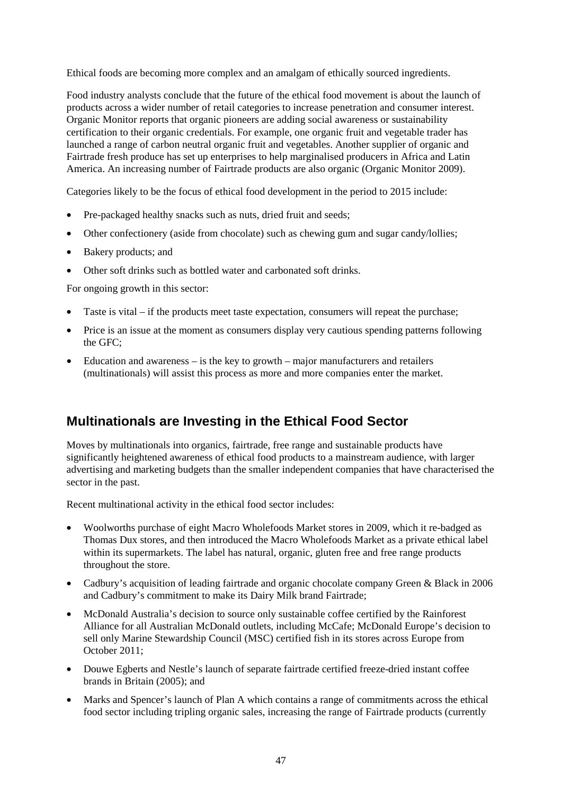Ethical foods are becoming more complex and an amalgam of ethically sourced ingredients.

Food industry analysts conclude that the future of the ethical food movement is about the launch of products across a wider number of retail categories to increase penetration and consumer interest. Organic Monitor reports that organic pioneers are adding social awareness or sustainability certification to their organic credentials. For example, one organic fruit and vegetable trader has launched a range of carbon neutral organic fruit and vegetables. Another supplier of organic and Fairtrade fresh produce has set up enterprises to help marginalised producers in Africa and Latin America. An increasing number of Fairtrade products are also organic (Organic Monitor 2009).

Categories likely to be the focus of ethical food development in the period to 2015 include:

- Pre-packaged healthy snacks such as nuts, dried fruit and seeds;
- Other confectionery (aside from chocolate) such as chewing gum and sugar candy/lollies;
- Bakery products; and
- Other soft drinks such as bottled water and carbonated soft drinks.

For ongoing growth in this sector:

- Taste is vital if the products meet taste expectation, consumers will repeat the purchase;
- Price is an issue at the moment as consumers display very cautious spending patterns following the GFC;
- Education and awareness is the key to growth major manufacturers and retailers (multinationals) will assist this process as more and more companies enter the market.

## **Multinationals are Investing in the Ethical Food Sector**

Moves by multinationals into organics, fairtrade, free range and sustainable products have significantly heightened awareness of ethical food products to a mainstream audience, with larger advertising and marketing budgets than the smaller independent companies that have characterised the sector in the past.

Recent multinational activity in the ethical food sector includes:

- Woolworths purchase of eight Macro Wholefoods Market stores in 2009, which it re-badged as Thomas Dux stores, and then introduced the Macro Wholefoods Market as a private ethical label within its supermarkets. The label has natural, organic, gluten free and free range products throughout the store.
- Cadbury's acquisition of leading fairtrade and organic chocolate company Green & Black in 2006 and Cadbury's commitment to make its Dairy Milk brand Fairtrade;
- McDonald Australia's decision to source only sustainable coffee certified by the Rainforest Alliance for all Australian McDonald outlets, including McCafe; McDonald Europe's decision to sell only Marine Stewardship Council (MSC) certified fish in its stores across Europe from October 2011;
- Douwe Egberts and Nestle's launch of separate fairtrade certified freeze-dried instant coffee brands in Britain (2005); and
- Marks and Spencer's launch of Plan A which contains a range of commitments across the ethical food sector including tripling organic sales, increasing the range of Fairtrade products (currently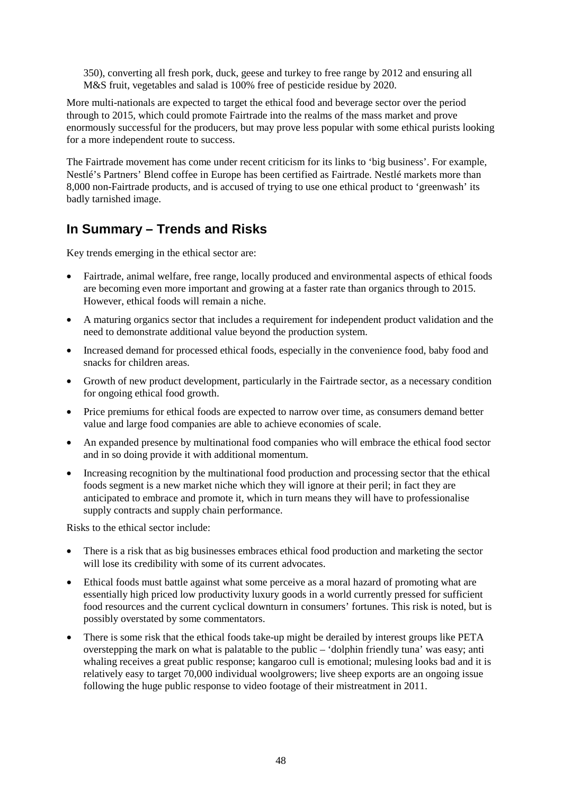350), converting all fresh pork, duck, geese and turkey to free range by 2012 and ensuring all M&S fruit, vegetables and salad is 100% free of pesticide residue by 2020.

More multi-nationals are expected to target the ethical food and beverage sector over the period through to 2015, which could promote Fairtrade into the realms of the mass market and prove enormously successful for the producers, but may prove less popular with some ethical purists looking for a more independent route to success.

The Fairtrade movement has come under recent criticism for its links to 'big business'. For example, Nestlé's Partners' Blend coffee in Europe has been certified as Fairtrade. Nestlé markets more than 8,000 non-Fairtrade products, and is accused of trying to use one ethical product to 'greenwash' its badly tarnished image.

## **In Summary – Trends and Risks**

Key trends emerging in the ethical sector are:

- Fairtrade, animal welfare, free range, locally produced and environmental aspects of ethical foods are becoming even more important and growing at a faster rate than organics through to 2015. However, ethical foods will remain a niche.
- A maturing organics sector that includes a requirement for independent product validation and the need to demonstrate additional value beyond the production system.
- Increased demand for processed ethical foods, especially in the convenience food, baby food and snacks for children areas.
- Growth of new product development, particularly in the Fairtrade sector, as a necessary condition for ongoing ethical food growth.
- Price premiums for ethical foods are expected to narrow over time, as consumers demand better value and large food companies are able to achieve economies of scale.
- An expanded presence by multinational food companies who will embrace the ethical food sector and in so doing provide it with additional momentum.
- Increasing recognition by the multinational food production and processing sector that the ethical foods segment is a new market niche which they will ignore at their peril; in fact they are anticipated to embrace and promote it, which in turn means they will have to professionalise supply contracts and supply chain performance.

Risks to the ethical sector include:

- There is a risk that as big businesses embraces ethical food production and marketing the sector will lose its credibility with some of its current advocates.
- Ethical foods must battle against what some perceive as a moral hazard of promoting what are essentially high priced low productivity luxury goods in a world currently pressed for sufficient food resources and the current cyclical downturn in consumers' fortunes. This risk is noted, but is possibly overstated by some commentators.
- There is some risk that the ethical foods take-up might be derailed by interest groups like PETA overstepping the mark on what is palatable to the public – 'dolphin friendly tuna' was easy; anti whaling receives a great public response; kangaroo cull is emotional; mulesing looks bad and it is relatively easy to target 70,000 individual woolgrowers; live sheep exports are an ongoing issue following the huge public response to video footage of their mistreatment in 2011.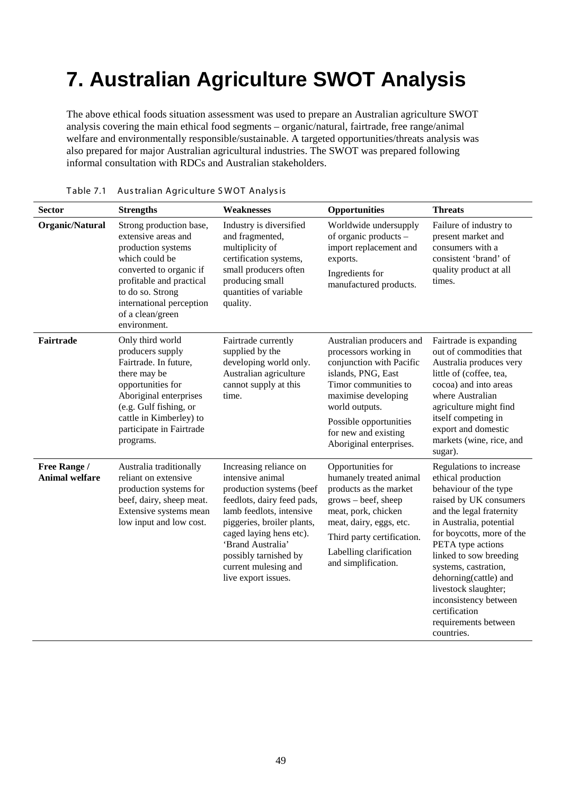## **7. Australian Agriculture SWOT Analysis**

The above ethical foods situation assessment was used to prepare an Australian agriculture SWOT analysis covering the main ethical food segments – organic/natural, fairtrade, free range/animal welfare and environmentally responsible/sustainable. A targeted opportunities/threats analysis was also prepared for major Australian agricultural industries. The SWOT was prepared following informal consultation with RDCs and Australian stakeholders.

| <b>Sector</b>                         | <b>Strengths</b>                                                                                                                                                                                                                  | Weaknesses                                                                                                                                                                                                                                                                             | <b>Opportunities</b>                                                                                                                                                                                                                              | <b>Threats</b>                                                                                                                                                                                                                                                                                                                                                                               |
|---------------------------------------|-----------------------------------------------------------------------------------------------------------------------------------------------------------------------------------------------------------------------------------|----------------------------------------------------------------------------------------------------------------------------------------------------------------------------------------------------------------------------------------------------------------------------------------|---------------------------------------------------------------------------------------------------------------------------------------------------------------------------------------------------------------------------------------------------|----------------------------------------------------------------------------------------------------------------------------------------------------------------------------------------------------------------------------------------------------------------------------------------------------------------------------------------------------------------------------------------------|
| Organic/Natural                       | Strong production base,<br>extensive areas and<br>production systems<br>which could be<br>converted to organic if<br>profitable and practical<br>to do so. Strong<br>international perception<br>of a clean/green<br>environment. | Industry is diversified<br>and fragmented,<br>multiplicity of<br>certification systems,<br>small producers often<br>producing small<br>quantities of variable<br>quality.                                                                                                              | Worldwide undersupply<br>of organic products -<br>import replacement and<br>exports.<br>Ingredients for<br>manufactured products.                                                                                                                 | Failure of industry to<br>present market and<br>consumers with a<br>consistent 'brand' of<br>quality product at all<br>times.                                                                                                                                                                                                                                                                |
| Fairtrade                             | Only third world<br>producers supply<br>Fairtrade. In future,<br>there may be<br>opportunities for<br>Aboriginal enterprises<br>(e.g. Gulf fishing, or<br>cattle in Kimberley) to<br>participate in Fairtrade<br>programs.        | Fairtrade currently<br>supplied by the<br>developing world only.<br>Australian agriculture<br>cannot supply at this<br>time.                                                                                                                                                           | Australian producers and<br>processors working in<br>conjunction with Pacific<br>islands, PNG, East<br>Timor communities to<br>maximise developing<br>world outputs.<br>Possible opportunities<br>for new and existing<br>Aboriginal enterprises. | Fairtrade is expanding<br>out of commodities that<br>Australia produces very<br>little of (coffee, tea,<br>cocoa) and into areas<br>where Australian<br>agriculture might find<br>itself competing in<br>export and domestic<br>markets (wine, rice, and<br>sugar).                                                                                                                          |
| Free Range /<br><b>Animal welfare</b> | Australia traditionally<br>reliant on extensive<br>production systems for<br>beef, dairy, sheep meat.<br>Extensive systems mean<br>low input and low cost.                                                                        | Increasing reliance on<br>intensive animal<br>production systems (beef<br>feedlots, dairy feed pads,<br>lamb feedlots, intensive<br>piggeries, broiler plants,<br>caged laying hens etc).<br>'Brand Australia'<br>possibly tarnished by<br>current mulesing and<br>live export issues. | Opportunities for<br>humanely treated animal<br>products as the market<br>grows – beef, sheep<br>meat, pork, chicken<br>meat, dairy, eggs, etc.<br>Third party certification.<br>Labelling clarification<br>and simplification.                   | Regulations to increase<br>ethical production<br>behaviour of the type<br>raised by UK consumers<br>and the legal fraternity<br>in Australia, potential<br>for boycotts, more of the<br>PETA type actions<br>linked to sow breeding<br>systems, castration,<br>dehorning(cattle) and<br>livestock slaughter;<br>inconsistency between<br>certification<br>requirements between<br>countries. |

| Table 7.1 Australian Agriculture SWOT Analysis |
|------------------------------------------------|
|                                                |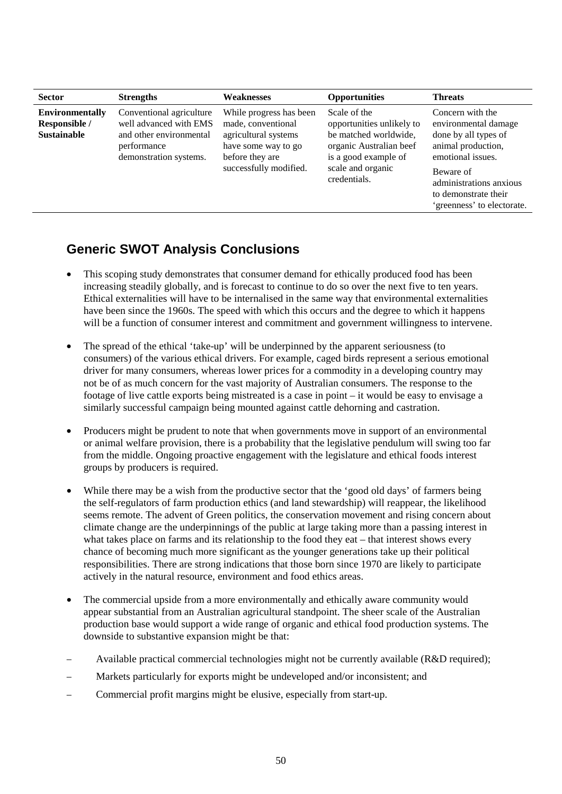| <b>Sector</b>                                                 | <b>Strengths</b>                                                                                                       | <b>Weaknesses</b>                                                                                                                         | <b>Opportunities</b>                                                                                                                                       | <b>Threats</b>                                                                                                                                                                                            |
|---------------------------------------------------------------|------------------------------------------------------------------------------------------------------------------------|-------------------------------------------------------------------------------------------------------------------------------------------|------------------------------------------------------------------------------------------------------------------------------------------------------------|-----------------------------------------------------------------------------------------------------------------------------------------------------------------------------------------------------------|
| <b>Environmentally</b><br>Responsible /<br><b>Sustainable</b> | Conventional agriculture<br>well advanced with EMS<br>and other environmental<br>performance<br>demonstration systems. | While progress has been<br>made, conventional<br>agricultural systems<br>have some way to go<br>before they are<br>successfully modified. | Scale of the<br>opportunities unlikely to<br>be matched worldwide,<br>organic Australian beef<br>is a good example of<br>scale and organic<br>credentials. | Concern with the<br>environmental damage<br>done by all types of<br>animal production,<br>emotional issues.<br>Beware of<br>administrations anxious<br>to demonstrate their<br>'greenness' to electorate. |

## **Generic SWOT Analysis Conclusions**

- This scoping study demonstrates that consumer demand for ethically produced food has been increasing steadily globally, and is forecast to continue to do so over the next five to ten years. Ethical externalities will have to be internalised in the same way that environmental externalities have been since the 1960s. The speed with which this occurs and the degree to which it happens will be a function of consumer interest and commitment and government willingness to intervene.
- The spread of the ethical 'take-up' will be underpinned by the apparent seriousness (to consumers) of the various ethical drivers. For example, caged birds represent a serious emotional driver for many consumers, whereas lower prices for a commodity in a developing country may not be of as much concern for the vast majority of Australian consumers. The response to the footage of live cattle exports being mistreated is a case in point – it would be easy to envisage a similarly successful campaign being mounted against cattle dehorning and castration.
- Producers might be prudent to note that when governments move in support of an environmental or animal welfare provision, there is a probability that the legislative pendulum will swing too far from the middle. Ongoing proactive engagement with the legislature and ethical foods interest groups by producers is required.
- While there may be a wish from the productive sector that the 'good old days' of farmers being the self-regulators of farm production ethics (and land stewardship) will reappear, the likelihood seems remote. The advent of Green politics, the conservation movement and rising concern about climate change are the underpinnings of the public at large taking more than a passing interest in what takes place on farms and its relationship to the food they eat – that interest shows every chance of becoming much more significant as the younger generations take up their political responsibilities. There are strong indications that those born since 1970 are likely to participate actively in the natural resource, environment and food ethics areas.
- The commercial upside from a more environmentally and ethically aware community would appear substantial from an Australian agricultural standpoint. The sheer scale of the Australian production base would support a wide range of organic and ethical food production systems. The downside to substantive expansion might be that:
- − Available practical commercial technologies might not be currently available (R&D required);
- Markets particularly for exports might be undeveloped and/or inconsistent; and
- − Commercial profit margins might be elusive, especially from start-up.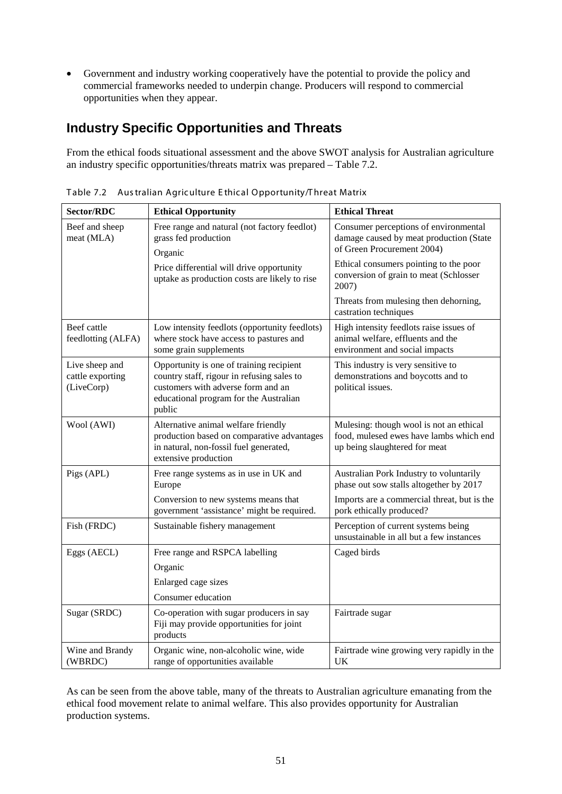• Government and industry working cooperatively have the potential to provide the policy and commercial frameworks needed to underpin change. Producers will respond to commercial opportunities when they appear.

## **Industry Specific Opportunities and Threats**

From the ethical foods situational assessment and the above SWOT analysis for Australian agriculture an industry specific opportunities/threats matrix was prepared – Table 7.2.

| Sector/RDC                                       | <b>Ethical Opportunity</b>                                                                                                                                                       | <b>Ethical Threat</b>                                                                                               |
|--------------------------------------------------|----------------------------------------------------------------------------------------------------------------------------------------------------------------------------------|---------------------------------------------------------------------------------------------------------------------|
| Beef and sheep<br>meat (MLA)                     | Free range and natural (not factory feedlot)<br>grass fed production<br>Organic                                                                                                  | Consumer perceptions of environmental<br>damage caused by meat production (State<br>of Green Procurement 2004)      |
|                                                  | Price differential will drive opportunity<br>uptake as production costs are likely to rise                                                                                       | Ethical consumers pointing to the poor<br>conversion of grain to meat (Schlosser<br>2007)                           |
|                                                  |                                                                                                                                                                                  | Threats from mulesing then dehorning,<br>castration techniques                                                      |
| Beef cattle<br>feedlotting (ALFA)                | Low intensity feedlots (opportunity feedlots)<br>where stock have access to pastures and<br>some grain supplements                                                               | High intensity feedlots raise issues of<br>animal welfare, effluents and the<br>environment and social impacts      |
| Live sheep and<br>cattle exporting<br>(LiveCorp) | Opportunity is one of training recipient<br>country staff, rigour in refusing sales to<br>customers with adverse form and an<br>educational program for the Australian<br>public | This industry is very sensitive to<br>demonstrations and boycotts and to<br>political issues.                       |
| Wool (AWI)                                       | Alternative animal welfare friendly<br>production based on comparative advantages<br>in natural, non-fossil fuel generated,<br>extensive production                              | Mulesing: though wool is not an ethical<br>food, mulesed ewes have lambs which end<br>up being slaughtered for meat |
| Pigs (APL)                                       | Free range systems as in use in UK and<br>Europe                                                                                                                                 | Australian Pork Industry to voluntarily<br>phase out sow stalls altogether by 2017                                  |
|                                                  | Conversion to new systems means that<br>government 'assistance' might be required.                                                                                               | Imports are a commercial threat, but is the<br>pork ethically produced?                                             |
| Fish (FRDC)                                      | Sustainable fishery management                                                                                                                                                   | Perception of current systems being<br>unsustainable in all but a few instances                                     |
| Eggs (AECL)                                      | Free range and RSPCA labelling                                                                                                                                                   | Caged birds                                                                                                         |
|                                                  | Organic                                                                                                                                                                          |                                                                                                                     |
|                                                  | Enlarged cage sizes                                                                                                                                                              |                                                                                                                     |
|                                                  | Consumer education                                                                                                                                                               |                                                                                                                     |
| Sugar (SRDC)                                     | Co-operation with sugar producers in say<br>Fiji may provide opportunities for joint<br>products                                                                                 | Fairtrade sugar                                                                                                     |
| Wine and Brandy<br>(WBRDC)                       | Organic wine, non-alcoholic wine, wide<br>range of opportunities available                                                                                                       | Fairtrade wine growing very rapidly in the<br><b>UK</b>                                                             |

Table 7.2 Aus tralian Agric ulture E thic al Opportunity/T hreat Matrix

As can be seen from the above table, many of the threats to Australian agriculture emanating from the ethical food movement relate to animal welfare. This also provides opportunity for Australian production systems.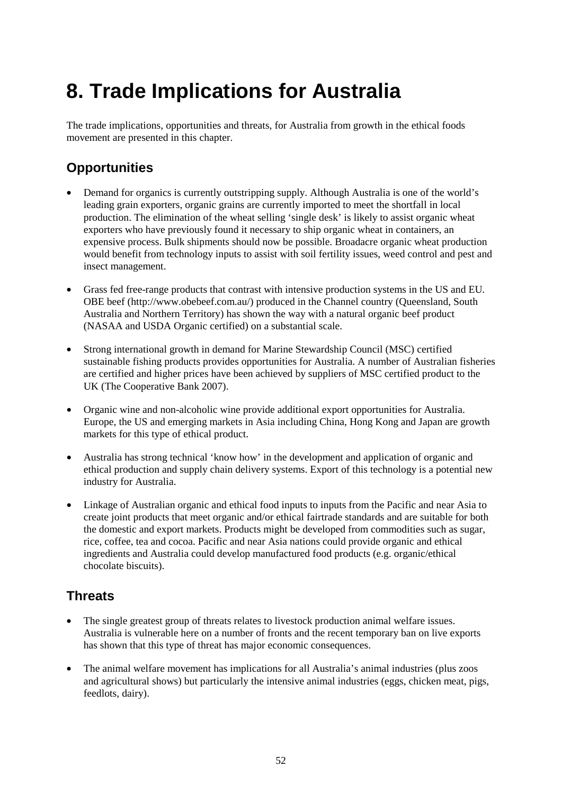## **8. Trade Implications for Australia**

The trade implications, opportunities and threats, for Australia from growth in the ethical foods movement are presented in this chapter.

## **Opportunities**

- Demand for organics is currently outstripping supply. Although Australia is one of the world's leading grain exporters, organic grains are currently imported to meet the shortfall in local production. The elimination of the wheat selling 'single desk' is likely to assist organic wheat exporters who have previously found it necessary to ship organic wheat in containers, an expensive process. Bulk shipments should now be possible. Broadacre organic wheat production would benefit from technology inputs to assist with soil fertility issues, weed control and pest and insect management.
- Grass fed free-range products that contrast with intensive production systems in the US and EU. OBE beef [\(http://www.obebeef.com.au/\)](http://www.obebeef.com.au/) produced in the Channel country (Queensland, South Australia and Northern Territory) has shown the way with a natural organic beef product (NASAA and USDA Organic certified) on a substantial scale.
- Strong international growth in demand for Marine Stewardship Council (MSC) certified sustainable fishing products provides opportunities for Australia. A number of Australian fisheries are certified and higher prices have been achieved by suppliers of MSC certified product to the UK (The Cooperative Bank 2007).
- Organic wine and non-alcoholic wine provide additional export opportunities for Australia. Europe, the US and emerging markets in Asia including China, Hong Kong and Japan are growth markets for this type of ethical product.
- Australia has strong technical 'know how' in the development and application of organic and ethical production and supply chain delivery systems. Export of this technology is a potential new industry for Australia.
- Linkage of Australian organic and ethical food inputs to inputs from the Pacific and near Asia to create joint products that meet organic and/or ethical fairtrade standards and are suitable for both the domestic and export markets. Products might be developed from commodities such as sugar, rice, coffee, tea and cocoa. Pacific and near Asia nations could provide organic and ethical ingredients and Australia could develop manufactured food products (e.g. organic/ethical chocolate biscuits).

## **Threats**

- The single greatest group of threats relates to livestock production animal welfare issues. Australia is vulnerable here on a number of fronts and the recent temporary ban on live exports has shown that this type of threat has major economic consequences.
- The animal welfare movement has implications for all Australia's animal industries (plus zoos and agricultural shows) but particularly the intensive animal industries (eggs, chicken meat, pigs, feedlots, dairy).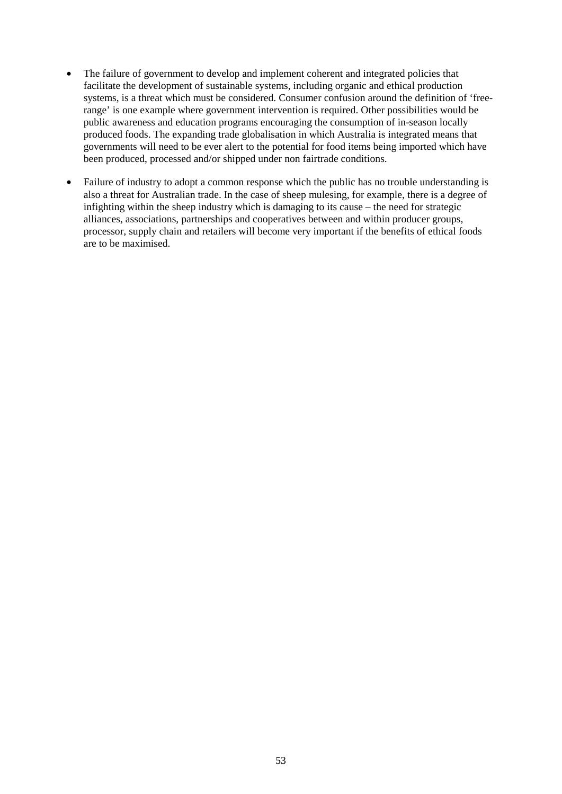- The failure of government to develop and implement coherent and integrated policies that facilitate the development of sustainable systems, including organic and ethical production systems, is a threat which must be considered. Consumer confusion around the definition of 'freerange' is one example where government intervention is required. Other possibilities would be public awareness and education programs encouraging the consumption of in-season locally produced foods. The expanding trade globalisation in which Australia is integrated means that governments will need to be ever alert to the potential for food items being imported which have been produced, processed and/or shipped under non fairtrade conditions.
- Failure of industry to adopt a common response which the public has no trouble understanding is also a threat for Australian trade. In the case of sheep mulesing, for example, there is a degree of infighting within the sheep industry which is damaging to its cause – the need for strategic alliances, associations, partnerships and cooperatives between and within producer groups, processor, supply chain and retailers will become very important if the benefits of ethical foods are to be maximised.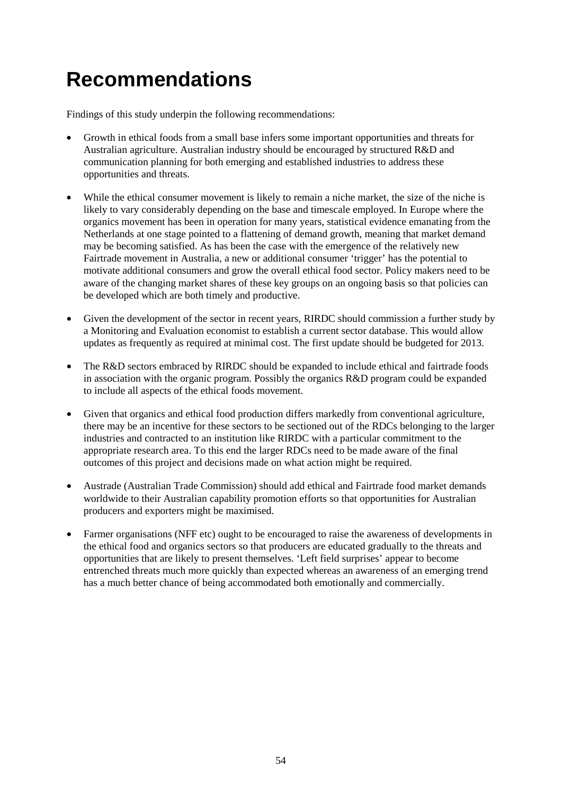## **Recommendations**

Findings of this study underpin the following recommendations:

- Growth in ethical foods from a small base infers some important opportunities and threats for Australian agriculture. Australian industry should be encouraged by structured R&D and communication planning for both emerging and established industries to address these opportunities and threats.
- While the ethical consumer movement is likely to remain a niche market, the size of the niche is likely to vary considerably depending on the base and timescale employed. In Europe where the organics movement has been in operation for many years, statistical evidence emanating from the Netherlands at one stage pointed to a flattening of demand growth, meaning that market demand may be becoming satisfied. As has been the case with the emergence of the relatively new Fairtrade movement in Australia, a new or additional consumer 'trigger' has the potential to motivate additional consumers and grow the overall ethical food sector. Policy makers need to be aware of the changing market shares of these key groups on an ongoing basis so that policies can be developed which are both timely and productive.
- Given the development of the sector in recent years, RIRDC should commission a further study by a Monitoring and Evaluation economist to establish a current sector database. This would allow updates as frequently as required at minimal cost. The first update should be budgeted for 2013.
- The R&D sectors embraced by RIRDC should be expanded to include ethical and fairtrade foods in association with the organic program. Possibly the organics R&D program could be expanded to include all aspects of the ethical foods movement.
- Given that organics and ethical food production differs markedly from conventional agriculture, there may be an incentive for these sectors to be sectioned out of the RDCs belonging to the larger industries and contracted to an institution like RIRDC with a particular commitment to the appropriate research area. To this end the larger RDCs need to be made aware of the final outcomes of this project and decisions made on what action might be required.
- Austrade (Australian Trade Commission) should add ethical and Fairtrade food market demands worldwide to their Australian capability promotion efforts so that opportunities for Australian producers and exporters might be maximised.
- Farmer organisations (NFF etc) ought to be encouraged to raise the awareness of developments in the ethical food and organics sectors so that producers are educated gradually to the threats and opportunities that are likely to present themselves. 'Left field surprises' appear to become entrenched threats much more quickly than expected whereas an awareness of an emerging trend has a much better chance of being accommodated both emotionally and commercially.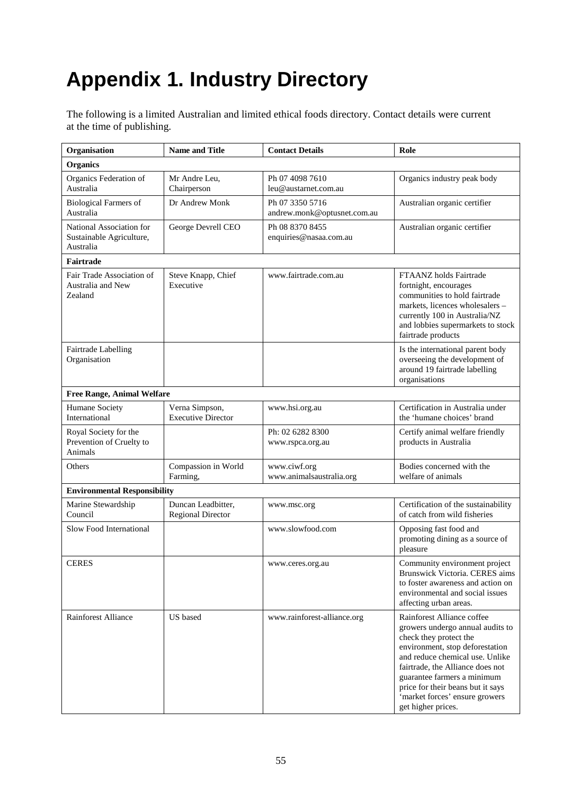# **Appendix 1. Industry Directory**

The following is a limited Australian and limited ethical foods directory. Contact details were current at the time of publishing.

| Organisation                                                      | <b>Name and Title</b>                          | <b>Contact Details</b>                         | Role                                                                                                                                                                                                                                                                                                                           |
|-------------------------------------------------------------------|------------------------------------------------|------------------------------------------------|--------------------------------------------------------------------------------------------------------------------------------------------------------------------------------------------------------------------------------------------------------------------------------------------------------------------------------|
| <b>Organics</b>                                                   |                                                |                                                |                                                                                                                                                                                                                                                                                                                                |
| Organics Federation of<br>Australia                               | Mr Andre Leu,<br>Chairperson                   | Ph 07 4098 7610<br>leu@austarnet.com.au        | Organics industry peak body                                                                                                                                                                                                                                                                                                    |
| <b>Biological Farmers of</b><br>Australia                         | Dr Andrew Monk                                 | Ph 07 3350 5716<br>andrew.monk@optusnet.com.au | Australian organic certifier                                                                                                                                                                                                                                                                                                   |
| National Association for<br>Sustainable Agriculture,<br>Australia | George Devrell CEO                             | Ph 08 8370 8455<br>enquiries@nasaa.com.au      | Australian organic certifier                                                                                                                                                                                                                                                                                                   |
| Fairtrade                                                         |                                                |                                                |                                                                                                                                                                                                                                                                                                                                |
| Fair Trade Association of<br>Australia and New<br>Zealand         | Steve Knapp, Chief<br>Executive                | www.fairtrade.com.au                           | FTAANZ holds Fairtrade<br>fortnight, encourages<br>communities to hold fairtrade<br>markets, licences wholesalers -<br>currently 100 in Australia/NZ<br>and lobbies supermarkets to stock<br>fairtrade products                                                                                                                |
| Fairtrade Labelling<br>Organisation                               |                                                |                                                | Is the international parent body<br>overseeing the development of<br>around 19 fairtrade labelling<br>organisations                                                                                                                                                                                                            |
| <b>Free Range, Animal Welfare</b>                                 |                                                |                                                |                                                                                                                                                                                                                                                                                                                                |
| Humane Society<br>International                                   | Verna Simpson,<br><b>Executive Director</b>    | www.hsi.org.au                                 | Certification in Australia under<br>the 'humane choices' brand                                                                                                                                                                                                                                                                 |
| Royal Society for the<br>Prevention of Cruelty to<br>Animals      |                                                | Ph: 02 6282 8300<br>www.rspca.org.au           | Certify animal welfare friendly<br>products in Australia                                                                                                                                                                                                                                                                       |
| Others                                                            | Compassion in World<br>Farming,                | www.ciwf.org<br>www.animalsaustralia.org       | Bodies concerned with the<br>welfare of animals                                                                                                                                                                                                                                                                                |
| <b>Environmental Responsibility</b>                               |                                                |                                                |                                                                                                                                                                                                                                                                                                                                |
| Marine Stewardship<br>Council                                     | Duncan Leadbitter,<br><b>Regional Director</b> | www.msc.org                                    | Certification of the sustainability<br>of catch from wild fisheries                                                                                                                                                                                                                                                            |
| Slow Food International                                           |                                                | www.slowfood.com                               | Opposing fast food and<br>promoting dining as a source of<br>pleasure                                                                                                                                                                                                                                                          |
| <b>CERES</b>                                                      |                                                | www.ceres.org.au                               | Community environment project<br>Brunswick Victoria. CERES aims<br>to foster awareness and action on<br>environmental and social issues<br>affecting urban areas.                                                                                                                                                              |
| Rainforest Alliance                                               | US based                                       | www.rainforest-alliance.org                    | Rainforest Alliance coffee<br>growers undergo annual audits to<br>check they protect the<br>environment, stop deforestation<br>and reduce chemical use. Unlike<br>fairtrade, the Alliance does not<br>guarantee farmers a minimum<br>price for their beans but it says<br>'market forces' ensure growers<br>get higher prices. |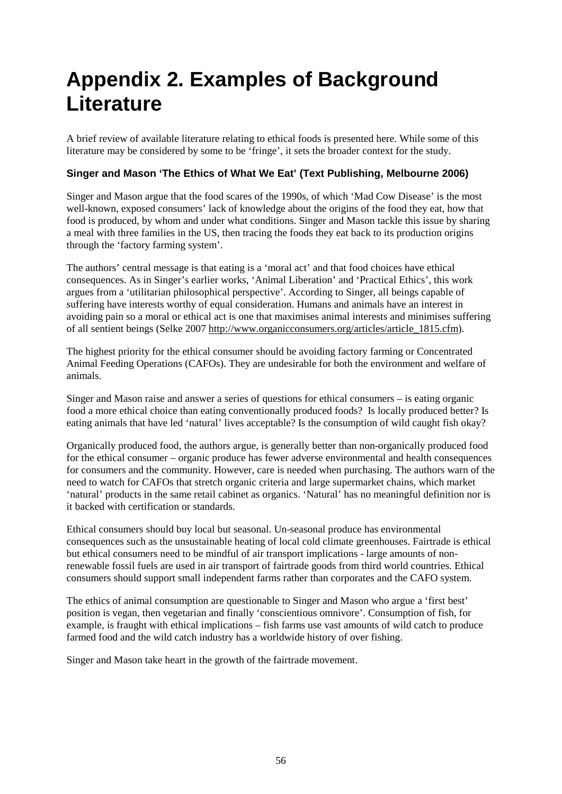## **Appendix 2. Examples of Background Literature**

A brief review of available literature relating to ethical foods is presented here. While some of this literature may be considered by some to be 'fringe', it sets the broader context for the study.

#### **Singer and Mason 'The Ethics of What We Eat' (Text Publishing, Melbourne 2006)**

Singer and Mason argue that the food scares of the 1990s, of which 'Mad Cow Disease' is the most well-known, exposed consumers' lack of knowledge about the origins of the food they eat, how that food is produced, by whom and under what conditions. Singer and Mason tackle this issue by sharing a meal with three families in the US, then tracing the foods they eat back to its production origins through the 'factory farming system'.

The authors' central message is that eating is a 'moral act' and that food choices have ethical consequences. As in Singer's earlier works, 'Animal Liberation' and 'Practical Ethics', this work argues from a 'utilitarian philosophical perspective'. According to Singer, all beings capable of suffering have interests worthy of equal consideration. Humans and animals have an interest in avoiding pain so a moral or ethical act is one that maximises animal interests and minimises suffering of all sentient beings (Selke 2007 [http://www.organicconsumers.org/articles/article\\_1815.cfm\)](http://www.organicconsumers.org/articles/article_1815.cfm).

The highest priority for the ethical consumer should be avoiding factory farming or Concentrated Animal Feeding Operations (CAFOs). They are undesirable for both the environment and welfare of animals.

Singer and Mason raise and answer a series of questions for ethical consumers – is eating organic food a more ethical choice than eating conventionally produced foods? Is locally produced better? Is eating animals that have led 'natural' lives acceptable? Is the consumption of wild caught fish okay?

Organically produced food, the authors argue, is generally better than non-organically produced food for the ethical consumer – organic produce has fewer adverse environmental and health consequences for consumers and the community. However, care is needed when purchasing. The authors warn of the need to watch for CAFOs that stretch organic criteria and large supermarket chains, which market 'natural' products in the same retail cabinet as organics. 'Natural' has no meaningful definition nor is it backed with certification or standards.

Ethical consumers should buy local but seasonal. Un-seasonal produce has environmental consequences such as the unsustainable heating of local cold climate greenhouses. Fairtrade is ethical but ethical consumers need to be mindful of air transport implications - large amounts of nonrenewable fossil fuels are used in air transport of fairtrade goods from third world countries. Ethical consumers should support small independent farms rather than corporates and the CAFO system.

The ethics of animal consumption are questionable to Singer and Mason who argue a 'first best' position is vegan, then vegetarian and finally 'conscientious omnivore'. Consumption of fish, for example, is fraught with ethical implications – fish farms use vast amounts of wild catch to produce farmed food and the wild catch industry has a worldwide history of over fishing.

Singer and Mason take heart in the growth of the fairtrade movement.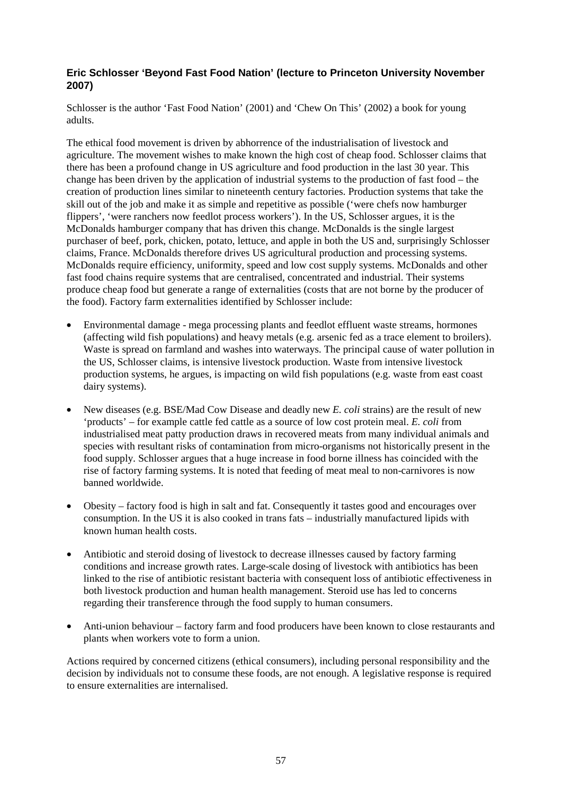#### **Eric Schlosser 'Beyond Fast Food Nation' (lecture to Princeton University November 2007)**

Schlosser is the author 'Fast Food Nation' (2001) and 'Chew On This' (2002) a book for young adults.

The ethical food movement is driven by abhorrence of the industrialisation of livestock and agriculture. The movement wishes to make known the high cost of cheap food. Schlosser claims that there has been a profound change in US agriculture and food production in the last 30 year. This change has been driven by the application of industrial systems to the production of fast food – the creation of production lines similar to nineteenth century factories. Production systems that take the skill out of the job and make it as simple and repetitive as possible ('were chefs now hamburger flippers', 'were ranchers now feedlot process workers'). In the US, Schlosser argues, it is the McDonalds hamburger company that has driven this change. McDonalds is the single largest purchaser of beef, pork, chicken, potato, lettuce, and apple in both the US and, surprisingly Schlosser claims, France. McDonalds therefore drives US agricultural production and processing systems. McDonalds require efficiency, uniformity, speed and low cost supply systems. McDonalds and other fast food chains require systems that are centralised, concentrated and industrial. Their systems produce cheap food but generate a range of externalities (costs that are not borne by the producer of the food). Factory farm externalities identified by Schlosser include:

- Environmental damage mega processing plants and feedlot effluent waste streams, hormones (affecting wild fish populations) and heavy metals (e.g. arsenic fed as a trace element to broilers). Waste is spread on farmland and washes into waterways. The principal cause of water pollution in the US, Schlosser claims, is intensive livestock production. Waste from intensive livestock production systems, he argues, is impacting on wild fish populations (e.g. waste from east coast dairy systems).
- New diseases (e.g. BSE/Mad Cow Disease and deadly new *E. coli* strains) are the result of new 'products' – for example cattle fed cattle as a source of low cost protein meal. *E. coli* from industrialised meat patty production draws in recovered meats from many individual animals and species with resultant risks of contamination from micro-organisms not historically present in the food supply. Schlosser argues that a huge increase in food borne illness has coincided with the rise of factory farming systems. It is noted that feeding of meat meal to non-carnivores is now banned worldwide.
- Obesity factory food is high in salt and fat. Consequently it tastes good and encourages over consumption. In the US it is also cooked in trans fats – industrially manufactured lipids with known human health costs.
- Antibiotic and steroid dosing of livestock to decrease illnesses caused by factory farming conditions and increase growth rates. Large-scale dosing of livestock with antibiotics has been linked to the rise of antibiotic resistant bacteria with consequent loss of antibiotic effectiveness in both livestock production and human health management. Steroid use has led to concerns regarding their transference through the food supply to human consumers.
- Anti-union behaviour factory farm and food producers have been known to close restaurants and plants when workers vote to form a union.

Actions required by concerned citizens (ethical consumers), including personal responsibility and the decision by individuals not to consume these foods, are not enough. A legislative response is required to ensure externalities are internalised.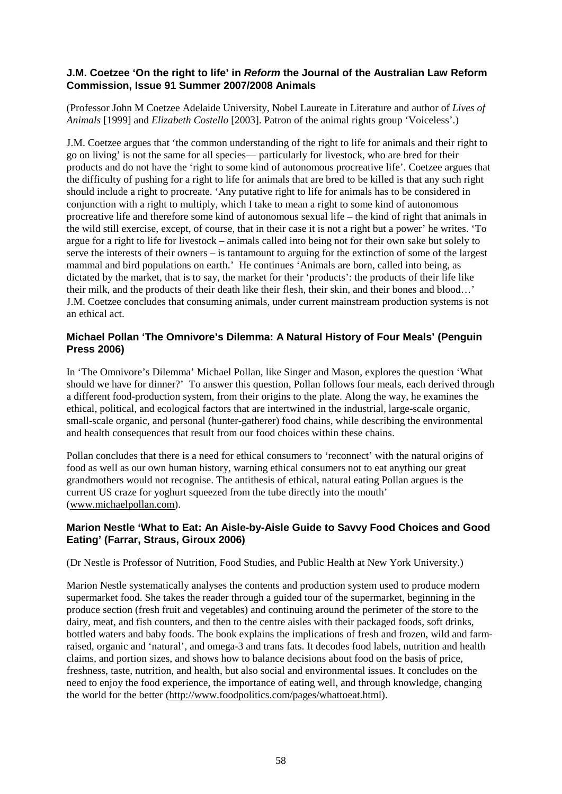#### **J.M. Coetzee 'On the right to life' in** *Reform* **the Journal of the Australian Law Reform Commission, Issue 91 Summer 2007/2008 Animals**

(Professor John M Coetzee Adelaide University, Nobel Laureate in Literature and author of *Lives of Animals* [1999] and *Elizabeth Costello* [2003]. Patron of the animal rights group 'Voiceless'.)

J.M. Coetzee argues that 'the common understanding of the right to life for animals and their right to go on living' is not the same for all species— particularly for livestock, who are bred for their products and do not have the 'right to some kind of autonomous procreative life'. Coetzee argues that the difficulty of pushing for a right to life for animals that are bred to be killed is that any such right should include a right to procreate. 'Any putative right to life for animals has to be considered in conjunction with a right to multiply, which I take to mean a right to some kind of autonomous procreative life and therefore some kind of autonomous sexual life – the kind of right that animals in the wild still exercise, except, of course, that in their case it is not a right but a power' he writes. 'To argue for a right to life for livestock – animals called into being not for their own sake but solely to serve the interests of their owners – is tantamount to arguing for the extinction of some of the largest mammal and bird populations on earth.' He continues 'Animals are born, called into being, as dictated by the market, that is to say, the market for their 'products': the products of their life like their milk, and the products of their death like their flesh, their skin, and their bones and blood…' J.M. Coetzee concludes that consuming animals, under current mainstream production systems is not an ethical act.

#### **Michael Pollan 'The Omnivore's Dilemma: A Natural History of Four Meals' (Penguin Press 2006)**

In 'The Omnivore's Dilemma' Michael Pollan, like Singer and Mason, explores the question 'What should we have for dinner?' To answer this question, Pollan follows four meals, each derived through a different food-production system, from their origins to the plate. Along the way, he examines the ethical, political, and ecological factors that are intertwined in the [industrial,](http://en.wikipedia.org/wiki/Industrial_agriculture) large-scale [organic,](http://en.wikipedia.org/wiki/Organic_farming) small-scale organic, and personal (hunter-gatherer) food chains, while describing the environmental and health consequences that result from our food choices within these chains.

Pollan concludes that there is a need for ethical consumers to 'reconnect' with the natural origins of food as well as our own human history, warning ethical consumers not to eat anything our great grandmothers would not recognise. The antithesis of ethical, natural eating Pollan argues is the current US craze for yoghurt squeezed from the tube directly into the mouth' [\(www.michaelpollan.com\)](http://www.michaelpollan.com/).

#### **Marion Nestle 'What to Eat: An Aisle-by-Aisle Guide to Savvy Food Choices and Good Eating' (Farrar, Straus, Giroux 2006)**

(Dr Nestle is Professor of Nutrition, Food Studies, and Public Health at [New York University.](http://en.wikipedia.org/wiki/New_York_University))

Marion Nestle systematically analyses the contents and production system used to produce modern supermarket food. She takes the reader through a guided tour of the supermarket, beginning in the produce section (fresh fruit and vegetables) and continuing around the perimeter of the store to the dairy, meat, and fish counters, and then to the centre aisles with their packaged foods, soft drinks, bottled waters and baby foods. The book explains the implications of fresh and frozen, wild and farmraised, organic and 'natural', and omega-3 and trans fats. It decodes food labels, nutrition and health claims, and portion sizes, and shows how to balance decisions about food on the basis of price, freshness, taste, nutrition, and health, but also social and environmental issues. It concludes on the need to enjoy the food experience, the importance of eating well, and through knowledge, changing the world for the better [\(http://www.foodpolitics.com/pages/whattoeat.html\)](http://www.foodpolitics.com/pages/whattoeat.html).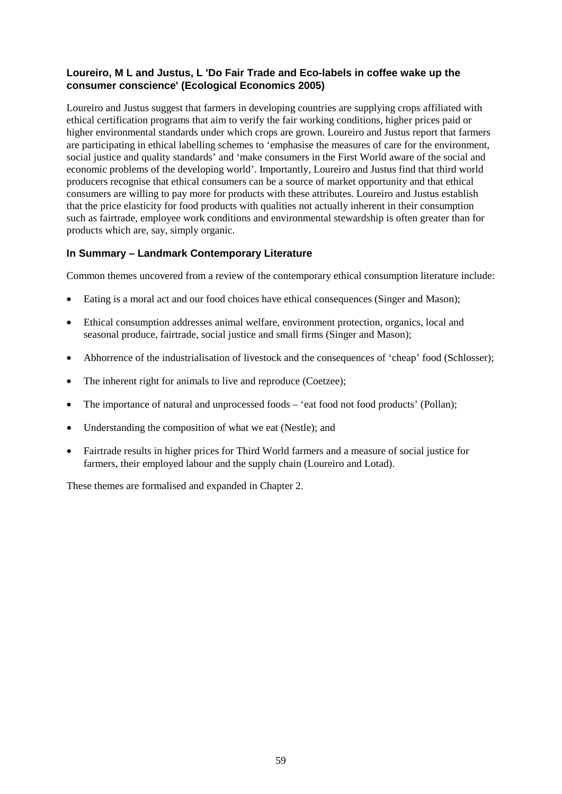#### **Loureiro, M L and Justus, L 'Do Fair Trade and Eco-labels in coffee wake up the consumer conscience' (Ecological Economics 2005)**

Loureiro and Justus suggest that farmers in developing countries are supplying crops affiliated with ethical certification programs that aim to verify the fair working conditions, higher prices paid or higher environmental standards under which crops are grown. Loureiro and Justus report that farmers are participating in ethical labelling schemes to 'emphasise the measures of care for the environment, social justice and quality standards' and 'make consumers in the First World aware of the social and economic problems of the developing world'. Importantly, Loureiro and Justus find that third world producers recognise that ethical consumers can be a source of market opportunity and that ethical consumers are willing to pay more for products with these attributes. Loureiro and Justus establish that the price elasticity for food products with qualities not actually inherent in their consumption such as fairtrade, employee work conditions and environmental stewardship is often greater than for products which are, say, simply organic.

#### **In Summary – Landmark Contemporary Literature**

Common themes uncovered from a review of the contemporary ethical consumption literature include:

- Eating is a moral act and our food choices have ethical consequences (Singer and Mason);
- Ethical consumption addresses animal welfare, environment protection, organics, local and seasonal produce, fairtrade, social justice and small firms (Singer and Mason);
- Abhorrence of the industrialisation of livestock and the consequences of 'cheap' food (Schlosser);
- The inherent right for animals to live and reproduce (Coetzee);
- The importance of natural and unprocessed foods 'eat food not food products' (Pollan);
- Understanding the composition of what we eat (Nestle); and
- Fairtrade results in higher prices for Third World farmers and a measure of social justice for farmers, their employed labour and the supply chain (Loureiro and Lotad).

These themes are formalised and expanded in Chapter 2.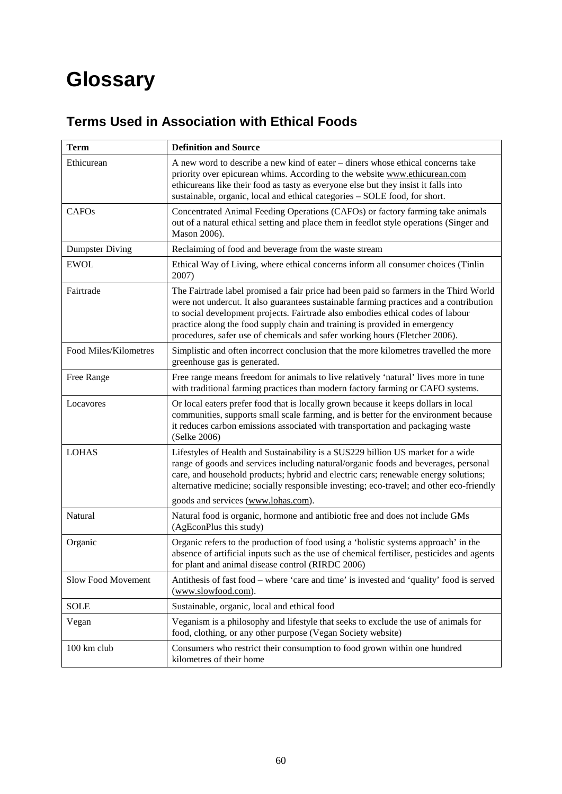# **Glossary**

### **Terms Used in Association with Ethical Foods**

| <b>Term</b>            | <b>Definition and Source</b>                                                                                                                                                                                                                                                                                                                                                                                                    |
|------------------------|---------------------------------------------------------------------------------------------------------------------------------------------------------------------------------------------------------------------------------------------------------------------------------------------------------------------------------------------------------------------------------------------------------------------------------|
| Ethicurean             | A new word to describe a new kind of eater – diners whose ethical concerns take<br>priority over epicurean whims. According to the website www.ethicurean.com<br>ethicureans like their food as tasty as everyone else but they insist it falls into<br>sustainable, organic, local and ethical categories - SOLE food, for short.                                                                                              |
| CAFO <sub>s</sub>      | Concentrated Animal Feeding Operations (CAFOs) or factory farming take animals<br>out of a natural ethical setting and place them in feedlot style operations (Singer and<br>Mason 2006).                                                                                                                                                                                                                                       |
| <b>Dumpster Diving</b> | Reclaiming of food and beverage from the waste stream                                                                                                                                                                                                                                                                                                                                                                           |
| <b>EWOL</b>            | Ethical Way of Living, where ethical concerns inform all consumer choices (Tinlin<br>2007)                                                                                                                                                                                                                                                                                                                                      |
| Fairtrade              | The Fairtrade label promised a fair price had been paid so farmers in the Third World<br>were not undercut. It also guarantees sustainable farming practices and a contribution<br>to social development projects. Fairtrade also embodies ethical codes of labour<br>practice along the food supply chain and training is provided in emergency<br>procedures, safer use of chemicals and safer working hours (Fletcher 2006). |
| Food Miles/Kilometres  | Simplistic and often incorrect conclusion that the more kilometres travelled the more<br>greenhouse gas is generated.                                                                                                                                                                                                                                                                                                           |
| Free Range             | Free range means freedom for animals to live relatively 'natural' lives more in tune<br>with traditional farming practices than modern factory farming or CAFO systems.                                                                                                                                                                                                                                                         |
| Locavores              | Or local eaters prefer food that is locally grown because it keeps dollars in local<br>communities, supports small scale farming, and is better for the environment because<br>it reduces carbon emissions associated with transportation and packaging waste<br>(Selke 2006)                                                                                                                                                   |
| <b>LOHAS</b>           | Lifestyles of Health and Sustainability is a \$US229 billion US market for a wide<br>range of goods and services including natural/organic foods and beverages, personal<br>care, and household products; hybrid and electric cars; renewable energy solutions;<br>alternative medicine; socially responsible investing; eco-travel; and other eco-friendly<br>goods and services (www.lohas.com).                              |
| Natural                | Natural food is organic, hormone and antibiotic free and does not include GMs<br>(AgEconPlus this study)                                                                                                                                                                                                                                                                                                                        |
| Organic                | Organic refers to the production of food using a 'holistic systems approach' in the<br>absence of artificial inputs such as the use of chemical fertiliser, pesticides and agents<br>for plant and animal disease control (RIRDC 2006)                                                                                                                                                                                          |
| Slow Food Movement     | Antithesis of fast food – where 'care and time' is invested and 'quality' food is served<br>(www.slowfood.com).                                                                                                                                                                                                                                                                                                                 |
| <b>SOLE</b>            | Sustainable, organic, local and ethical food                                                                                                                                                                                                                                                                                                                                                                                    |
| Vegan                  | Veganism is a philosophy and lifestyle that seeks to exclude the use of animals for<br>food, clothing, or any other purpose (Vegan Society website)                                                                                                                                                                                                                                                                             |
| 100 km club            | Consumers who restrict their consumption to food grown within one hundred<br>kilometres of their home                                                                                                                                                                                                                                                                                                                           |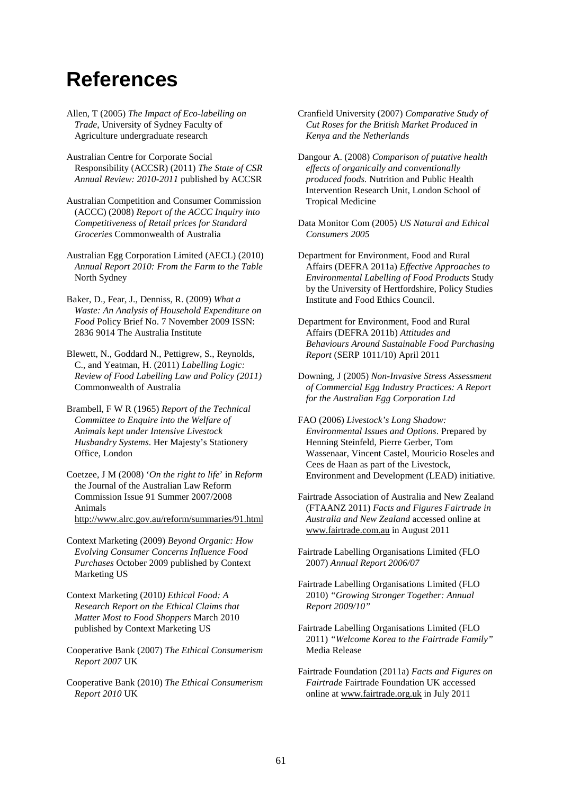## **References**

- Allen, T (2005) *The Impact of Eco-labelling on Trade*, University of Sydney Faculty of Agriculture undergraduate research
- Australian Centre for Corporate Social Responsibility (ACCSR) (2011) *The State of CSR Annual Review: 2010-2011* published by ACCSR
- Australian Competition and Consumer Commission (ACCC) (2008) *Report of the ACCC Inquiry into Competitiveness of Retail prices for Standard Groceries* Commonwealth of Australia
- Australian Egg Corporation Limited (AECL) (2010) *Annual Report 2010: From the Farm to the Table* North Sydney
- Baker, D., Fear, J., Denniss, R. (2009) *What a Waste: An Analysis of Household Expenditure on Food* Policy Brief No. 7 November 2009 ISSN: 2836 9014 The Australia Institute
- Blewett, N., Goddard N., Pettigrew, S., Reynolds, C., and Yeatman, H. (2011) *Labelling Logic: Review of Food Labelling Law and Policy (2011)*  Commonwealth of Australia
- Brambell, F W R (1965) *Report of the Technical Committee to Enquire into the Welfare of Animals kept under Intensive Livestock Husbandry Systems*. Her Majesty's Stationery Office, London
- Coetzee, J M (2008) '*On the right to life*' in *Reform* the Journal of the Australian Law Reform Commission Issue 91 Summer 2007/2008 Animals <http://www.alrc.gov.au/reform/summaries/91.html>
- Context Marketing (2009) *Beyond Organic: How Evolving Consumer Concerns Influence Food Purchases* October 2009 published by Context Marketing US
- Context Marketing (2010*) Ethical Food: A Research Report on the Ethical Claims that Matter Most to Food Shoppers* March 2010 published by Context Marketing US
- Cooperative Bank (2007) *The Ethical Consumerism Report 2007* UK
- Cooperative Bank (2010) *The Ethical Consumerism Report 2010* UK
- Cranfield University (2007) *Comparative Study of Cut Roses for the British Market Produced in Kenya and the Netherlands*
- Dangour A. (2008) *Comparison of putative health effects of organically and conventionally produced foods.* Nutrition and Public Health Intervention Research Unit, London School of Tropical Medicine
- Data Monitor Com (2005) *US Natural and Ethical Consumers 2005*
- Department for Environment, Food and Rural Affairs (DEFRA 2011a) *Effective Approaches to Environmental Labelling of Food Products* Study by the University of Hertfordshire, Policy Studies Institute and Food Ethics Council.
- Department for Environment, Food and Rural Affairs (DEFRA 2011b) *Attitudes and Behaviours Around Sustainable Food Purchasing Report* (SERP 1011/10) April 2011
- Downing, J (2005) *Non-Invasive Stress Assessment of Commercial Egg Industry Practices: A Report for the Australian Egg Corporation Ltd*
- FAO (2006) *Livestock's Long Shadow: Environmental Issues and Options*. Prepared by Henning Steinfeld, Pierre Gerber, Tom Wassenaar, Vincent Castel, Mouricio Roseles and Cees de Haan as part of the Livestock, Environment and Development (LEAD) initiative.
- Fairtrade Association of Australia and New Zealand (FTAANZ 2011) *Facts and Figures Fairtrade in Australia and New Zealand* accessed online at [www.fairtrade.com.au](http://www.fairtrade.com.au/) in August 2011
- Fairtrade Labelling Organisations Limited (FLO 2007) *Annual Report 2006/07*
- Fairtrade Labelling Organisations Limited (FLO 2010) *"Growing Stronger Together: Annual Report 2009/10"*
- Fairtrade Labelling Organisations Limited (FLO 2011) *"Welcome Korea to the Fairtrade Family"* Media Release
- Fairtrade Foundation (2011a) *Facts and Figures on Fairtrade* Fairtrade Foundation UK accessed online at [www.fairtrade.org.uk](http://www.fairtrade.org.uk/) in July 2011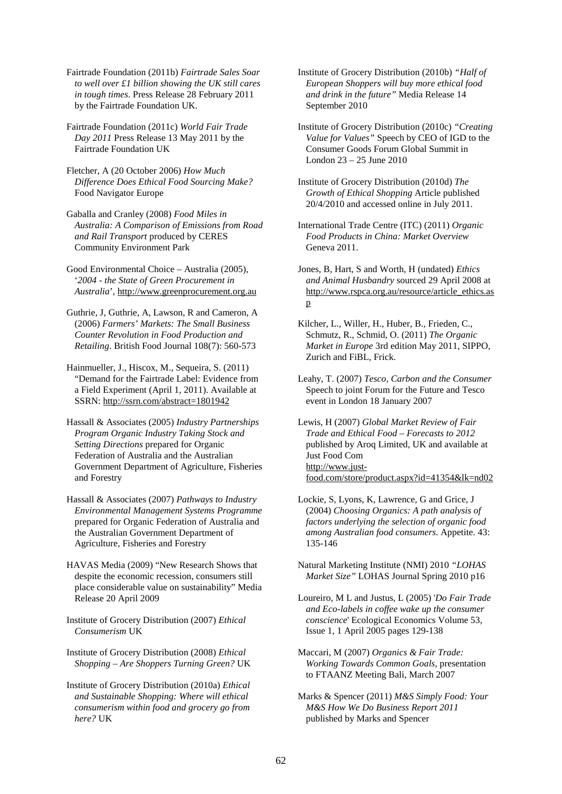Fairtrade Foundation (2011b) *Fairtrade Sales Soar to well over £1 billion showing the UK still cares in tough times*. Press Release 28 February 2011 by the Fairtrade Foundation UK.

Fairtrade Foundation (2011c) *World Fair Trade Day 2011* Press Release 13 May 2011 by the Fairtrade Foundation UK

Fletcher, A (20 October 2006) *How Much Difference Does Ethical Food Sourcing Make?* Food Navigator Europe

Gaballa and Cranley (2008) *Food Miles in Australia: A Comparison of Emissions from Road and Rail Transport* produced by CERES Community Environment Park

Good Environmental Choice – Australia (2005), '*2004 - the State of Green Procurement in Australia*', [http://www.greenprocurement.org.au](http://www.greenprocurement.org.au/)

Guthrie, J, Guthrie, A, Lawson, R and Cameron, A (2006) *Farmers' Markets: The Small Business Counter Revolution in Food Production and Retailing*. British Food Journal 108(7): 560-573

Hainmueller, J., Hiscox, M., Sequeira, S. (2011) "Demand for the Fairtrade Label: Evidence from a Field Experiment (April 1, 2011). Available at SSRN:<http://ssrn.com/abstract=1801942>

Hassall & Associates (2005) *Industry Partnerships Program Organic Industry Taking Stock and Setting Directions* prepared for Organic Federation of Australia and the Australian Government Department of Agriculture, Fisheries and Forestry

Hassall & Associates (2007) *Pathways to Industry Environmental Management Systems Programme* prepared for Organic Federation of Australia and the Australian Government Department of Agriculture, Fisheries and Forestry

HAVAS Media (2009) "New Research Shows that despite the economic recession, consumers still place considerable value on sustainability" Media Release 20 April 2009

Institute of Grocery Distribution (2007) *Ethical Consumerism* UK

Institute of Grocery Distribution (2008) *Ethical Shopping – Are Shoppers Turning Green?* UK

Institute of Grocery Distribution (2010a) *Ethical and Sustainable Shopping: Where will ethical consumerism within food and grocery go from here?* UK

Institute of Grocery Distribution (2010b) *"Half of European Shoppers will buy more ethical food and drink in the future"* Media Release 14 September 2010

Institute of Grocery Distribution (2010c) *"Creating Value for Values"* Speech by CEO of IGD to the Consumer Goods Forum Global Summit in London 23 – 25 June 2010

Institute of Grocery Distribution (2010d) *The Growth of Ethical Shopping* Article published 20/4/2010 and accessed online in July 2011.

International Trade Centre (ITC) (2011) *Organic Food Products in China: Market Overview*  Geneva 2011.

Jones, B, Hart, S and Worth, H (undated) *Ethics and Animal Husbandry* sourced 29 April 2008 at [http://www.rspca.org.au/resource/article\\_ethics.as](http://www.rspca.org.au/resource/article_ethics.asp) [p](http://www.rspca.org.au/resource/article_ethics.asp)

Kilcher, L., Willer, H., Huber, B., Frieden, C., Schmutz, R., Schmid, O. (2011) *The Organic Market in Europe* 3rd edition May 2011, SIPPO, Zurich and FiBL, Frick.

Leahy, T. (2007) *Tesco, Carbon and the Consumer* Speech to joint Forum for the Future and Tesco event in London 18 January 2007

Lewis, H (2007) *Global Market Review of Fair Trade and Ethical Food – Forecasts to 2012*  published by Aroq Limited, UK and available at Just Food Com [http://www.just](http://www.just-food.com/store/product.aspx?id=41354&lk=nd02)[food.com/store/product.aspx?id=41354&lk=nd02](http://www.just-food.com/store/product.aspx?id=41354&lk=nd02)

Lockie, S, Lyons, K, Lawrence, G and Grice, J (2004) *Choosing Organics: A path analysis of factors underlying the selection of organic food among Australian food consumers*. Appetite. 43: 135-146

Natural Marketing Institute (NMI) 2010 *"LOHAS Market Size"* LOHAS Journal Spring 2010 p16

Loureiro, M L and Justus, L (2005) '*Do Fair Trade and Eco-labels in coffee wake up the consumer conscience*' Ecological Economics Volume 53, Issue 1, 1 April 2005 pages 129-138

Maccari, M (2007) *Organics & Fair Trade: Working Towards Common Goals*, presentation to FTAANZ Meeting Bali, March 2007

Marks & Spencer (2011) *M&S Simply Food: Your M&S How We Do Business Report 2011* published by Marks and Spencer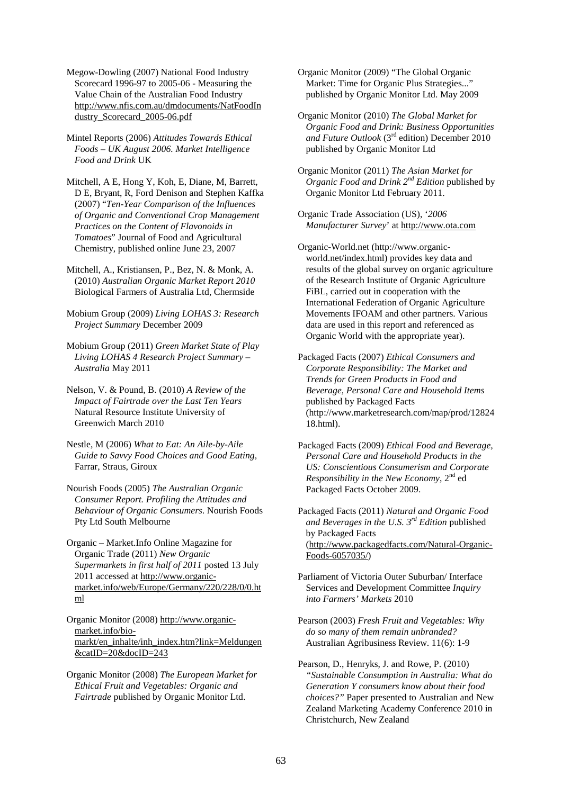Megow-Dowling (2007) National Food Industry Scorecard 1996-97 to 2005-06 - Measuring the Value Chain of the Australian Food Industry [http://www.nfis.com.au/dmdocuments/NatFoodIn](http://www.nfis.com.au/dmdocuments/NatFoodIndustry_Scorecard_2005-06.pdf) [dustry\\_Scorecard\\_2005-06.pdf](http://www.nfis.com.au/dmdocuments/NatFoodIndustry_Scorecard_2005-06.pdf)

Mintel Reports (2006) *Attitudes Towards Ethical Foods – UK August 2006. Market Intelligence Food and Drink* UK

Mitchell, A E, Hong Y, Koh, E, Diane, M, Barrett, D E, Bryant, R, Ford Denison and Stephen Kaffka (2007) "*Ten-Year Comparison of the Influences of Organic and Conventional Crop Management Practices on the Content of Flavonoids in Tomatoes*" Journal of Food and Agricultural Chemistry, published online June 23, 2007

Mitchell, A., Kristiansen, P., Bez, N. & Monk, A. (2010) *Australian Organic Market Report 2010* Biological Farmers of Australia Ltd, Chermside

Mobium Group (2009) *Living LOHAS 3: Research Project Summary* December 2009

Mobium Group (2011) *Green Market State of Play Living LOHAS 4 Research Project Summary – Australia* May 2011

Nelson, V. & Pound, B. (2010) *A Review of the Impact of Fairtrade over the Last Ten Years* Natural Resource Institute University of Greenwich March 2010

Nestle, M (2006) *What to Eat: An Aile-by-Aile Guide to Savvy Food Choices and Good Eating,*  Farrar, Straus, Giroux

Nourish Foods (2005) *The Australian Organic Consumer Report. Profiling the Attitudes and Behaviour of Organic Consumers*. Nourish Foods Pty Ltd South Melbourne

Organic – Market.Info Online Magazine for Organic Trade (2011) *New Organic Supermarkets in first half of 2011* posted 13 July 2011 accessed at [http://www.organic](http://www.organic-market.info/web/Europe/Germany/220/228/0/0.html)[market.info/web/Europe/Germany/220/228/0/0.ht](http://www.organic-market.info/web/Europe/Germany/220/228/0/0.html) [ml](http://www.organic-market.info/web/Europe/Germany/220/228/0/0.html)

Organic Monitor (2008) [http://www.organic](http://www.organic-market.info/bio-markt/en_inhalte/inh_index.htm?link=Meldungen&catID=20&docID=243)[market.info/bio](http://www.organic-market.info/bio-markt/en_inhalte/inh_index.htm?link=Meldungen&catID=20&docID=243)[markt/en\\_inhalte/inh\\_index.htm?link=Meldungen](http://www.organic-market.info/bio-markt/en_inhalte/inh_index.htm?link=Meldungen&catID=20&docID=243) [&catID=20&docID=243](http://www.organic-market.info/bio-markt/en_inhalte/inh_index.htm?link=Meldungen&catID=20&docID=243)

Organic Monitor (2008) *The European Market for Ethical Fruit and Vegetables: Organic and Fairtrade* published by Organic Monitor Ltd.

Organic Monitor (2009) "The Global Organic Market: Time for Organic Plus Strategies..." published by Organic Monitor Ltd. May 2009

Organic Monitor (2010) *The Global Market for Organic Food and Drink: Business Opportunities and Future Outlook* (3rd edition) December 2010 published by Organic Monitor Ltd

Organic Monitor (2011) *The Asian Market for Organic Food and Drink 2nd Edition* published by Organic Monitor Ltd February 2011.

Organic Trade Association (US), '*2006 Manufacturer Survey*' at [http://www.ota.com](http://www.ota.com/)

Organic-World.net (http://www.organicworld.net/index.html) provides key data and results of the global survey on organic agriculture of the Research Institute of Organic Agriculture FiBL, carried out in cooperation with the International Federation of Organic Agriculture Movements IFOAM and other partners. Various data are used in this report and referenced as Organic World with the appropriate year).

Packaged Facts (2007) *Ethical Consumers and Corporate Responsibility: The Market and Trends for Green Products in Food and Beverage, Personal Care and Household Items*  published by Packaged Facts (http://www.marketresearch.com/map/prod/12824 18.html).

Packaged Facts (2009) *Ethical Food and Beverage, Personal Care and Household Products in the US: Conscientious Consumerism and Corporate Responsibility in the New Economy*, 2<sup>nd</sup> ed Packaged Facts October 2009.

Packaged Facts (2011) *Natural and Organic Food and Beverages in the U.S. 3rd Edition* published by Packaged Facts [\(http://www.packagedfacts.com/Natural-Organic-](http://www.packagedfacts.com/Natural-Organic-Foods-6057035/)[Foods-6057035/\)](http://www.packagedfacts.com/Natural-Organic-Foods-6057035/)

Parliament of Victoria Outer Suburban/ Interface Services and Development Committee *Inquiry into Farmers' Markets* 2010

Pearson (2003) *Fresh Fruit and Vegetables: Why do so many of them remain unbranded?* Australian Agribusiness Review. 11(6): 1-9

Pearson, D., Henryks, J. and Rowe, P. (2010) *"Sustainable Consumption in Australia: What do Generation Y consumers know about their food choices?"* Paper presented to Australian and New Zealand Marketing Academy Conference 2010 in Christchurch, New Zealand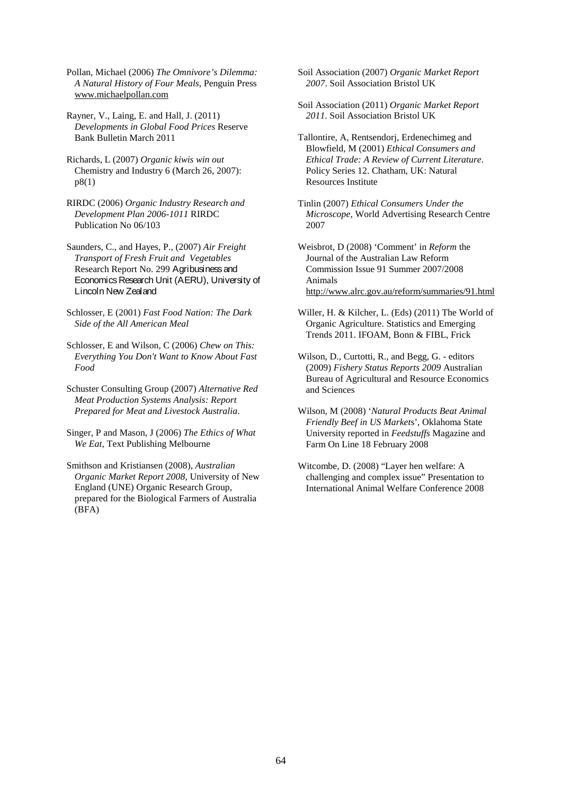Pollan, Michael (2006) *The Omnivore's Dilemma: A Natural History of Four Meals*, Penguin Press [www.michaelpollan.com](http://www.michaelpollan.com/)

Rayner, V., Laing, E. and Hall, J. (2011) *Developments in Global Food Prices* Reserve Bank Bulletin March 2011

Richards, L (2007) *Organic kiwis win out* Chemistry and Industry 6 (March 26, 2007): p8(1)

RIRDC (2006) *Organic Industry Research and Development Plan 2006-1011* RIRDC Publication No 06/103

Saunders, C., and Hayes, P., (2007) *Air Freight Transport of Fresh Fruit and Vegetables* Research Report No. 299 Agribusiness and Economics Research Unit (AERU), University of Lincoln New Zealand

Schlosser, E (2001) *Fast Food Nation: The Dark Side of the All American Meal* 

Schlosser, E and Wilson, C (2006) *Chew on This: Everything You Don't Want to Know About Fast Food*

Schuster Consulting Group (2007) *Alternative Red Meat Production Systems Analysis: Report Prepared for Meat and Livestock Australia*.

Singer, P and Mason, J (2006) *The Ethics of What We Eat,* Text Publishing Melbourne

Smithson and Kristiansen (2008), *Australian Organic Market Report 2008*, University of New England (UNE) Organic Research Group, prepared for the Biological Farmers of Australia (BFA)

Soil Association (2007) *Organic Market Report 2007*. Soil Association Bristol UK

Soil Association (2011) *Organic Market Report 2011*. Soil Association Bristol UK

Tallontire, A, Rentsendorj, Erdenechimeg and Blowfield, M (2001) *Ethical Consumers and Ethical Trade: A Review of Current Literature*. Policy Series 12. Chatham, UK: Natural Resources Institute

Tinlin (2007) *Ethical Consumers Under the Microscope*, World Advertising Research Centre 2007

Weisbrot, D (2008) 'Comment' in *Reform* the Journal of the Australian Law Reform Commission Issue 91 Summer 2007/2008 Animals <http://www.alrc.gov.au/reform/summaries/91.html>

Willer, H. & Kilcher, L. (Eds) (2011) The World of Organic Agriculture. Statistics and Emerging Trends 2011. IFOAM, Bonn & FIBL, Frick

Wilson, D., Curtotti, R., and Begg, G. - editors (2009) *Fishery Status Reports 2009* Australian Bureau of Agricultural and Resource Economics and Sciences

Wilson, M (2008) '*Natural Products Beat Animal Friendly Beef in US Market*s', Oklahoma State University reported in *Feedstuffs* Magazine and Farm On Line 18 February 2008

Witcombe, D. (2008) "Layer hen welfare: A challenging and complex issue" Presentation to International Animal Welfare Conference 2008